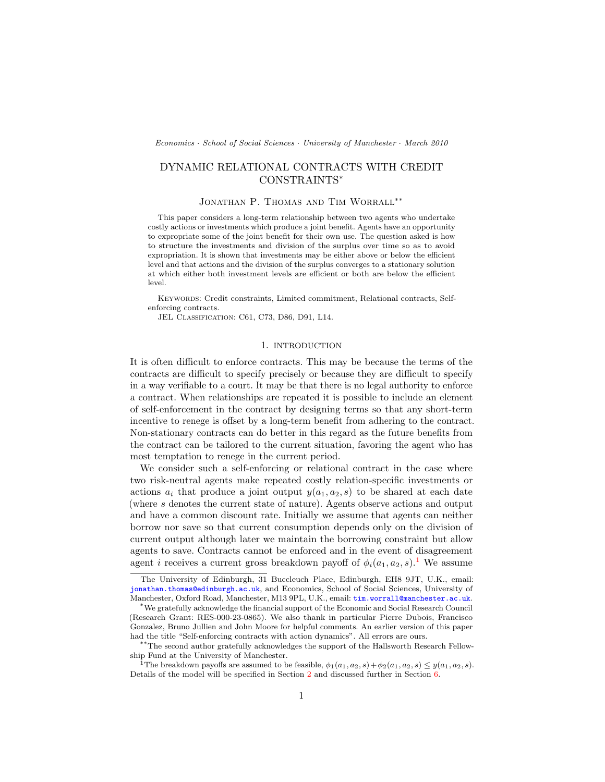<span id="page-0-1"></span>Economics · School of Social Sciences · University of Manchester · March 2010

# DYNAMIC RELATIONAL CONTRACTS WITH CREDIT CONSTRAINTS<sup>∗</sup>

### JONATHAN P. THOMAS AND TIM WORRALL<sup>\*\*</sup>

This paper considers a long-term relationship between two agents who undertake costly actions or investments which produce a joint benefit. Agents have an opportunity to expropriate some of the joint benefit for their own use. The question asked is how to structure the investments and division of the surplus over time so as to avoid expropriation. It is shown that investments may be either above or below the efficient level and that actions and the division of the surplus converges to a stationary solution at which either both investment levels are efficient or both are below the efficient level.

Keywords: Credit constraints, Limited commitment, Relational contracts, Selfenforcing contracts.

JEL Classification: C61, C73, D86, D91, L14.

# 1. INTRODUCTION

It is often difficult to enforce contracts. This may be because the terms of the contracts are difficult to specify precisely or because they are difficult to specify in a way verifiable to a court. It may be that there is no legal authority to enforce a contract. When relationships are repeated it is possible to include an element of self-enforcement in the contract by designing terms so that any short-term incentive to renege is offset by a long-term benefit from adhering to the contract. Non-stationary contracts can do better in this regard as the future benefits from the contract can be tailored to the current situation, favoring the agent who has most temptation to renege in the current period.

We consider such a self-enforcing or relational contract in the case where two risk-neutral agents make repeated costly relation-specific investments or actions  $a_i$  that produce a joint output  $y(a_1, a_2, s)$  to be shared at each date (where s denotes the current state of nature). Agents observe actions and output and have a common discount rate. Initially we assume that agents can neither borrow nor save so that current consumption depends only on the division of current output although later we maintain the borrowing constraint but allow agents to save. Contracts cannot be enforced and in the event of disagreement agent i receives a current gross breakdown payoff of  $\phi_i(a_1, a_2, s)$  $\phi_i(a_1, a_2, s)$  $\phi_i(a_1, a_2, s)$ .<sup>1</sup> We assume

The University of Edinburgh, 31 Buccleuch Place, Edinburgh, EH8 9JT, U.K., email: [jonathan.thomas@edinburgh.ac.uk](mailto:jonathan.thomas@edinburgh.ac.uk), and Economics, School of Social Sciences, University of Manchester, Oxford Road, Manchester, M13 9PL, U.K., email: [tim.worrall@manchester.ac.uk](mailto:tim.worrall@manchester.ac.uk).

<sup>\*</sup>We gratefully acknowledge the financial support of the Economic and Social Research Council (Research Grant: RES-000-23-0865). We also thank in particular Pierre Dubois, Francisco Gonzalez, Bruno Jullien and John Moore for helpful comments. An earlier version of this paper had the title "Self-enforcing contracts with action dynamics". All errors are ours.

<sup>\*\*</sup>The second author gratefully acknowledges the support of the Hallsworth Research Fellowship Fund at the University of Manchester.

<span id="page-0-0"></span><sup>&</sup>lt;sup>1</sup>The breakdown payoffs are assumed to be feasible,  $\phi_1(a_1, a_2, s) + \phi_2(a_1, a_2, s) \leq y(a_1, a_2, s)$ . Details of the model will be specified in Section [2](#page-5-0) and discussed further in Section [6.](#page-24-0)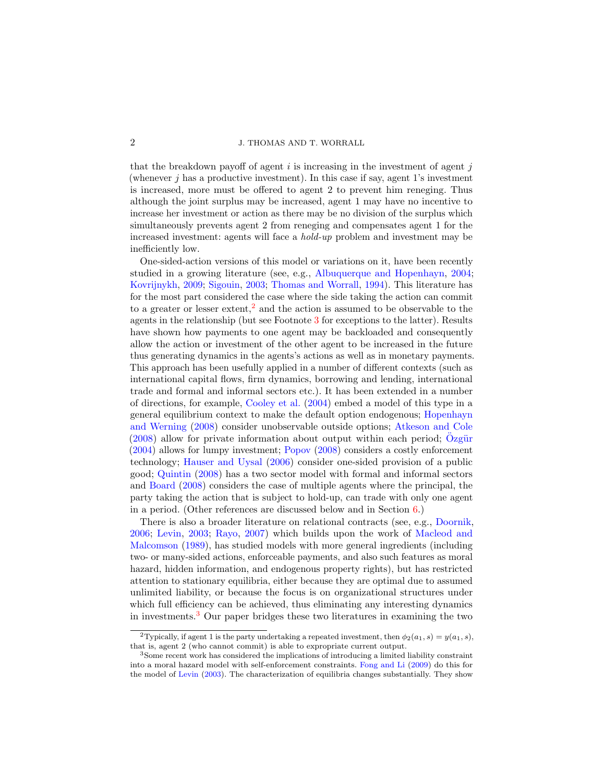that the breakdown payoff of agent  $i$  is increasing in the investment of agent  $j$ (whenever  $j$  has a productive investment). In this case if say, agent 1's investment is increased, more must be offered to agent 2 to prevent him reneging. Thus although the joint surplus may be increased, agent 1 may have no incentive to increase her investment or action as there may be no division of the surplus which simultaneously prevents agent 2 from reneging and compensates agent 1 for the increased investment: agents will face a hold-up problem and investment may be inefficiently low.

One-sided-action versions of this model or variations on it, have been recently studied in a growing literature (see, e.g., [Albuquerque and Hopenhayn,](#page-42-0) [2004;](#page-42-0) [Kovrijnykh,](#page-43-0) [2009;](#page-43-0) [Sigouin,](#page-43-1) [2003;](#page-43-1) [Thomas and Worrall,](#page-43-2) [1994\)](#page-43-2). This literature has for the most part considered the case where the side taking the action can commit to a greater or lesser extent,<sup>[2](#page-1-0)</sup> and the action is assumed to be observable to the agents in the relationship (but see Footnote [3](#page-1-1) for exceptions to the latter). Results have shown how payments to one agent may be backloaded and consequently allow the action or investment of the other agent to be increased in the future thus generating dynamics in the agents's actions as well as in monetary payments. This approach has been usefully applied in a number of different contexts (such as international capital flows, firm dynamics, borrowing and lending, international trade and formal and informal sectors etc.). It has been extended in a number of directions, for example, [Cooley et al.](#page-43-3) [\(2004\)](#page-43-3) embed a model of this type in a general equilibrium context to make the default option endogenous; [Hopenhayn](#page-43-4) [and Werning](#page-43-4) [\(2008\)](#page-43-4) consider unobservable outside options; [Atkeson and Cole](#page-42-1)  $(2008)$  allow for private information about output within each period;  $\ddot{O}$ zgür [\(2004\)](#page-43-5) allows for lumpy investment; [Popov](#page-43-6) [\(2008\)](#page-43-6) considers a costly enforcement technology; [Hauser and Uysal](#page-43-7) [\(2006\)](#page-43-7) consider one-sided provision of a public good; [Quintin](#page-43-8) [\(2008\)](#page-43-8) has a two sector model with formal and informal sectors and [Board](#page-43-9) [\(2008\)](#page-43-9) considers the case of multiple agents where the principal, the party taking the action that is subject to hold-up, can trade with only one agent in a period. (Other references are discussed below and in Section [6.](#page-24-0))

There is also a broader literature on relational contracts (see, e.g., [Doornik,](#page-43-10) [2006;](#page-43-10) [Levin,](#page-43-11) [2003;](#page-43-11) [Rayo,](#page-43-12) [2007\)](#page-43-12) which builds upon the work of [Macleod and](#page-43-13) [Malcomson](#page-43-13) [\(1989\)](#page-43-13), has studied models with more general ingredients (including two- or many-sided actions, enforceable payments, and also such features as moral hazard, hidden information, and endogenous property rights), but has restricted attention to stationary equilibria, either because they are optimal due to assumed unlimited liability, or because the focus is on organizational structures under which full efficiency can be achieved, thus eliminating any interesting dynamics in investments.[3](#page-1-1) Our paper bridges these two literatures in examining the two

<span id="page-1-0"></span><sup>&</sup>lt;sup>2</sup>Typically, if agent 1 is the party undertaking a repeated investment, then  $\phi_2(a_1, s) = y(a_1, s)$ , that is, agent 2 (who cannot commit) is able to expropriate current output.

<span id="page-1-1"></span><sup>3</sup>Some recent work has considered the implications of introducing a limited liability constraint into a moral hazard model with self-enforcement constraints. [Fong and Li](#page-43-14) [\(2009\)](#page-43-14) do this for the model of [Levin](#page-43-11) [\(2003\)](#page-43-11). The characterization of equilibria changes substantially. They show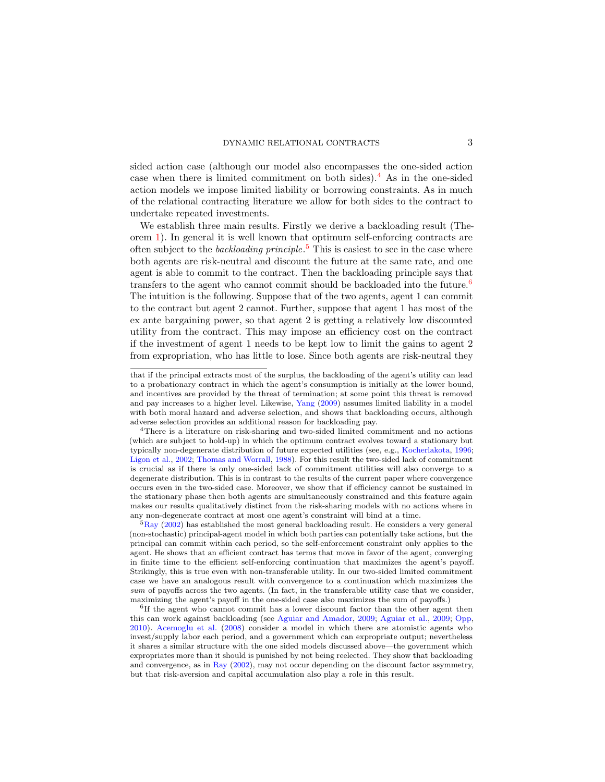sided action case (although our model also encompasses the one-sided action case when there is limited commitment on both sides).<sup>[4](#page-2-0)</sup> As in the one-sided action models we impose limited liability or borrowing constraints. As in much of the relational contracting literature we allow for both sides to the contract to undertake repeated investments.

We establish three main results. Firstly we derive a backloading result (Theorem [1\)](#page-0-1). In general it is well known that optimum self-enforcing contracts are often subject to the *backloading principle*.<sup>[5](#page-2-1)</sup> This is easiest to see in the case where both agents are risk-neutral and discount the future at the same rate, and one agent is able to commit to the contract. Then the backloading principle says that transfers to the agent who cannot commit should be backloaded into the future.<sup>[6](#page-2-2)</sup> The intuition is the following. Suppose that of the two agents, agent 1 can commit to the contract but agent 2 cannot. Further, suppose that agent 1 has most of the ex ante bargaining power, so that agent 2 is getting a relatively low discounted utility from the contract. This may impose an efficiency cost on the contract if the investment of agent 1 needs to be kept low to limit the gains to agent 2 from expropriation, who has little to lose. Since both agents are risk-neutral they

<span id="page-2-1"></span> $5$ [Ray](#page-43-19) [\(2002\)](#page-43-19) has established the most general backloading result. He considers a very general (non-stochastic) principal-agent model in which both parties can potentially take actions, but the principal can commit within each period, so the self-enforcement constraint only applies to the agent. He shows that an efficient contract has terms that move in favor of the agent, converging in finite time to the efficient self-enforcing continuation that maximizes the agent's payoff. Strikingly, this is true even with non-transferable utility. In our two-sided limited commitment case we have an analogous result with convergence to a continuation which maximizes the sum of payoffs across the two agents. (In fact, in the transferable utility case that we consider, maximizing the agent's payoff in the one-sided case also maximizes the sum of payoffs.)

<span id="page-2-2"></span><sup>6</sup>If the agent who cannot commit has a lower discount factor than the other agent then this can work against backloading (see [Aguiar and Amador,](#page-42-2) [2009;](#page-42-2) [Aguiar et al.,](#page-42-3) [2009;](#page-42-3) [Opp,](#page-43-20) [2010\)](#page-43-20). [Acemoglu et al.](#page-42-4) [\(2008\)](#page-42-4) consider a model in which there are atomistic agents who invest/supply labor each period, and a government which can expropriate output; nevertheless it shares a similar structure with the one sided models discussed above—the government which expropriates more than it should is punished by not being reelected. They show that backloading and convergence, as in [Ray](#page-43-19) [\(2002\)](#page-43-19), may not occur depending on the discount factor asymmetry, but that risk-aversion and capital accumulation also play a role in this result.

that if the principal extracts most of the surplus, the backloading of the agent's utility can lead to a probationary contract in which the agent's consumption is initially at the lower bound, and incentives are provided by the threat of termination; at some point this threat is removed and pay increases to a higher level. Likewise, [Yang](#page-43-15) [\(2009\)](#page-43-15) assumes limited liability in a model with both moral hazard and adverse selection, and shows that backloading occurs, although adverse selection provides an additional reason for backloading pay.

<span id="page-2-0"></span><sup>4</sup>There is a literature on risk-sharing and two-sided limited commitment and no actions (which are subject to hold-up) in which the optimum contract evolves toward a stationary but typically non-degenerate distribution of future expected utilities (see, e.g., [Kocherlakota,](#page-43-16) [1996;](#page-43-16) [Ligon et al.,](#page-43-17) [2002;](#page-43-17) [Thomas and Worrall,](#page-43-18) [1988\)](#page-43-18). For this result the two-sided lack of commitment is crucial as if there is only one-sided lack of commitment utilities will also converge to a degenerate distribution. This is in contrast to the results of the current paper where convergence occurs even in the two-sided case. Moreover, we show that if efficiency cannot be sustained in the stationary phase then both agents are simultaneously constrained and this feature again makes our results qualitatively distinct from the risk-sharing models with no actions where in any non-degenerate contract at most one agent's constraint will bind at a time.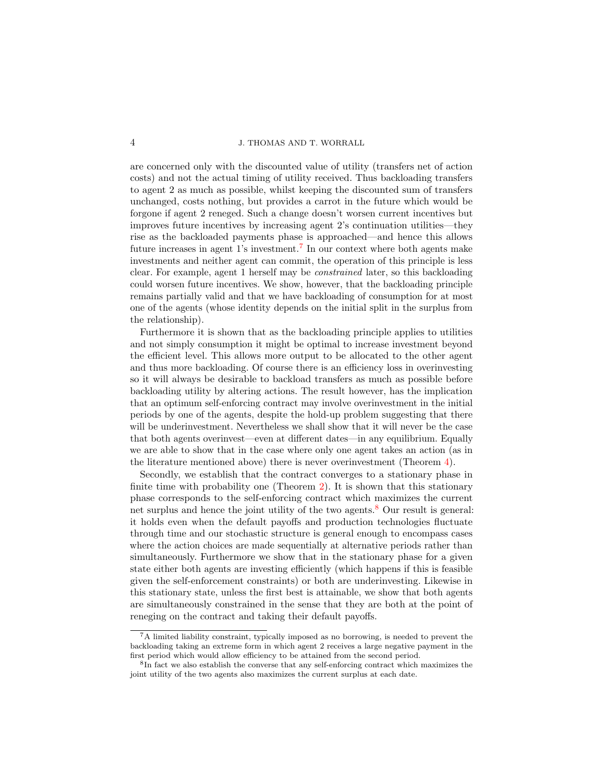#### 4 J. THOMAS AND T. WORRALL

are concerned only with the discounted value of utility (transfers net of action costs) and not the actual timing of utility received. Thus backloading transfers to agent 2 as much as possible, whilst keeping the discounted sum of transfers unchanged, costs nothing, but provides a carrot in the future which would be forgone if agent 2 reneged. Such a change doesn't worsen current incentives but improves future incentives by increasing agent 2's continuation utilities—they rise as the backloaded payments phase is approached—and hence this allows future increases in agent 1's investment.<sup>[7](#page-3-0)</sup> In our context where both agents make investments and neither agent can commit, the operation of this principle is less clear. For example, agent 1 herself may be constrained later, so this backloading could worsen future incentives. We show, however, that the backloading principle remains partially valid and that we have backloading of consumption for at most one of the agents (whose identity depends on the initial split in the surplus from the relationship).

Furthermore it is shown that as the backloading principle applies to utilities and not simply consumption it might be optimal to increase investment beyond the efficient level. This allows more output to be allocated to the other agent and thus more backloading. Of course there is an efficiency loss in overinvesting so it will always be desirable to backload transfers as much as possible before backloading utility by altering actions. The result however, has the implication that an optimum self-enforcing contract may involve overinvestment in the initial periods by one of the agents, despite the hold-up problem suggesting that there will be underinvestment. Nevertheless we shall show that it will never be the case that both agents overinvest—even at different dates—in any equilibrium. Equally we are able to show that in the case where only one agent takes an action (as in the literature mentioned above) there is never overinvestment (Theorem [4\)](#page-21-0).

Secondly, we establish that the contract converges to a stationary phase in finite time with probability one (Theorem [2\)](#page-18-0). It is shown that this stationary phase corresponds to the self-enforcing contract which maximizes the current net surplus and hence the joint utility of the two agents.<sup>[8](#page-3-1)</sup> Our result is general: it holds even when the default payoffs and production technologies fluctuate through time and our stochastic structure is general enough to encompass cases where the action choices are made sequentially at alternative periods rather than simultaneously. Furthermore we show that in the stationary phase for a given state either both agents are investing efficiently (which happens if this is feasible given the self-enforcement constraints) or both are underinvesting. Likewise in this stationary state, unless the first best is attainable, we show that both agents are simultaneously constrained in the sense that they are both at the point of reneging on the contract and taking their default payoffs.

<span id="page-3-0"></span><sup>7</sup>A limited liability constraint, typically imposed as no borrowing, is needed to prevent the backloading taking an extreme form in which agent 2 receives a large negative payment in the first period which would allow efficiency to be attained from the second period.

<span id="page-3-1"></span><sup>8</sup> In fact we also establish the converse that any self-enforcing contract which maximizes the joint utility of the two agents also maximizes the current surplus at each date.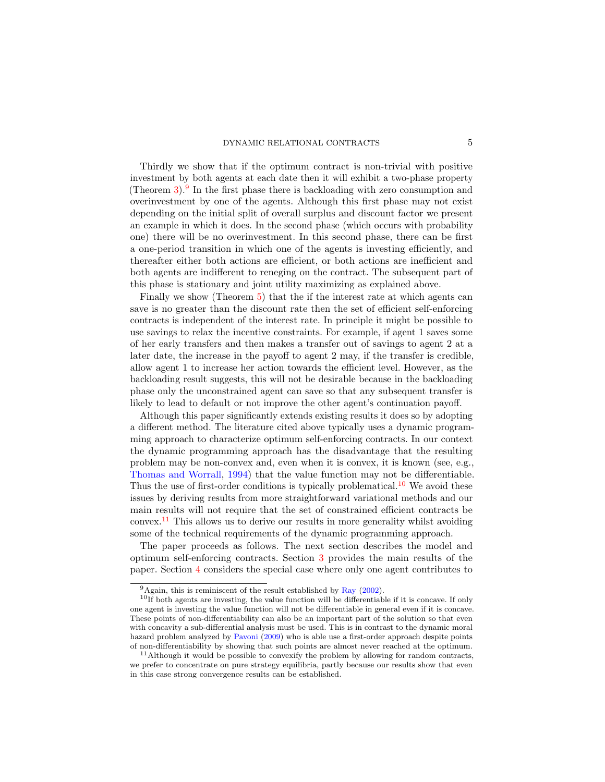Thirdly we show that if the optimum contract is non-trivial with positive investment by both agents at each date then it will exhibit a two-phase property (Theorem  $3$ ).<sup>[9](#page-4-0)</sup> In the first phase there is backloading with zero consumption and overinvestment by one of the agents. Although this first phase may not exist depending on the initial split of overall surplus and discount factor we present an example in which it does. In the second phase (which occurs with probability one) there will be no overinvestment. In this second phase, there can be first a one-period transition in which one of the agents is investing efficiently, and thereafter either both actions are efficient, or both actions are inefficient and both agents are indifferent to reneging on the contract. The subsequent part of this phase is stationary and joint utility maximizing as explained above.

Finally we show (Theorem [5\)](#page-24-1) that the if the interest rate at which agents can save is no greater than the discount rate then the set of efficient self-enforcing contracts is independent of the interest rate. In principle it might be possible to use savings to relax the incentive constraints. For example, if agent 1 saves some of her early transfers and then makes a transfer out of savings to agent 2 at a later date, the increase in the payoff to agent 2 may, if the transfer is credible, allow agent 1 to increase her action towards the efficient level. However, as the backloading result suggests, this will not be desirable because in the backloading phase only the unconstrained agent can save so that any subsequent transfer is likely to lead to default or not improve the other agent's continuation payoff.

Although this paper significantly extends existing results it does so by adopting a different method. The literature cited above typically uses a dynamic programming approach to characterize optimum self-enforcing contracts. In our context the dynamic programming approach has the disadvantage that the resulting problem may be non-convex and, even when it is convex, it is known (see, e.g., [Thomas and Worrall,](#page-43-2) [1994\)](#page-43-2) that the value function may not be differentiable. Thus the use of first-order conditions is typically problematical.<sup>[10](#page-4-1)</sup> We avoid these issues by deriving results from more straightforward variational methods and our main results will not require that the set of constrained efficient contracts be convex.<sup>[11](#page-4-2)</sup> This allows us to derive our results in more generality whilst avoiding some of the technical requirements of the dynamic programming approach.

The paper proceeds as follows. The next section describes the model and optimum self-enforcing contracts. Section [3](#page-12-0) provides the main results of the paper. Section [4](#page-21-1) considers the special case where only one agent contributes to

<span id="page-4-1"></span><span id="page-4-0"></span> $9$ Again, this is reminiscent of the result established by [Ray](#page-43-19) [\(2002\)](#page-43-19).

 $10$ If both agents are investing, the value function will be differentiable if it is concave. If only one agent is investing the value function will not be differentiable in general even if it is concave. These points of non-differentiability can also be an important part of the solution so that even with concavity a sub-differential analysis must be used. This is in contrast to the dynamic moral hazard problem analyzed by [Pavoni](#page-43-21) [\(2009\)](#page-43-21) who is able use a first-order approach despite points of non-differentiability by showing that such points are almost never reached at the optimum.

<span id="page-4-2"></span> $^{11}\rm{Although}$  it would be possible to convexify the problem by allowing for random contracts, we prefer to concentrate on pure strategy equilibria, partly because our results show that even in this case strong convergence results can be established.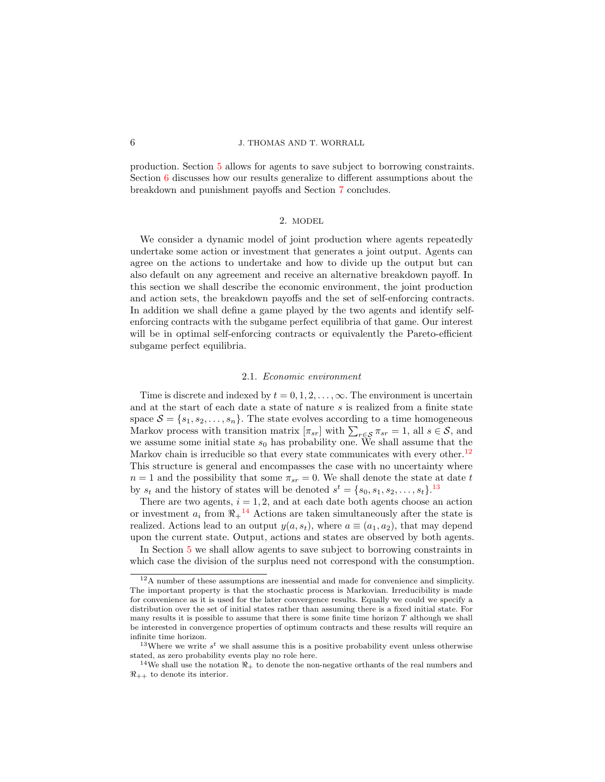production. Section [5](#page-22-0) allows for agents to save subject to borrowing constraints. Section [6](#page-24-0) discusses how our results generalize to different assumptions about the breakdown and punishment payoffs and Section [7](#page-26-0) concludes.

# 2. MODEL

<span id="page-5-0"></span>We consider a dynamic model of joint production where agents repeatedly undertake some action or investment that generates a joint output. Agents can agree on the actions to undertake and how to divide up the output but can also default on any agreement and receive an alternative breakdown payoff. In this section we shall describe the economic environment, the joint production and action sets, the breakdown payoffs and the set of self-enforcing contracts. In addition we shall define a game played by the two agents and identify selfenforcing contracts with the subgame perfect equilibria of that game. Our interest will be in optimal self-enforcing contracts or equivalently the Pareto-efficient subgame perfect equilibria.

## 2.1. Economic environment

Time is discrete and indexed by  $t = 0, 1, 2, \ldots, \infty$ . The environment is uncertain and at the start of each date a state of nature s is realized from a finite state space  $S = \{s_1, s_2, \ldots, s_n\}$ . The state evolves according to a time homogeneous Markov process with transition matrix  $[\pi_{sr}]$  with  $\sum_{r \in S} \pi_{sr} = 1$ , all  $s \in S$ , and we assume some initial state  $s_0$  has probability one. We shall assume that the Markov chain is irreducible so that every state communicates with every other.<sup>[12](#page-5-1)</sup> This structure is general and encompasses the case with no uncertainty where  $n = 1$  and the possibility that some  $\pi_{sr} = 0$ . We shall denote the state at date t by  $s_t$  and the history of states will be denoted  $s^t = \{s_0, s_1, s_2, \ldots, s_t\}$ .<sup>[13](#page-5-2)</sup>

There are two agents,  $i = 1, 2$ , and at each date both agents choose an action or investment  $a_i$  from  $\Re_+{}^{14}$  $\Re_+{}^{14}$  $\Re_+{}^{14}$  Actions are taken simultaneously after the state is realized. Actions lead to an output  $y(a, s_t)$ , where  $a \equiv (a_1, a_2)$ , that may depend upon the current state. Output, actions and states are observed by both agents.

In Section [5](#page-22-0) we shall allow agents to save subject to borrowing constraints in which case the division of the surplus need not correspond with the consumption.

<span id="page-5-1"></span><sup>12</sup>A number of these assumptions are inessential and made for convenience and simplicity. The important property is that the stochastic process is Markovian. Irreducibility is made for convenience as it is used for the later convergence results. Equally we could we specify a distribution over the set of initial states rather than assuming there is a fixed initial state. For many results it is possible to assume that there is some finite time horizon  $T$  although we shall be interested in convergence properties of optimum contracts and these results will require an infinite time horizon.

<span id="page-5-2"></span><sup>&</sup>lt;sup>13</sup>Where we write  $s<sup>t</sup>$  we shall assume this is a positive probability event unless otherwise stated, as zero probability events play no role here.

<span id="page-5-3"></span><sup>&</sup>lt;sup>14</sup>We shall use the notation  $\Re$  to denote the non-negative orthants of the real numbers and  $\Re_{++}$  to denote its interior.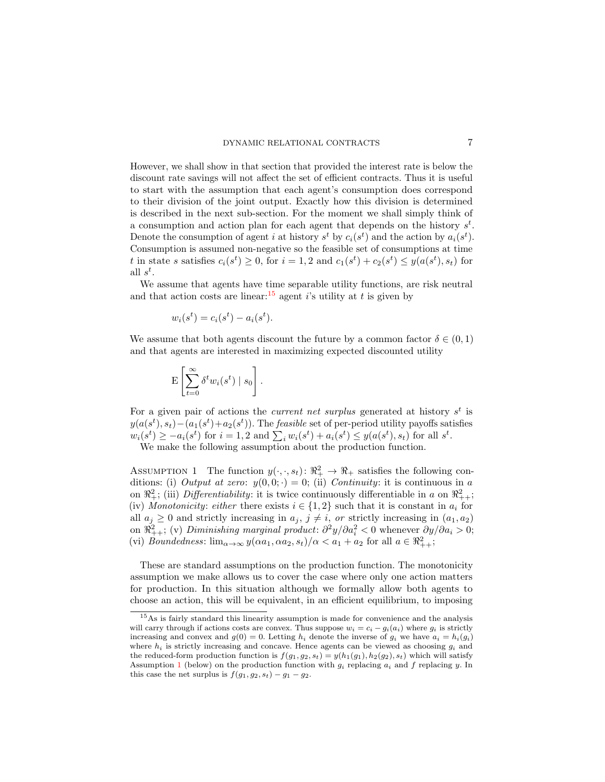However, we shall show in that section that provided the interest rate is below the discount rate savings will not affect the set of efficient contracts. Thus it is useful to start with the assumption that each agent's consumption does correspond to their division of the joint output. Exactly how this division is determined is described in the next sub-section. For the moment we shall simply think of a consumption and action plan for each agent that depends on the history  $s^t$ . Denote the consumption of agent *i* at history  $s^t$  by  $c_i(s^t)$  and the action by  $a_i(s^t)$ . Consumption is assumed non-negative so the feasible set of consumptions at time t in state s satisfies  $c_i(s^t) \geq 0$ , for  $i = 1, 2$  and  $c_1(s^t) + c_2(s^t) \leq y(a(s^t), s_t)$  for all  $s^t$ .

We assume that agents have time separable utility functions, are risk neutral and that action costs are linear:<sup>[15](#page-6-0)</sup> agent is utility at t is given by

$$
w_i(s^t) = c_i(s^t) - a_i(s^t).
$$

We assume that both agents discount the future by a common factor  $\delta \in (0,1)$ and that agents are interested in maximizing expected discounted utility

$$
\mathrm{E}\left[\sum_{t=0}^{\infty}\delta^tw_i(s^t)\mid s_0\right].
$$

For a given pair of actions the *current net surplus* generated at history  $s^t$  is  $y(a(s^t), s_t) - (a_1(s^t) + a_2(s^t))$ . The *feasible* set of per-period utility payoffs satisfies  $w_i(s^t) \ge -a_i(s^t)$  for  $i = 1, 2$  and  $\sum_i w_i(s^t) + a_i(s^t) \le y(a(s^t), s_t)$  for all  $s^t$ .

We make the following assumption about the production function.

<span id="page-6-3"></span><span id="page-6-1"></span>ASSUMPTION 1 The function  $y(\cdot, \cdot, s_t): \mathbb{R}_+^2 \to \mathbb{R}_+$  satisfies the following conditions: (i) Output at zero:  $y(0,0; \cdot) = 0$ ; (ii) Continuity: it is continuous in a on  $\mathbb{R}^2_+$ ; (iii) Differentiability: it is twice continuously differentiable in a on  $\mathbb{R}^2_{++}$ ; (iv) Monotonicity: either there exists  $i \in \{1,2\}$  such that it is constant in  $a_i$  for all  $a_j \geq 0$  and strictly increasing in  $a_j$ ,  $j \neq i$ , or strictly increasing in  $(a_1, a_2)$ on  $\Re_{++}^2$ ; (v) Diminishing marginal product:  $\partial^2 y/\partial a_i^2 < 0$  whenever  $\partial y/\partial a_i > 0$ ; (vi) Boundedness:  $\lim_{\alpha \to \infty} y(\alpha a_1, \alpha a_2, s_t)/\alpha < a_1 + a_2$  for all  $a \in \Re^2_{++};$ 

<span id="page-6-4"></span><span id="page-6-2"></span>These are standard assumptions on the production function. The monotonicity assumption we make allows us to cover the case where only one action matters for production. In this situation although we formally allow both agents to choose an action, this will be equivalent, in an efficient equilibrium, to imposing

<span id="page-6-0"></span><sup>15</sup>As is fairly standard this linearity assumption is made for convenience and the analysis will carry through if actions costs are convex. Thus suppose  $w_i = c_i - g_i(a_i)$  where  $g_i$  is strictly increasing and convex and  $g(0) = 0$ . Letting  $h_i$  denote the inverse of  $g_i$  we have  $a_i = h_i(g_i)$ where  $h_i$  is strictly increasing and concave. Hence agents can be viewed as choosing  $g_i$  and the reduced-form production function is  $f(g_1, g_2, s_t) = y(h_1(g_1), h_2(g_2), s_t)$  which will satisfy Assumption [1](#page-6-1) (below) on the production function with  $g_i$  replacing  $a_i$  and f replacing y. In this case the net surplus is  $f(g_1, g_2, s_t) - g_1 - g_2$ .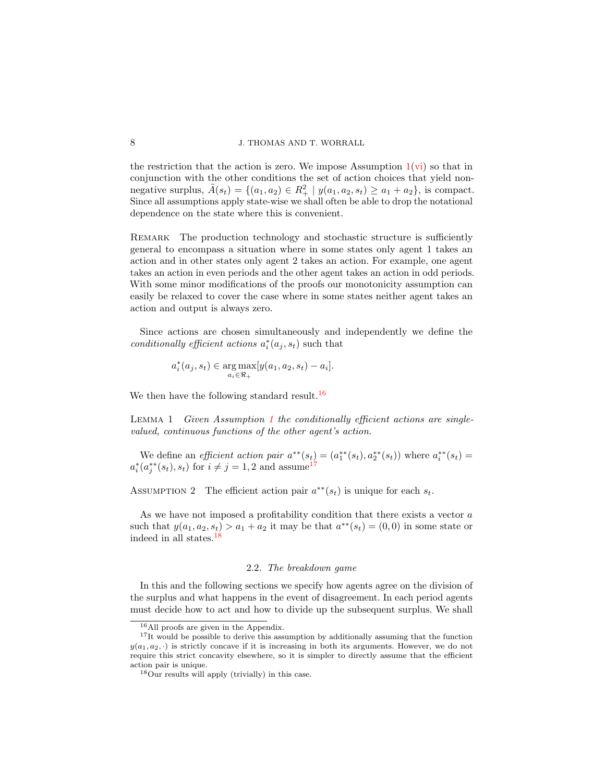the restriction that the action is zero. We impose Assumption  $1(vi)$  $1(vi)$  so that in conjunction with the other conditions the set of action choices that yield nonnegative surplus,  $\tilde{A}(s_t) = \{(a_1, a_2) \in R_+^2 \mid y(a_1, a_2, s_t) \ge a_1 + a_2\}$ , is compact. Since all assumptions apply state-wise we shall often be able to drop the notational dependence on the state where this is convenient.

REMARK The production technology and stochastic structure is sufficiently general to encompass a situation where in some states only agent 1 takes an action and in other states only agent 2 takes an action. For example, one agent takes an action in even periods and the other agent takes an action in odd periods. With some minor modifications of the proofs our monotonicity assumption can easily be relaxed to cover the case where in some states neither agent takes an action and output is always zero.

Since actions are chosen simultaneously and independently we define the conditionally efficient actions  $a_i^*(a_j, s_t)$  such that

$$
a_i^*(a_j, s_t) \in \underset{a_i \in \Re_+}{\arg \max} [y(a_1, a_2, s_t) - a_i].
$$

We then have the following standard result.<sup>[16](#page-7-0)</sup>

<span id="page-7-3"></span>Lemma 1 Given Assumption [1](#page-6-1) the conditionally efficient actions are singlevalued, continuous functions of the other agent's action.

We define an *efficient action pair*  $a^{**}(s_t) = (a_1^{**}(s_t), a_2^{**}(s_t))$  where  $a_i^{**}(s_t) =$  $a_i^*(a_j^{**}(s_t), s_t)$  for  $i \neq j = 1, 2$  and assume<sup>[17](#page-7-1)</sup>

ASSUMPTION 2 The efficient action pair  $a^{**}(s_t)$  is unique for each  $s_t$ .

As we have not imposed a profitability condition that there exists a vector a such that  $y(a_1, a_2, s_t) > a_1 + a_2$  it may be that  $a^{**}(s_t) = (0, 0)$  in some state or indeed in all states.[18](#page-7-2)

# 2.2. The breakdown game

In this and the following sections we specify how agents agree on the division of the surplus and what happens in the event of disagreement. In each period agents must decide how to act and how to divide up the subsequent surplus. We shall

<span id="page-7-1"></span><span id="page-7-0"></span> $^{16}\mathrm{All}$  proofs are given in the Appendix.

<sup>&</sup>lt;sup>17</sup>It would be possible to derive this assumption by additionally assuming that the function  $y(a_1, a_2, \cdot)$  is strictly concave if it is increasing in both its arguments. However, we do not require this strict concavity elsewhere, so it is simpler to directly assume that the efficient action pair is unique.

<span id="page-7-2"></span><sup>18</sup>Our results will apply (trivially) in this case.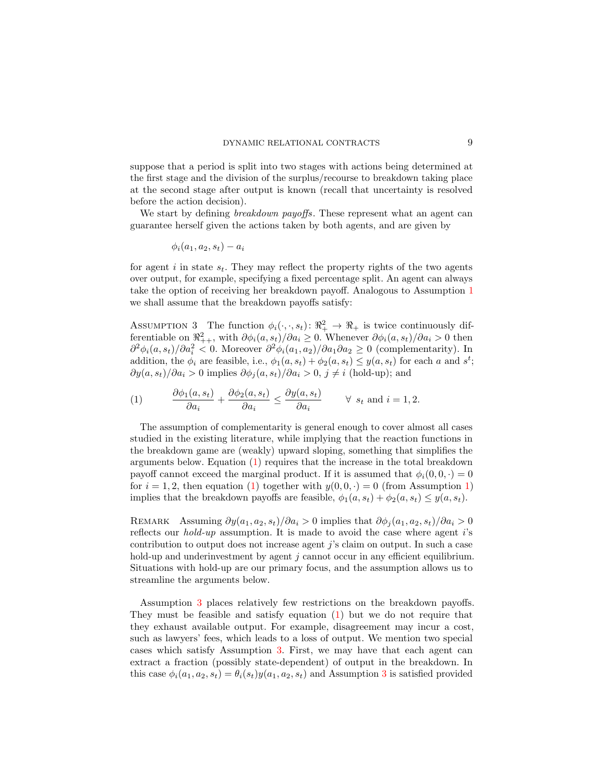suppose that a period is split into two stages with actions being determined at the first stage and the division of the surplus/recourse to breakdown taking place at the second stage after output is known (recall that uncertainty is resolved before the action decision).

We start by defining *breakdown payoffs*. These represent what an agent can guarantee herself given the actions taken by both agents, and are given by

<span id="page-8-0"></span>
$$
\phi_i(a_1, a_2, s_t) - a_i
$$

for agent i in state  $s_t$ . They may reflect the property rights of the two agents over output, for example, specifying a fixed percentage split. An agent can always take the option of receiving her breakdown payoff. Analogous to Assumption [1](#page-6-1) we shall assume that the breakdown payoffs satisfy:

<span id="page-8-1"></span>ASSUMPTION 3 The function  $\phi_i(\cdot,\cdot,s_t): \mathbb{R}^2_+ \to \mathbb{R}_+$  is twice continuously differentiable on  $\Re_{++}^2$ , with  $\partial \phi_i(a, s_t)/\partial a_i \geq 0$ . Whenever  $\partial \phi_i(a, s_t)/\partial a_i > 0$  then  $\partial^2 \phi_i(a, s_t) / \partial a_i^2 < 0$ . Moreover  $\partial^2 \phi_i(a_1, a_2) / \partial a_1 \partial a_2 \ge 0$  (complementarity). In addition, the  $\phi_i$  are feasible, i.e.,  $\phi_1(a, s_t) + \phi_2(a, s_t) \leq y(a, s_t)$  for each a and  $s^t$ ;  $\frac{\partial y(a, s_t)}{\partial a_i} > 0$  implies  $\frac{\partial \phi_j(a, s_t)}{\partial a_i} > 0$ ,  $j \neq i$  (hold-up); and

(1) 
$$
\frac{\partial \phi_1(a, s_t)}{\partial a_i} + \frac{\partial \phi_2(a, s_t)}{\partial a_i} \le \frac{\partial y(a, s_t)}{\partial a_i} \qquad \forall s_t \text{ and } i = 1, 2.
$$

The assumption of complementarity is general enough to cover almost all cases studied in the existing literature, while implying that the reaction functions in the breakdown game are (weakly) upward sloping, something that simplifies the arguments below. Equation [\(1\)](#page-8-0) requires that the increase in the total breakdown payoff cannot exceed the marginal product. If it is assumed that  $\phi_i(0,0, \cdot) = 0$ for  $i = 1, 2$ , then equation [\(1\)](#page-8-0) together with  $y(0, 0, \cdot) = 0$  (from Assumption [1\)](#page-6-1) implies that the breakdown payoffs are feasible,  $\phi_1(a, s_t) + \phi_2(a, s_t) \leq y(a, s_t)$ .

REMARK Assuming  $\partial y(a_1, a_2, s_t)/\partial a_i > 0$  implies that  $\partial \phi_j(a_1, a_2, s_t)/\partial a_i > 0$ reflects our *hold-up* assumption. It is made to avoid the case where agent  $i$ 's contribution to output does not increase agent j's claim on output. In such a case hold-up and underinvestment by agent j cannot occur in any efficient equilibrium. Situations with hold-up are our primary focus, and the assumption allows us to streamline the arguments below.

Assumption [3](#page-8-1) places relatively few restrictions on the breakdown payoffs. They must be feasible and satisfy equation [\(1\)](#page-8-0) but we do not require that they exhaust available output. For example, disagreement may incur a cost, such as lawyers' fees, which leads to a loss of output. We mention two special cases which satisfy Assumption [3.](#page-8-1) First, we may have that each agent can extract a fraction (possibly state-dependent) of output in the breakdown. In this case  $\phi_i(a_1, a_2, s_t) = \theta_i(s_t)y(a_1, a_2, s_t)$  and Assumption [3](#page-8-1) is satisfied provided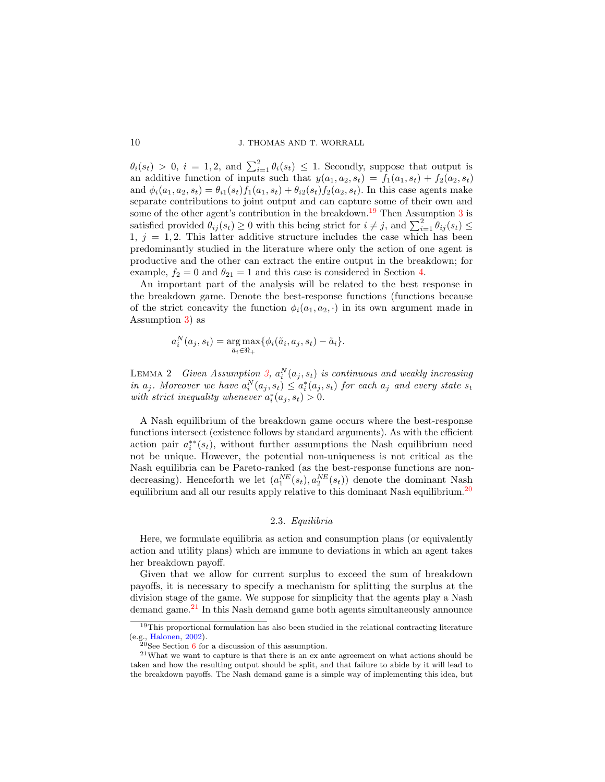$\theta_i(s_t) > 0, i = 1, 2, \text{ and } \sum_{i=1}^2 \theta_i(s_t) \leq 1.$  Secondly, suppose that output is an additive function of inputs such that  $y(a_1, a_2, s_t) = f_1(a_1, s_t) + f_2(a_2, s_t)$ and  $\phi_i(a_1, a_2, s_t) = \theta_{i1}(s_t) f_1(a_1, s_t) + \theta_{i2}(s_t) f_2(a_2, s_t)$ . In this case agents make separate contributions to joint output and can capture some of their own and some of the other agent's contribution in the breakdown.<sup>[19](#page-9-0)</sup> Then Assumption [3](#page-8-1) is satisfied provided  $\hat{\theta}_{ij}(s_t) \ge 0$  with this being strict for  $i \ne j$ , and  $\sum_{i=1}^{2} \hat{\theta}_{ij}(s_t) \le$  $1, j = 1, 2$ . This latter additive structure includes the case which has been predominantly studied in the literature where only the action of one agent is productive and the other can extract the entire output in the breakdown; for example,  $f_2 = 0$  and  $\theta_{21} = 1$  and this case is considered in Section [4.](#page-21-1)

An important part of the analysis will be related to the best response in the breakdown game. Denote the best-response functions (functions because of the strict concavity the function  $\phi_i(a_1, a_2, \cdot)$  in its own argument made in Assumption [3\)](#page-8-1) as

$$
a_i^N(a_j, s_t) = \underset{\tilde{a}_i \in \Re_+}{\arg \max} \{ \phi_i(\tilde{a}_i, a_j, s_t) - \tilde{a}_i \}.
$$

<span id="page-9-3"></span>LEMMA 2 Given Assumption [3,](#page-8-1)  $a_i^N(a_j, s_t)$  is continuous and weakly increasing in  $a_j$ . Moreover we have  $a_i^N(a_j, s_t) \le a_i^*(a_j, s_t)$  for each  $a_j$  and every state  $s_t$ with strict inequality whenever  $a_i^*(a_j, s_t) > 0$ .

A Nash equilibrium of the breakdown game occurs where the best-response functions intersect (existence follows by standard arguments). As with the efficient action pair  $a_i^{**}(s_t)$ , without further assumptions the Nash equilibrium need not be unique. However, the potential non-uniqueness is not critical as the Nash equilibria can be Pareto-ranked (as the best-response functions are nondecreasing). Henceforth we let  $(a_1^{NE}(s_t), a_2^{NE}(s_t))$  denote the dominant Nash equilibrium and all our results apply relative to this dominant Nash equilibrium.<sup>[20](#page-9-1)</sup>

# 2.3. Equilibria

Here, we formulate equilibria as action and consumption plans (or equivalently action and utility plans) which are immune to deviations in which an agent takes her breakdown payoff.

Given that we allow for current surplus to exceed the sum of breakdown payoffs, it is necessary to specify a mechanism for splitting the surplus at the division stage of the game. We suppose for simplicity that the agents play a Nash demand game.<sup>[21](#page-9-2)</sup> In this Nash demand game both agents simultaneously announce

<span id="page-9-0"></span><sup>19</sup>This proportional formulation has also been studied in the relational contracting literature (e.g., [Halonen,](#page-43-22) [2002\)](#page-43-22).

<span id="page-9-2"></span><span id="page-9-1"></span> $20$ See Section [6](#page-24-0) for a discussion of this assumption.

 $^{21}\rm{W}$  we want to capture is that there is an ex ante agreement on what actions should be taken and how the resulting output should be split, and that failure to abide by it will lead to the breakdown payoffs. The Nash demand game is a simple way of implementing this idea, but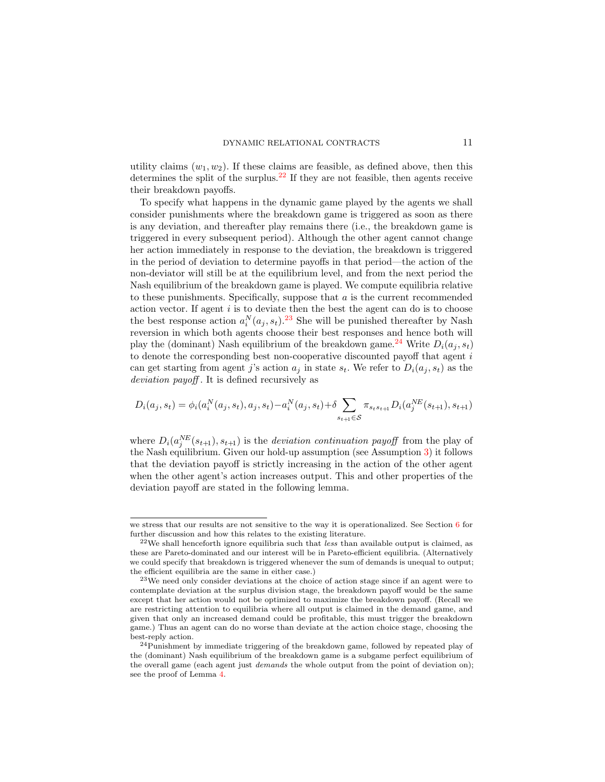utility claims  $(w_1, w_2)$ . If these claims are feasible, as defined above, then this determines the split of the surplus.<sup>[22](#page-10-0)</sup> If they are not feasible, then agents receive their breakdown payoffs.

To specify what happens in the dynamic game played by the agents we shall consider punishments where the breakdown game is triggered as soon as there is any deviation, and thereafter play remains there (i.e., the breakdown game is triggered in every subsequent period). Although the other agent cannot change her action immediately in response to the deviation, the breakdown is triggered in the period of deviation to determine payoffs in that period—the action of the non-deviator will still be at the equilibrium level, and from the next period the Nash equilibrium of the breakdown game is played. We compute equilibria relative to these punishments. Specifically, suppose that  $a$  is the current recommended action vector. If agent  $i$  is to deviate then the best the agent can do is to choose the best response action  $a_i^N(a_j, s_t)$ .<sup>[23](#page-10-1)</sup> She will be punished thereafter by Nash reversion in which both agents choose their best responses and hence both will play the (dominant) Nash equilibrium of the breakdown game.<sup>[24](#page-10-2)</sup> Write  $D_i(a_i, s_t)$ to denote the corresponding best non-cooperative discounted payoff that agent  $i$ can get starting from agent j's action  $a_i$  in state  $s_t$ . We refer to  $D_i(a_i, s_t)$  as the deviation payoff. It is defined recursively as

$$
D_i(a_j, s_t) = \phi_i(a_i^N(a_j, s_t), a_j, s_t) - a_i^N(a_j, s_t) + \delta \sum_{s_{t+1} \in S} \pi_{s_ts_{t+1}} D_i(a_j^{NE}(s_{t+1}), s_{t+1})
$$

where  $D_i(a_j^{NE}(s_{t+1}), s_{t+1})$  is the *deviation continuation payoff* from the play of the Nash equilibrium. Given our hold-up assumption (see Assumption [3\)](#page-8-1) it follows that the deviation payoff is strictly increasing in the action of the other agent when the other agent's action increases output. This and other properties of the deviation payoff are stated in the following lemma.

we stress that our results are not sensitive to the way it is operationalized. See Section [6](#page-24-0) for further discussion and how this relates to the existing literature.

<span id="page-10-0"></span> $22$ We shall henceforth ignore equilibria such that less than available output is claimed, as these are Pareto-dominated and our interest will be in Pareto-efficient equilibria. (Alternatively we could specify that breakdown is triggered whenever the sum of demands is unequal to output; the efficient equilibria are the same in either case.)

<span id="page-10-1"></span><sup>23</sup>We need only consider deviations at the choice of action stage since if an agent were to contemplate deviation at the surplus division stage, the breakdown payoff would be the same except that her action would not be optimized to maximize the breakdown payoff. (Recall we are restricting attention to equilibria where all output is claimed in the demand game, and given that only an increased demand could be profitable, this must trigger the breakdown game.) Thus an agent can do no worse than deviate at the action choice stage, choosing the best-reply action.

<span id="page-10-2"></span><sup>24</sup>Punishment by immediate triggering of the breakdown game, followed by repeated play of the (dominant) Nash equilibrium of the breakdown game is a subgame perfect equilibrium of the overall game (each agent just demands the whole output from the point of deviation on); see the proof of Lemma [4.](#page-12-1)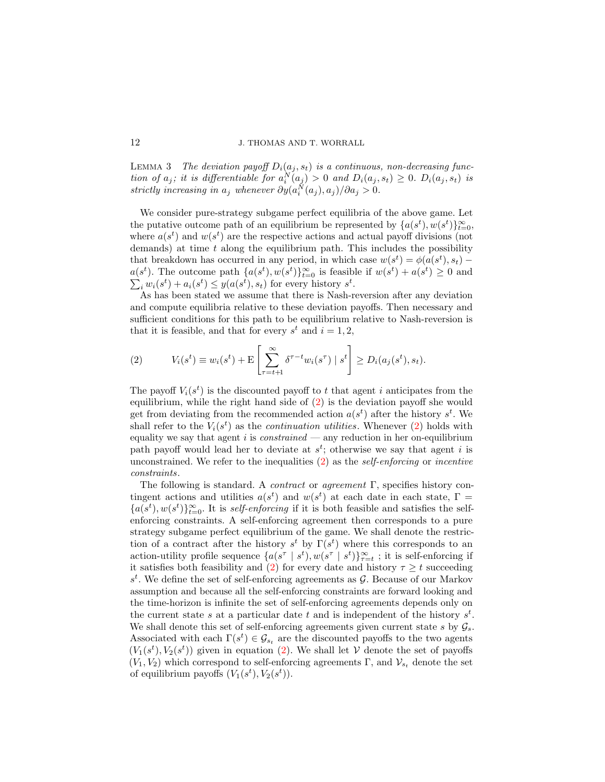# 12 J. THOMAS AND T. WORRALL

<span id="page-11-1"></span>LEMMA 3 The deviation payoff  $D_i(a_j, s_t)$  is a continuous, non-decreasing function of  $a_j$ ; it is differentiable for  $a_i^N(a_j) > 0$  and  $D_i(a_j, s_t) \geq 0$ .  $D_i(a_j, s_t)$  is strictly increasing in  $a_j$  whenever  $\partial y(a_i^N(a_j), a_j)/\partial a_j > 0$ .

We consider pure-strategy subgame perfect equilibria of the above game. Let the putative outcome path of an equilibrium be represented by  $\{a(s^t), w(s^t)\}_{t=0}^{\infty}$ , where  $a(s^t)$  and  $w(s^t)$  are the respective actions and actual payoff divisions (not demands) at time  $t$  along the equilibrium path. This includes the possibility that breakdown has occurred in any period, in which case  $w(s^t) = \phi(a(s^t), s_t)$  $a(s^t)$ . The outcome path  $\{a(s^t), w(s^t)\}_{t=0}^{\infty}$  is feasible if  $w(s^t) + a(s^t)$ P  $) \geq 0$  and  $i w_i(s^t) + a_i(s^t) \leq y(a(s^t), s_t)$  for every history  $s^t$ .

As has been stated we assume that there is Nash-reversion after any deviation and compute equilibria relative to these deviation payoffs. Then necessary and sufficient conditions for this path to be equilibrium relative to Nash-reversion is that it is feasible, and that for every  $s^t$  and  $i = 1, 2$ ,

<span id="page-11-0"></span>(2) 
$$
V_i(s^t) \equiv w_i(s^t) + \mathcal{E}\left[\sum_{\tau=t+1}^{\infty} \delta^{\tau-t} w_i(s^{\tau}) \mid s^t\right] \ge D_i(a_j(s^t), s_t).
$$

The payoff  $V_i(s^t)$  is the discounted payoff to t that agent i anticipates from the equilibrium, while the right hand side of [\(2\)](#page-11-0) is the deviation payoff she would get from deviating from the recommended action  $a(s^t)$  after the history  $s^t$ . We shall refer to the  $V_i(s^t)$  as the *continuation utilities*. Whenever [\(2\)](#page-11-0) holds with equality we say that agent i is *constrained* — any reduction in her on-equilibrium path payoff would lead her to deviate at  $s^t$ ; otherwise we say that agent i is unconstrained. We refer to the inequalities  $(2)$  as the self-enforcing or incentive constraints.

The following is standard. A *contract* or *agreement*  $\Gamma$ , specifies history contingent actions and utilities  $a(s^t)$  and  $w(s^t)$  at each date in each state,  $\Gamma =$  ${a(s^t), w(s^t)}_{t=0}^{\infty}$ . It is *self-enforcing* if it is both feasible and satisfies the selfenforcing constraints. A self-enforcing agreement then corresponds to a pure strategy subgame perfect equilibrium of the game. We shall denote the restriction of a contract after the history  $s^t$  by  $\Gamma(s^t)$  where this corresponds to an action-utility profile sequence  $\{a(s^{\tau} | s^t), w(s^{\tau} | s^t)\}_{\tau=t}^{\infty}$ ; it is self-enforcing if it satisfies both feasibility and [\(2\)](#page-11-0) for every date and history  $\tau \geq t$  succeeding  $s<sup>t</sup>$ . We define the set of self-enforcing agreements as  $\mathcal{G}$ . Because of our Markov assumption and because all the self-enforcing constraints are forward looking and the time-horizon is infinite the set of self-enforcing agreements depends only on the current state s at a particular date t and is independent of the history  $s^t$ . We shall denote this set of self-enforcing agreements given current state s by  $\mathcal{G}_s$ . Associated with each  $\Gamma(s^t) \in \mathcal{G}_{s_t}$  are the discounted payoffs to the two agents  $(V_1(s^t), V_2(s^t))$  given in equation [\(2\)](#page-11-0). We shall let V denote the set of payoffs  $(V_1, V_2)$  which correspond to self-enforcing agreements Γ, and  $V_{s_t}$  denote the set of equilibrium payoffs  $(V_1(s^t), V_2(s^t))$ .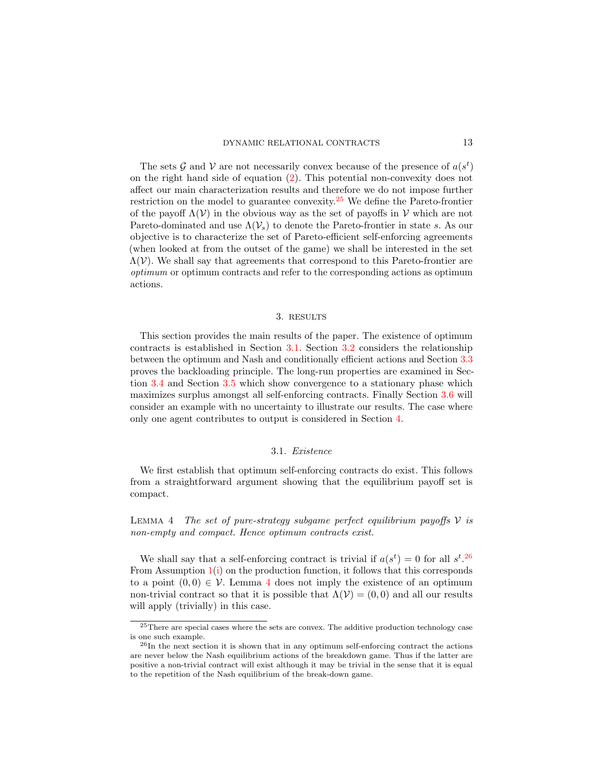The sets G and V are not necessarily convex because of the presence of  $a(s^t)$ on the right hand side of equation [\(2\)](#page-11-0). This potential non-convexity does not affect our main characterization results and therefore we do not impose further restriction on the model to guarantee convexity.<sup>[25](#page-12-2)</sup> We define the Pareto-frontier of the payoff  $\Lambda(V)$  in the obvious way as the set of payoffs in V which are not Pareto-dominated and use  $\Lambda(\mathcal{V}_s)$  to denote the Pareto-frontier in state s. As our objective is to characterize the set of Pareto-efficient self-enforcing agreements (when looked at from the outset of the game) we shall be interested in the set  $\Lambda(V)$ . We shall say that agreements that correspond to this Pareto-frontier are optimum or optimum contracts and refer to the corresponding actions as optimum actions.

### 3. RESULTS

<span id="page-12-0"></span>This section provides the main results of the paper. The existence of optimum contracts is established in Section [3.1.](#page-12-3) Section [3.2](#page-13-0) considers the relationship between the optimum and Nash and conditionally efficient actions and Section [3.3](#page-14-0) proves the backloading principle. The long-run properties are examined in Section [3.4](#page-16-0) and Section [3.5](#page-17-0) which show convergence to a stationary phase which maximizes surplus amongst all self-enforcing contracts. Finally Section [3.6](#page-19-0) will consider an example with no uncertainty to illustrate our results. The case where only one agent contributes to output is considered in Section [4.](#page-21-1)

# 3.1. Existence

<span id="page-12-3"></span>We first establish that optimum self-enforcing contracts do exist. This follows from a straightforward argument showing that the equilibrium payoff set is compact.

<span id="page-12-1"></span>LEMMA 4 The set of pure-strategy subgame perfect equilibrium payoffs  $V$  is non-empty and compact. Hence optimum contracts exist.

We shall say that a self-enforcing contract is trivial if  $a(s^t) = 0$  for all  $s^t$ . [26](#page-12-4) From Assumption  $1(i)$  $1(i)$  on the production function, it follows that this corresponds to a point  $(0,0) \in \mathcal{V}$ . Lemma [4](#page-12-1) does not imply the existence of an optimum non-trivial contract so that it is possible that  $\Lambda(V) = (0,0)$  and all our results will apply (trivially) in this case.

<span id="page-12-2"></span><sup>25</sup>There are special cases where the sets are convex. The additive production technology case is one such example.

<span id="page-12-4"></span> $^{26}$ In the next section it is shown that in any optimum self-enforcing contract the actions are never below the Nash equilibrium actions of the breakdown game. Thus if the latter are positive a non-trivial contract will exist although it may be trivial in the sense that it is equal to the repetition of the Nash equilibrium of the break-down game.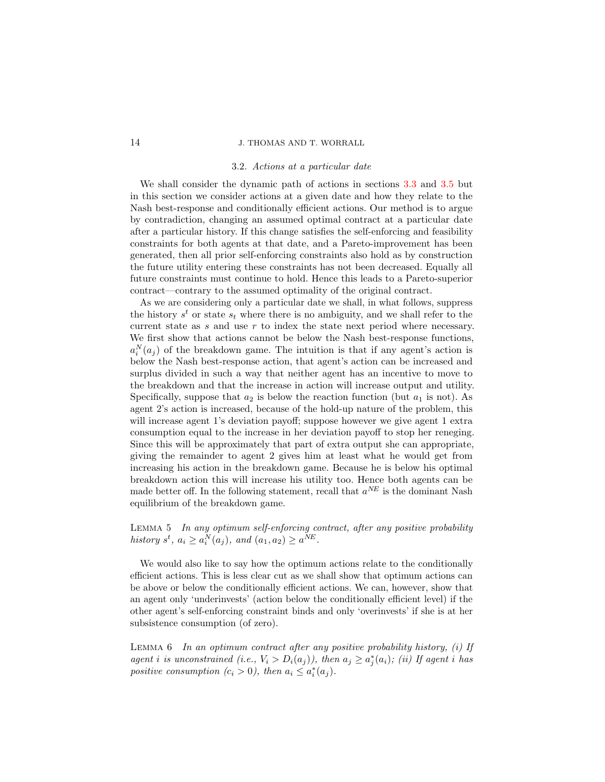# 14 J. THOMAS AND T. WORRALL

#### 3.2. Actions at a particular date

<span id="page-13-0"></span>We shall consider the dynamic path of actions in sections [3.3](#page-14-0) and [3.5](#page-17-0) but in this section we consider actions at a given date and how they relate to the Nash best-response and conditionally efficient actions. Our method is to argue by contradiction, changing an assumed optimal contract at a particular date after a particular history. If this change satisfies the self-enforcing and feasibility constraints for both agents at that date, and a Pareto-improvement has been generated, then all prior self-enforcing constraints also hold as by construction the future utility entering these constraints has not been decreased. Equally all future constraints must continue to hold. Hence this leads to a Pareto-superior contract—contrary to the assumed optimality of the original contract.

As we are considering only a particular date we shall, in what follows, suppress the history  $s^t$  or state  $s_t$  where there is no ambiguity, and we shall refer to the current state as  $s$  and use  $r$  to index the state next period where necessary. We first show that actions cannot be below the Nash best-response functions,  $a_i^N(a_j)$  of the breakdown game. The intuition is that if any agent's action is below the Nash best-response action, that agent's action can be increased and surplus divided in such a way that neither agent has an incentive to move to the breakdown and that the increase in action will increase output and utility. Specifically, suppose that  $a_2$  is below the reaction function (but  $a_1$  is not). As agent 2's action is increased, because of the hold-up nature of the problem, this will increase agent 1's deviation payoff; suppose however we give agent 1 extra consumption equal to the increase in her deviation payoff to stop her reneging. Since this will be approximately that part of extra output she can appropriate, giving the remainder to agent 2 gives him at least what he would get from increasing his action in the breakdown game. Because he is below his optimal breakdown action this will increase his utility too. Hence both agents can be made better off. In the following statement, recall that  $a^{NE}$  is the dominant Nash equilibrium of the breakdown game.

# <span id="page-13-2"></span>Lemma 5 In any optimum self-enforcing contract, after any positive probability history  $s^t$ ,  $a_i \ge a_i^N(a_j)$ , and  $(a_1, a_2) \ge a^{NE}$ .

We would also like to say how the optimum actions relate to the conditionally efficient actions. This is less clear cut as we shall show that optimum actions can be above or below the conditionally efficient actions. We can, however, show that an agent only 'underinvests' (action below the conditionally efficient level) if the other agent's self-enforcing constraint binds and only 'overinvests' if she is at her subsistence consumption (of zero).

<span id="page-13-4"></span><span id="page-13-3"></span><span id="page-13-1"></span>LEMMA  $6$  In an optimum contract after any positive probability history, (i) If agent i is unconstrained (i.e.,  $V_i > D_i(a_j)$ ), then  $a_j \ge a_j^*(a_i)$ ; (ii) If agent i has positive consumption  $(c_i > 0)$ , then  $a_i \leq a_i^*(a_j)$ .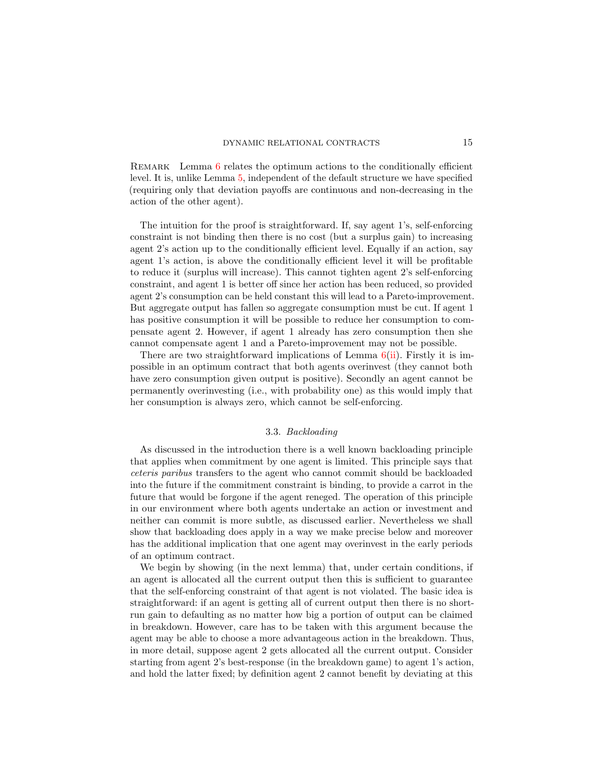REMARK Lemma [6](#page-13-1) relates the optimum actions to the conditionally efficient level. It is, unlike Lemma [5,](#page-13-2) independent of the default structure we have specified (requiring only that deviation payoffs are continuous and non-decreasing in the action of the other agent).

The intuition for the proof is straightforward. If, say agent 1's, self-enforcing constraint is not binding then there is no cost (but a surplus gain) to increasing agent 2's action up to the conditionally efficient level. Equally if an action, say agent 1's action, is above the conditionally efficient level it will be profitable to reduce it (surplus will increase). This cannot tighten agent 2's self-enforcing constraint, and agent 1 is better off since her action has been reduced, so provided agent 2's consumption can be held constant this will lead to a Pareto-improvement. But aggregate output has fallen so aggregate consumption must be cut. If agent 1 has positive consumption it will be possible to reduce her consumption to compensate agent 2. However, if agent 1 already has zero consumption then she cannot compensate agent 1 and a Pareto-improvement may not be possible.

There are two straightforward implications of Lemma  $6(ii)$  $6(ii)$ . Firstly it is impossible in an optimum contract that both agents overinvest (they cannot both have zero consumption given output is positive). Secondly an agent cannot be permanently overinvesting (i.e., with probability one) as this would imply that her consumption is always zero, which cannot be self-enforcing.

#### 3.3. Backloading

<span id="page-14-0"></span>As discussed in the introduction there is a well known backloading principle that applies when commitment by one agent is limited. This principle says that ceteris paribus transfers to the agent who cannot commit should be backloaded into the future if the commitment constraint is binding, to provide a carrot in the future that would be forgone if the agent reneged. The operation of this principle in our environment where both agents undertake an action or investment and neither can commit is more subtle, as discussed earlier. Nevertheless we shall show that backloading does apply in a way we make precise below and moreover has the additional implication that one agent may overinvest in the early periods of an optimum contract.

We begin by showing (in the next lemma) that, under certain conditions, if an agent is allocated all the current output then this is sufficient to guarantee that the self-enforcing constraint of that agent is not violated. The basic idea is straightforward: if an agent is getting all of current output then there is no shortrun gain to defaulting as no matter how big a portion of output can be claimed in breakdown. However, care has to be taken with this argument because the agent may be able to choose a more advantageous action in the breakdown. Thus, in more detail, suppose agent 2 gets allocated all the current output. Consider starting from agent 2's best-response (in the breakdown game) to agent 1's action, and hold the latter fixed; by definition agent 2 cannot benefit by deviating at this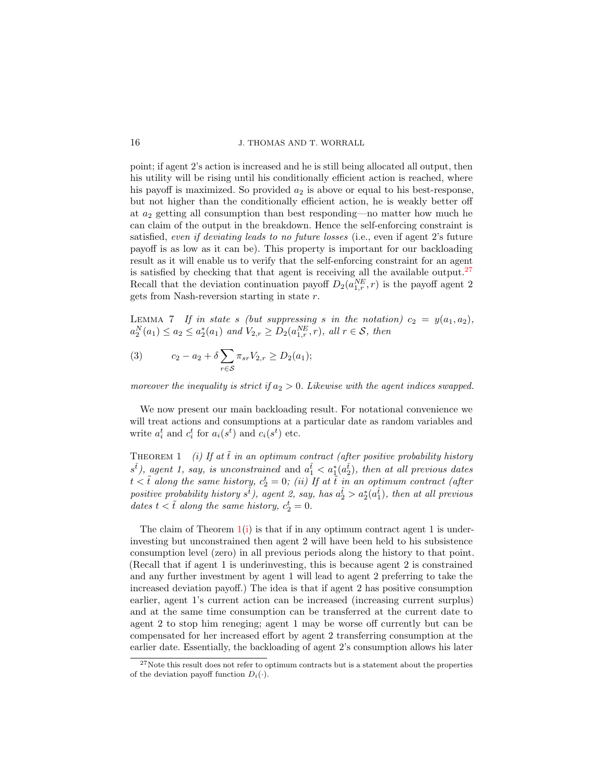point; if agent 2's action is increased and he is still being allocated all output, then his utility will be rising until his conditionally efficient action is reached, where his payoff is maximized. So provided  $a_2$  is above or equal to his best-response, but not higher than the conditionally efficient action, he is weakly better off at  $a_2$  getting all consumption than best responding—no matter how much he can claim of the output in the breakdown. Hence the self-enforcing constraint is satisfied, even if deviating leads to no future losses (i.e., even if agent 2's future payoff is as low as it can be). This property is important for our backloading result as it will enable us to verify that the self-enforcing constraint for an agent is satisfied by checking that that agent is receiving all the available output. $27$ Recall that the deviation continuation payoff  $D_2(a_{1,r}^{NE}, r)$  is the payoff agent 2 gets from Nash-reversion starting in state r.

<span id="page-15-4"></span><span id="page-15-3"></span>LEMMA 7 If in state s (but suppressing s in the notation)  $c_2 = y(a_1, a_2)$ ,  $a_2^N(a_1) \le a_2 \le a_2^*(a_1)$  and  $V_{2,r} \ge D_2(a_{1,r}^{NE}, r)$ , all  $r \in S$ , then

(3) 
$$
c_2 - a_2 + \delta \sum_{r \in S} \pi_{sr} V_{2,r} \ge D_2(a_1);
$$

moreover the inequality is strict if  $a_2 > 0$ . Likewise with the agent indices swapped.

We now present our main backloading result. For notational convenience we will treat actions and consumptions at a particular date as random variables and write  $a_i^t$  and  $c_i^t$  for  $a_i(s^t)$  and  $c_i(s^t)$  etc.

<span id="page-15-2"></span><span id="page-15-1"></span>THEOREM 1 (i) If at  $\tilde{t}$  in an optimum contract (after positive probability history  $s^{\tilde{t}}$ ), agent 1, say, is unconstrained and  $a_1^{\tilde{t}} < a_1^*(a_2^{\tilde{t}})$ , then at all previous dates  $t<\tilde{t}$  along the same history,  $c_2^t=0$ ; (ii) If at  $\tilde{t}$  in an optimum contract (after positive probability history  $s^{\tilde{t}}$ ), agent 2, say, has  $a_2^{\tilde{t}} > a_2^*(a_1^{\tilde{t}})$ , then at all previous dates  $t < \tilde{t}$  along the same history,  $c_2^t = 0$ .

The claim of Theorem  $1(i)$  $1(i)$  is that if in any optimum contract agent 1 is underinvesting but unconstrained then agent 2 will have been held to his subsistence consumption level (zero) in all previous periods along the history to that point. (Recall that if agent 1 is underinvesting, this is because agent 2 is constrained and any further investment by agent 1 will lead to agent 2 preferring to take the increased deviation payoff.) The idea is that if agent 2 has positive consumption earlier, agent 1's current action can be increased (increasing current surplus) and at the same time consumption can be transferred at the current date to agent 2 to stop him reneging; agent 1 may be worse off currently but can be compensated for her increased effort by agent 2 transferring consumption at the earlier date. Essentially, the backloading of agent 2's consumption allows his later

<span id="page-15-0"></span> $27$ Note this result does not refer to optimum contracts but is a statement about the properties of the deviation payoff function  $D_i(\cdot)$ .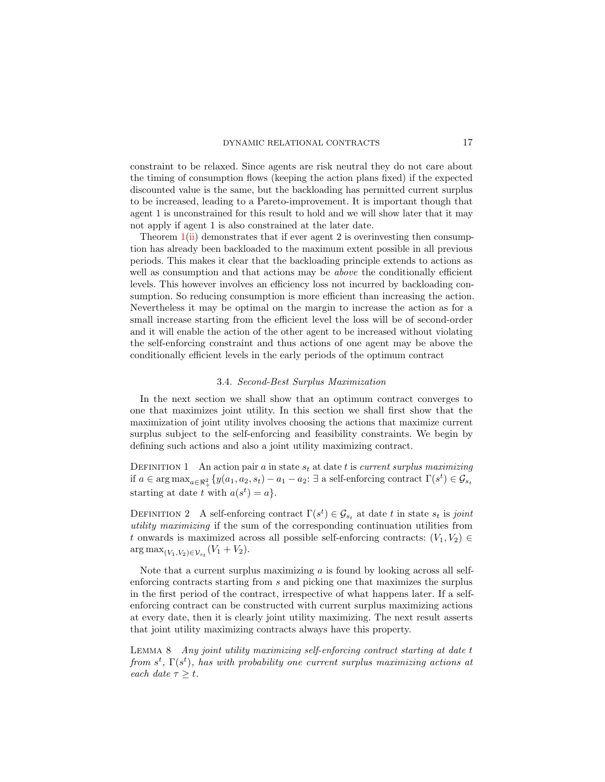constraint to be relaxed. Since agents are risk neutral they do not care about the timing of consumption flows (keeping the action plans fixed) if the expected discounted value is the same, but the backloading has permitted current surplus to be increased, leading to a Pareto-improvement. It is important though that agent 1 is unconstrained for this result to hold and we will show later that it may not apply if agent 1 is also constrained at the later date.

Theorem  $1(i)$  $1(i)$  demonstrates that if ever agent 2 is overinvesting then consumption has already been backloaded to the maximum extent possible in all previous periods. This makes it clear that the backloading principle extends to actions as well as consumption and that actions may be *above* the conditionally efficient levels. This however involves an efficiency loss not incurred by backloading consumption. So reducing consumption is more efficient than increasing the action. Nevertheless it may be optimal on the margin to increase the action as for a small increase starting from the efficient level the loss will be of second-order and it will enable the action of the other agent to be increased without violating the self-enforcing constraint and thus actions of one agent may be above the conditionally efficient levels in the early periods of the optimum contract

# 3.4. Second-Best Surplus Maximization

<span id="page-16-0"></span>In the next section we shall show that an optimum contract converges to one that maximizes joint utility. In this section we shall first show that the maximization of joint utility involves choosing the actions that maximize current surplus subject to the self-enforcing and feasibility constraints. We begin by defining such actions and also a joint utility maximizing contract.

DEFINITION 1 An action pair  $a$  in state  $s_t$  at date  $t$  is current surplus maximizing if  $a \in \arg\max_{a \in \Re^2_+} \{y(a_1, a_2, s_t) - a_1 - a_2 : \exists \text{ a self-enforcing contract } \Gamma(s^t) \in \mathcal{G}_{s_t}\}$ starting at date t with  $a(s^t) = a$ .

DEFINITION 2 A self-enforcing contract  $\Gamma(s^t) \in \mathcal{G}_{s_t}$  at date t in state  $s_t$  is joint utility maximizing if the sum of the corresponding continuation utilities from t onwards is maximized across all possible self-enforcing contracts:  $(V_1, V_2) \in$  $\arg \max_{(V_1, V_2) \in \mathcal{V}_{s_t}} (V_1 + V_2).$ 

Note that a current surplus maximizing  $\alpha$  is found by looking across all selfenforcing contracts starting from s and picking one that maximizes the surplus in the first period of the contract, irrespective of what happens later. If a selfenforcing contract can be constructed with current surplus maximizing actions at every date, then it is clearly joint utility maximizing. The next result asserts that joint utility maximizing contracts always have this property.

<span id="page-16-1"></span>Lemma 8 Any joint utility maximizing self-enforcing contract starting at date t from  $s^t$ ,  $\Gamma(s^t)$ , has with probability one current surplus maximizing actions at each date  $\tau \geq t$ .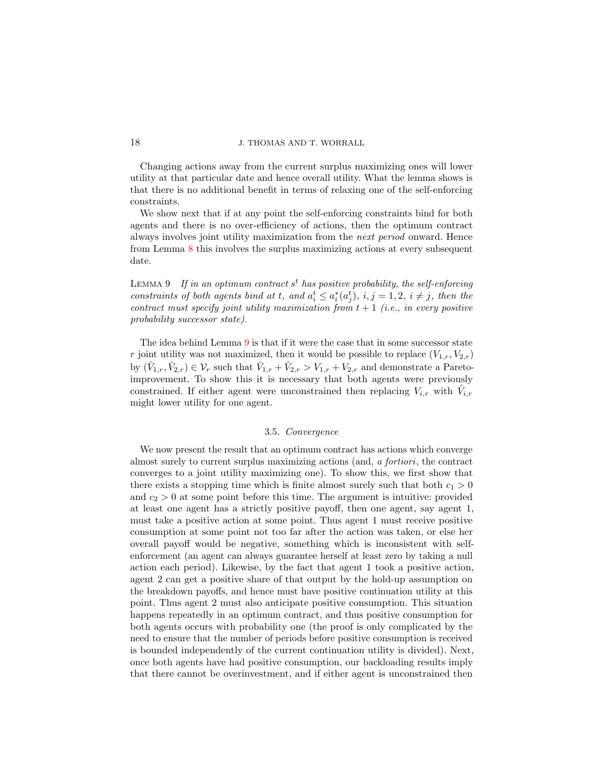Changing actions away from the current surplus maximizing ones will lower utility at that particular date and hence overall utility. What the lemma shows is that there is no additional benefit in terms of relaxing one of the self-enforcing constraints.

We show next that if at any point the self-enforcing constraints bind for both agents and there is no over-efficiency of actions, then the optimum contract always involves joint utility maximization from the next period onward. Hence from Lemma [8](#page-16-1) this involves the surplus maximizing actions at every subsequent date.

<span id="page-17-1"></span>LEMMA 9 If in an optimum contract  $s<sup>t</sup>$  has positive probability, the self-enforcing constraints of both agents bind at t, and  $a_i^t \leq a_i^*(a_j^t)$ ,  $i, j = 1, 2, i \neq j$ , then the contract must specify joint utility maximization from  $t + 1$  (i.e., in every positive probability successor state).

The idea behind Lemma [9](#page-17-1) is that if it were the case that in some successor state r joint utility was not maximized, then it would be possible to replace  $(V_{1,r}, V_{2,r})$ by  $(\hat{V}_{1,r}, \hat{V}_{2,r}) \in \mathcal{V}_r$  such that  $\hat{V}_{1,r} + \hat{V}_{2,r} > V_{1,r} + V_{2,r}$  and demonstrate a Paretoimprovement. To show this it is necessary that both agents were previously constrained. If either agent were unconstrained then replacing  $V_{i,r}$  with  $V_{i,r}$ might lower utility for one agent.

#### 3.5. Convergence

<span id="page-17-0"></span>We now present the result that an optimum contract has actions which converge almost surely to current surplus maximizing actions (and, a fortiori, the contract converges to a joint utility maximizing one). To show this, we first show that there exists a stopping time which is finite almost surely such that both  $c_1 > 0$ and  $c_2 > 0$  at some point before this time. The argument is intuitive: provided at least one agent has a strictly positive payoff, then one agent, say agent 1, must take a positive action at some point. Thus agent 1 must receive positive consumption at some point not too far after the action was taken, or else her overall payoff would be negative, something which is inconsistent with selfenforcement (an agent can always guarantee herself at least zero by taking a null action each period). Likewise, by the fact that agent 1 took a positive action, agent 2 can get a positive share of that output by the hold-up assumption on the breakdown payoffs, and hence must have positive continuation utility at this point. Thus agent 2 must also anticipate positive consumption. This situation happens repeatedly in an optimum contract, and thus positive consumption for both agents occurs with probability one (the proof is only complicated by the need to ensure that the number of periods before positive consumption is received is bounded independently of the current continuation utility is divided). Next, once both agents have had positive consumption, our backloading results imply that there cannot be overinvestment, and if either agent is unconstrained then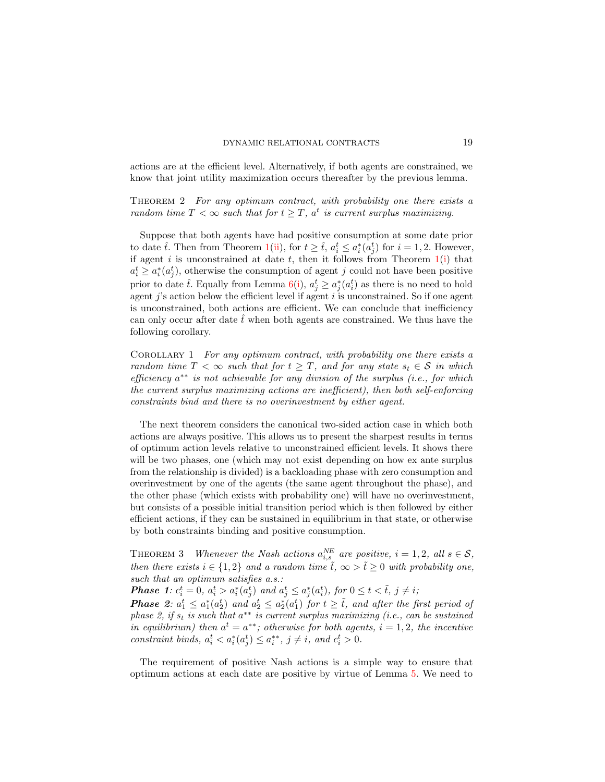actions are at the efficient level. Alternatively, if both agents are constrained, we know that joint utility maximization occurs thereafter by the previous lemma.

<span id="page-18-0"></span>THEOREM 2 For any optimum contract, with probability one there exists a random time  $T < \infty$  such that for  $t \geq T$ ,  $a^t$  is current surplus maximizing.

Suppose that both agents have had positive consumption at some date prior to date  $\hat{t}$ . Then from Theorem [1](#page-0-1)[\(ii\)](#page-15-2), for  $t \geq \hat{t}$ ,  $a_i^t \leq a_i^*(a_j^t)$  for  $i = 1, 2$ . However, if agent i is unconstrained at date  $t$ , then it follows from Theorem  $1(i)$  $1(i)$  that  $a_i^t \ge a_i^*(a_j^t)$ , otherwise the consumption of agent j could not have been positive prior to date  $\hat{t}$ . Equally from Lemma  $6(i)$  $6(i)$ ,  $a_j^t \ge a_j^*(a_i^t)$  as there is no need to hold agent j's action below the efficient level if agent  $i$  is unconstrained. So if one agent is unconstrained, both actions are efficient. We can conclude that inefficiency can only occur after date  $\hat{t}$  when both agents are constrained. We thus have the following corollary.

COROLLARY 1 For any optimum contract, with probability one there exists a random time  $T < \infty$  such that for  $t \geq T$ , and for any state  $s_t \in S$  in which efficiency  $a^{**}$  is not achievable for any division of the surplus (i.e., for which the current surplus maximizing actions are inefficient), then both self-enforcing constraints bind and there is no overinvestment by either agent.

The next theorem considers the canonical two-sided action case in which both actions are always positive. This allows us to present the sharpest results in terms of optimum action levels relative to unconstrained efficient levels. It shows there will be two phases, one (which may not exist depending on how ex ante surplus from the relationship is divided) is a backloading phase with zero consumption and overinvestment by one of the agents (the same agent throughout the phase), and the other phase (which exists with probability one) will have no overinvestment, but consists of a possible initial transition period which is then followed by either efficient actions, if they can be sustained in equilibrium in that state, or otherwise by both constraints binding and positive consumption.

<span id="page-18-1"></span>THEOREM 3 Whenever the Nash actions  $a_{i,s}^{NE}$  are positive,  $i = 1, 2$ , all  $s \in S$ , then there exists  $i \in \{1,2\}$  and a random time  $\tilde{t}, \infty > \tilde{t} \geq 0$  with probability one, such that an optimum satisfies a.s.:

**Phase 1:**  $c_i^t = 0$ ,  $a_i^t > a_i^*(a_j^t)$  and  $a_j^t \le a_j^*(a_i^t)$ , for  $0 \le t < \tilde{t}$ ,  $j \ne i$ ;

**Phase** 2:  $a_1^t \leq a_1^*(a_2^t)$  and  $a_2^t \leq a_2^*(a_1^t)$  for  $t \geq \tilde{t}$ , and after the first period of phase 2, if  $s_t$  is such that  $a^{**}$  is current surplus maximizing (i.e., can be sustained in equilibrium) then  $a^t = a^{**}$ ; otherwise for both agents,  $i = 1, 2$ , the incentive constraint binds,  $a_i^t < a_i^*(a_j^t) \le a_i^{**}$ ,  $j \ne i$ , and  $c_i^t > 0$ .

The requirement of positive Nash actions is a simple way to ensure that optimum actions at each date are positive by virtue of Lemma [5.](#page-13-2) We need to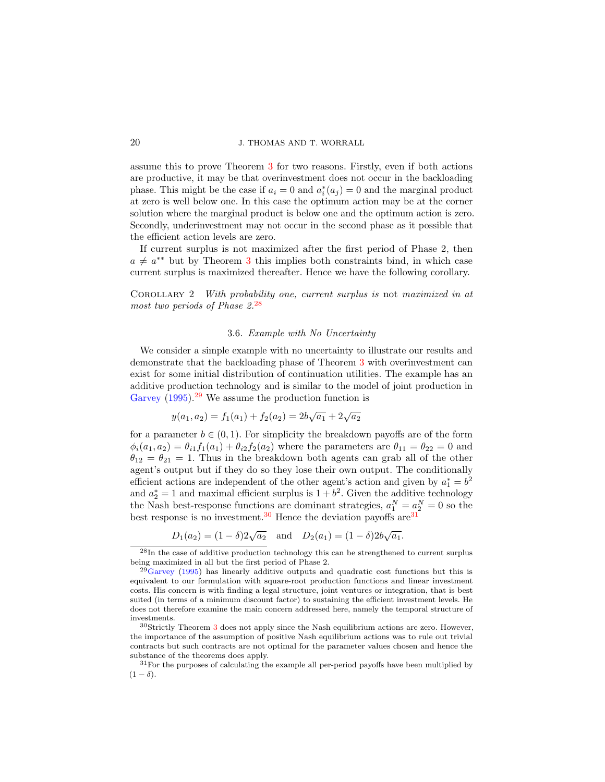assume this to prove Theorem [3](#page-18-1) for two reasons. Firstly, even if both actions are productive, it may be that overinvestment does not occur in the backloading phase. This might be the case if  $a_i = 0$  and  $a_i^*(a_j) = 0$  and the marginal product at zero is well below one. In this case the optimum action may be at the corner solution where the marginal product is below one and the optimum action is zero. Secondly, underinvestment may not occur in the second phase as it possible that the efficient action levels are zero.

If current surplus is not maximized after the first period of Phase 2, then  $a \neq a^{**}$  but by Theorem [3](#page-18-1) this implies both constraints bind, in which case current surplus is maximized thereafter. Hence we have the following corollary.

Corollary 2 With probability one, current surplus is not maximized in at most two periods of Phase  $2^{28}$  $2^{28}$  $2^{28}$ 

### 3.6. Example with No Uncertainty

<span id="page-19-0"></span>We consider a simple example with no uncertainty to illustrate our results and demonstrate that the backloading phase of Theorem [3](#page-18-1) with overinvestment can exist for some initial distribution of continuation utilities. The example has an additive production technology and is similar to the model of joint production in [Garvey](#page-43-23)  $(1995).^{29}$  $(1995).^{29}$  $(1995).^{29}$  $(1995).^{29}$  We assume the production function is

$$
y(a_1, a_2) = f_1(a_1) + f_2(a_2) = 2b\sqrt{a_1} + 2\sqrt{a_2}
$$

for a parameter  $b \in (0, 1)$ . For simplicity the breakdown payoffs are of the form  $\phi_i(a_1, a_2) = \theta_{i1} f_1(a_1) + \theta_{i2} f_2(a_2)$  where the parameters are  $\theta_{11} = \theta_{22} = 0$  and  $\theta_{12} = \theta_{21} = 1$ . Thus in the breakdown both agents can grab all of the other agent's output but if they do so they lose their own output. The conditionally efficient actions are independent of the other agent's action and given by  $a_1^* = b^2$ and  $a_2^* = 1$  and maximal efficient surplus is  $1 + b^2$ . Given the additive technology the Nash best-response functions are dominant strategies,  $a_1^N = a_2^N = 0$  so the best response is no investment.<sup>[30](#page-19-3)</sup> Hence the deviation payoffs are<sup>[31](#page-19-4)</sup>

 $D_1(a_2) = (1 - \delta)2\sqrt{a_2}$  and  $D_2(a_1) = (1 - \delta)2b\sqrt{a_1}$ .

<span id="page-19-1"></span><sup>28</sup>In the case of additive production technology this can be strengthened to current surplus being maximized in all but the first period of Phase 2.

<span id="page-19-2"></span> $^{29}$ [Garvey](#page-43-23) [\(1995\)](#page-43-23) has linearly additive outputs and quadratic cost functions but this is equivalent to our formulation with square-root production functions and linear investment costs. His concern is with finding a legal structure, joint ventures or integration, that is best suited (in terms of a minimum discount factor) to sustaining the efficient investment levels. He does not therefore examine the main concern addressed here, namely the temporal structure of investments.

<span id="page-19-3"></span> $30$  $30$ Strictly Theorem 3 does not apply since the Nash equilibrium actions are zero. However, the importance of the assumption of positive Nash equilibrium actions was to rule out trivial contracts but such contracts are not optimal for the parameter values chosen and hence the substance of the theorems does apply.

<span id="page-19-4"></span><sup>&</sup>lt;sup>31</sup>For the purposes of calculating the example all per-period payoffs have been multiplied by  $(1 - \delta).$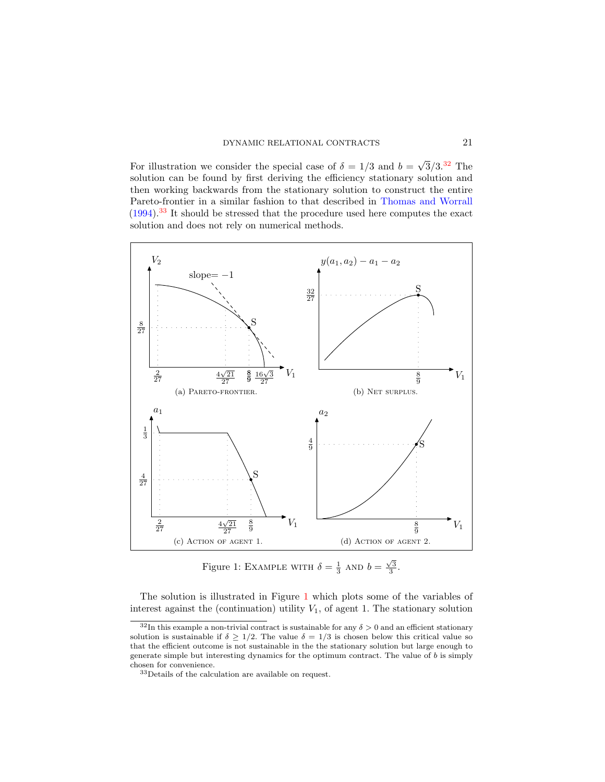For illustration we consider the special case of  $\delta = 1/3$  and  $b =$  $\sqrt{3}/3$ .<sup>[32](#page-20-0)</sup> The solution can be found by first deriving the efficiency stationary solution and then working backwards from the stationary solution to construct the entire Pareto-frontier in a similar fashion to that described in [Thomas and Worrall](#page-43-2)  $(1994)$ .<sup>[33](#page-20-1)</sup> It should be stressed that the procedure used here computes the exact solution and does not rely on numerical methods.

<span id="page-20-6"></span><span id="page-20-3"></span>

<span id="page-20-5"></span><span id="page-20-4"></span><span id="page-20-2"></span>Figure 1: EXAMPLE WITH  $\delta = \frac{1}{3}$  AND  $b = \frac{\sqrt{3}}{3}$ .

The solution is illustrated in Figure [1](#page-20-2) which plots some of the variables of interest against the (continuation) utility  $V_1$ , of agent 1. The stationary solution

<span id="page-20-0"></span> $\frac{32}{\text{In this example a non-trivial contract is sustainable for any } \delta > 0 \text{ and an efficient stationary}}$ solution is sustainable if  $\delta \geq 1/2$ . The value  $\delta = 1/3$  is chosen below this critical value so that the efficient outcome is not sustainable in the the stationary solution but large enough to generate simple but interesting dynamics for the optimum contract. The value of b is simply chosen for convenience.

<span id="page-20-1"></span><sup>33</sup>Details of the calculation are available on request.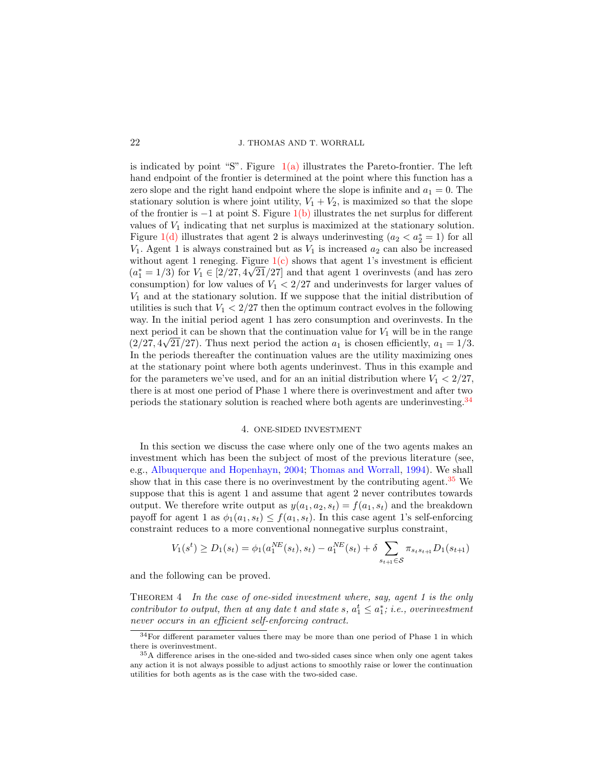is indicated by point "S". Figure  $1(a)$  $1(a)$  illustrates the Pareto-frontier. The left hand endpoint of the frontier is determined at the point where this function has a zero slope and the right hand endpoint where the slope is infinite and  $a_1 = 0$ . The stationary solution is where joint utility,  $V_1 + V_2$ , is maximized so that the slope of the frontier is  $-1$  $-1$  at point S. Figure 1[\(b\)](#page-20-4) illustrates the net surplus for different values of  $V_1$  indicating that net surplus is maximized at the stationary solution. Figure  $1(d)$  $1(d)$  illustrates that agent 2 is always underinvesting  $(a_2 < a_2^* = 1)$  for all  $V_1$ . Agent 1 is always constrained but as  $V_1$  is increased  $a_2$  can also be increased without agent [1](#page-20-2) reneging. Figure  $1(c)$  $1(c)$  shows that agent 1's investment is efficient  $(a_1^* = 1/3)$  for  $V_1 \in [2/27, 4\sqrt{21}/27]$  and that agent 1 overinvests (and has zero consumption) for low values of  $V_1 < 2/27$  and underinvests for larger values of  $V_1$  and at the stationary solution. If we suppose that the initial distribution of utilities is such that  $V_1 < 2/27$  then the optimum contract evolves in the following way. In the initial period agent 1 has zero consumption and overinvests. In the next period it can be shown that the continuation value for  $V_1$  will be in the range  $(2/27, 4\sqrt{21/27})$ . Thus next period the action  $a_1$  is chosen efficiently,  $a_1 = 1/3$ . In the periods thereafter the continuation values are the utility maximizing ones at the stationary point where both agents underinvest. Thus in this example and for the parameters we've used, and for an an initial distribution where  $V_1 < 2/27$ , there is at most one period of Phase 1 where there is overinvestment and after two periods the stationary solution is reached where both agents are underinvesting.<sup>[34](#page-21-2)</sup>

# 4. ONE-SIDED INVESTMENT

<span id="page-21-1"></span>In this section we discuss the case where only one of the two agents makes an investment which has been the subject of most of the previous literature (see, e.g., [Albuquerque and Hopenhayn,](#page-42-0) [2004;](#page-42-0) [Thomas and Worrall,](#page-43-2) [1994\)](#page-43-2). We shall show that in this case there is no overinvestment by the contributing agent.<sup>[35](#page-21-3)</sup> We suppose that this is agent 1 and assume that agent 2 never contributes towards output. We therefore write output as  $y(a_1, a_2, s_t) = f(a_1, s_t)$  and the breakdown payoff for agent 1 as  $\phi_1(a_1, s_t) \leq f(a_1, s_t)$ . In this case agent 1's self-enforcing constraint reduces to a more conventional nonnegative surplus constraint,

$$
V_1(s^t) \ge D_1(s_t) = \phi_1(a_1^{NE}(s_t), s_t) - a_1^{NE}(s_t) + \delta \sum_{s_{t+1} \in S} \pi_{s_ts_{t+1}} D_1(s_{t+1})
$$

and the following can be proved.

<span id="page-21-0"></span>THEOREM 4 In the case of one-sided investment where, say, agent 1 is the only contributor to output, then at any date t and state s,  $a_1^t \leq a_1^*$ ; i.e., overinvestment never occurs in an efficient self-enforcing contract.

<span id="page-21-2"></span><sup>34</sup>For different parameter values there may be more than one period of Phase 1 in which there is overinvestment.

<span id="page-21-3"></span><sup>35</sup>A difference arises in the one-sided and two-sided cases since when only one agent takes any action it is not always possible to adjust actions to smoothly raise or lower the continuation utilities for both agents as is the case with the two-sided case.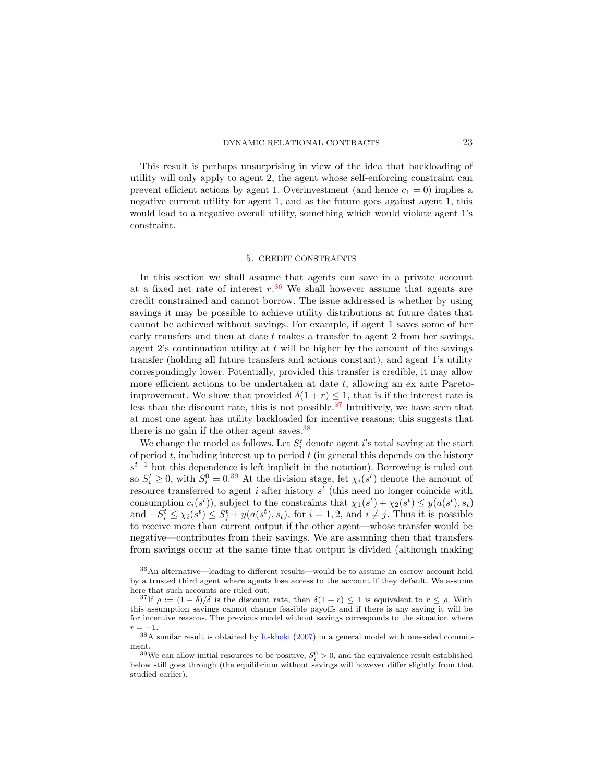This result is perhaps unsurprising in view of the idea that backloading of utility will only apply to agent 2, the agent whose self-enforcing constraint can prevent efficient actions by agent 1. Overinvestment (and hence  $c_1 = 0$ ) implies a negative current utility for agent 1, and as the future goes against agent 1, this would lead to a negative overall utility, something which would violate agent 1's constraint.

#### 5. CREDIT CONSTRAINTS

<span id="page-22-0"></span>In this section we shall assume that agents can save in a private account at a fixed net rate of interest  $r^{36}$  $r^{36}$  $r^{36}$  We shall however assume that agents are credit constrained and cannot borrow. The issue addressed is whether by using savings it may be possible to achieve utility distributions at future dates that cannot be achieved without savings. For example, if agent 1 saves some of her early transfers and then at date t makes a transfer to agent 2 from her savings, agent 2's continuation utility at  $t$  will be higher by the amount of the savings transfer (holding all future transfers and actions constant), and agent 1's utility correspondingly lower. Potentially, provided this transfer is credible, it may allow more efficient actions to be undertaken at date  $t$ , allowing an ex ante Paretoimprovement. We show that provided  $\delta(1+r) \leq 1$ , that is if the interest rate is less than the discount rate, this is not possible.<sup>[37](#page-22-2)</sup> Intuitively, we have seen that at most one agent has utility backloaded for incentive reasons; this suggests that there is no gain if the other agent saves.<sup>[38](#page-22-3)</sup>

We change the model as follows. Let  $S_i^t$  denote agent i's total saving at the start of period  $t$ , including interest up to period  $t$  (in general this depends on the history  $s^{t-1}$  but this dependence is left implicit in the notation). Borrowing is ruled out so  $S_i^t \geq 0$ , with  $S_i^0 = 0.39$  $S_i^0 = 0.39$  At the division stage, let  $\chi_i(s^t)$  denote the amount of resource transferred to agent i after history  $s^t$  (this need no longer coincide with consumption  $c_i(s^t)$ ), subject to the constraints that  $\chi_1(s^t) + \chi_2(s^t) \leq y(a(s^t), s_t)$ and  $-S_i^t \leq \chi_i(s^t) \leq S_j^t + y(a(s^t), s_t)$ , for  $i = 1, 2$ , and  $i \neq j$ . Thus it is possible to receive more than current output if the other agent—whose transfer would be negative—contributes from their savings. We are assuming then that transfers from savings occur at the same time that output is divided (although making

<span id="page-22-1"></span><sup>36</sup>An alternative—leading to different results—would be to assume an escrow account held by a trusted third agent where agents lose access to the account if they default. We assume here that such accounts are ruled out.

<span id="page-22-2"></span><sup>&</sup>lt;sup>37</sup>If  $\rho := (1 - \delta)/\delta$  is the discount rate, then  $\delta(1 + r) \leq 1$  is equivalent to  $r \leq \rho$ . With this assumption savings cannot change feasible payoffs and if there is any saving it will be for incentive reasons. The previous model without savings corresponds to the situation where  $r=-1. \label{eq:1}$ 

<span id="page-22-3"></span><sup>38</sup>A similar result is obtained by [Itskhoki](#page-43-24) [\(2007\)](#page-43-24) in a general model with one-sided commitment.

<span id="page-22-4"></span><sup>&</sup>lt;sup>39</sup>We can allow initial resources to be positive,  $S_i^0 > 0$ , and the equivalence result established below still goes through (the equilibrium without savings will however differ slightly from that studied earlier).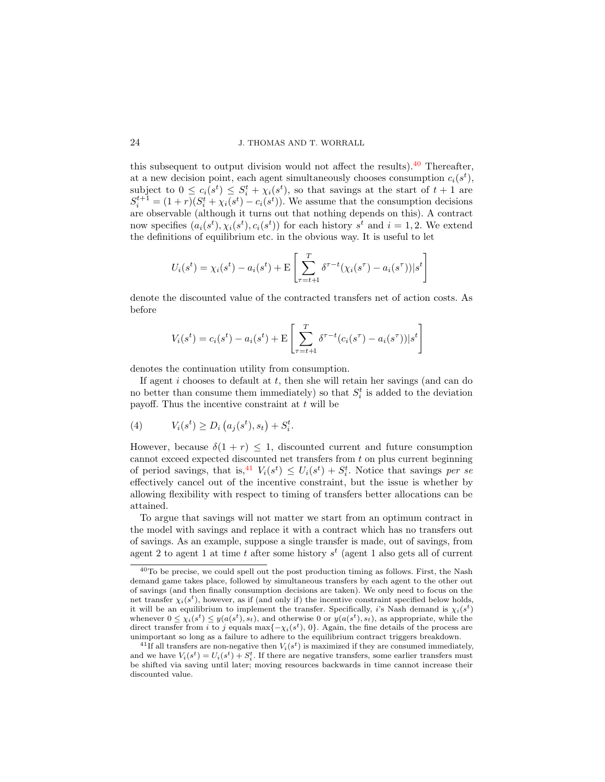this subsequent to output division would not affect the results).  $40$  Thereafter, at a new decision point, each agent simultaneously chooses consumption  $c_i(s^t)$ , subject to  $0 \le c_i(s^t) \le S_i^t + \chi_i(s^t)$ , so that savings at the start of  $t+1$  are  $S_i^{t+1} = (1+r)(S_i^t + \chi_i(s^t) - c_i(s^t))$ . We assume that the consumption decisions are observable (although it turns out that nothing depends on this). A contract now specifies  $(a_i(s^t), \chi_i(s^t), c_i(s^t))$  for each history  $s^t$  and  $i = 1, 2$ . We extend the definitions of equilibrium etc. in the obvious way. It is useful to let

$$
U_i(s^t) = \chi_i(s^t) - a_i(s^t) + \mathcal{E}\left[\sum_{\tau=t+1}^T \delta^{\tau-t}(\chi_i(s^{\tau}) - a_i(s^{\tau}))|s^t\right]
$$

denote the discounted value of the contracted transfers net of action costs. As before

<span id="page-23-2"></span>
$$
V_i(s^t) = c_i(s^t) - a_i(s^t) + \mathbf{E} \left[ \sum_{\tau=t+1}^T \delta^{\tau-t} (c_i(s^{\tau}) - a_i(s^{\tau})) | s^t \right]
$$

denotes the continuation utility from consumption.

If agent  $i$  chooses to default at  $t$ , then she will retain her savings (and can do no better than consume them immediately) so that  $S_i^t$  is added to the deviation payoff. Thus the incentive constraint at  $t$  will be

(4) 
$$
V_i(s^t) \ge D_i(a_j(s^t), s_t) + S_i^t
$$
.

However, because  $\delta(1 + r) \leq 1$ , discounted current and future consumption cannot exceed expected discounted net transfers from  $t$  on plus current beginning of period savings, that is,<sup>[41](#page-23-1)</sup>  $V_i(s^t) \leq U_i(s^t) + S_i^t$ . Notice that savings per se effectively cancel out of the incentive constraint, but the issue is whether by allowing flexibility with respect to timing of transfers better allocations can be attained.

To argue that savings will not matter we start from an optimum contract in the model with savings and replace it with a contract which has no transfers out of savings. As an example, suppose a single transfer is made, out of savings, from agent 2 to agent 1 at time t after some history  $s^t$  (agent 1 also gets all of current

<span id="page-23-0"></span><sup>40</sup>To be precise, we could spell out the post production timing as follows. First, the Nash demand game takes place, followed by simultaneous transfers by each agent to the other out of savings (and then finally consumption decisions are taken). We only need to focus on the net transfer  $\chi_i(s^t)$ , however, as if (and only if) the incentive constraint specified below holds, it will be an equilibrium to implement the transfer. Specifically, i's Nash demand is  $\chi_i(s^t)$ whenever  $0 \leq \chi_i(s^t) \leq y(a(s^t), s_t)$ , and otherwise 0 or  $y(a(s^t), s_t)$ , as appropriate, while the direct transfer from i to j equals  $\max\{-\chi_i(s^t), 0\}$ . Again, the fine details of the process are unimportant so long as a failure to adhere to the equilibrium contract triggers breakdown.

<span id="page-23-1"></span><sup>&</sup>lt;sup>41</sup>If all transfers are non-negative then  $V_i(s^t)$  is maximized if they are consumed immediately, and we have  $V_i(s^t) = U_i(s^t) + S_i^t$ . If there are negative transfers, some earlier transfers must be shifted via saving until later; moving resources backwards in time cannot increase their discounted value.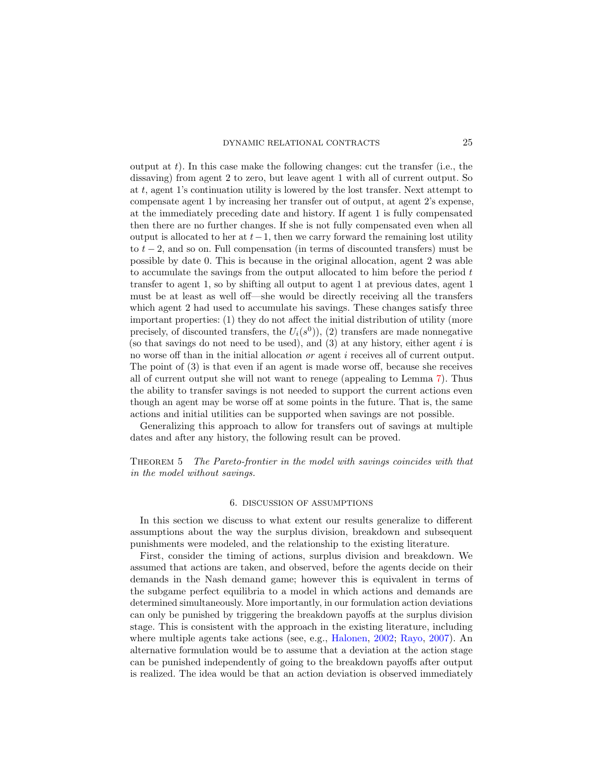output at t). In this case make the following changes: cut the transfer (i.e., the dissaving) from agent 2 to zero, but leave agent 1 with all of current output. So at t, agent 1's continuation utility is lowered by the lost transfer. Next attempt to compensate agent 1 by increasing her transfer out of output, at agent 2's expense, at the immediately preceding date and history. If agent 1 is fully compensated then there are no further changes. If she is not fully compensated even when all output is allocated to her at  $t-1$ , then we carry forward the remaining lost utility to  $t - 2$ , and so on. Full compensation (in terms of discounted transfers) must be possible by date 0. This is because in the original allocation, agent 2 was able to accumulate the savings from the output allocated to him before the period t transfer to agent 1, so by shifting all output to agent 1 at previous dates, agent 1 must be at least as well off—she would be directly receiving all the transfers which agent 2 had used to accumulate his savings. These changes satisfy three important properties: (1) they do not affect the initial distribution of utility (more precisely, of discounted transfers, the  $U_i(s^0)$ , (2) transfers are made nonnegative (so that savings do not need to be used), and  $(3)$  at any history, either agent i is no worse off than in the initial allocation or agent i receives all of current output. The point of (3) is that even if an agent is made worse off, because she receives all of current output she will not want to renege (appealing to Lemma [7\)](#page-15-3). Thus the ability to transfer savings is not needed to support the current actions even though an agent may be worse off at some points in the future. That is, the same actions and initial utilities can be supported when savings are not possible.

Generalizing this approach to allow for transfers out of savings at multiple dates and after any history, the following result can be proved.

<span id="page-24-1"></span>Theorem 5 The Pareto-frontier in the model with savings coincides with that in the model without savings.

#### 6. DISCUSSION OF ASSUMPTIONS

<span id="page-24-0"></span>In this section we discuss to what extent our results generalize to different assumptions about the way the surplus division, breakdown and subsequent punishments were modeled, and the relationship to the existing literature.

First, consider the timing of actions, surplus division and breakdown. We assumed that actions are taken, and observed, before the agents decide on their demands in the Nash demand game; however this is equivalent in terms of the subgame perfect equilibria to a model in which actions and demands are determined simultaneously. More importantly, in our formulation action deviations can only be punished by triggering the breakdown payoffs at the surplus division stage. This is consistent with the approach in the existing literature, including where multiple agents take actions (see, e.g., [Halonen,](#page-43-22) [2002;](#page-43-22) [Rayo,](#page-43-12) [2007\)](#page-43-12). An alternative formulation would be to assume that a deviation at the action stage can be punished independently of going to the breakdown payoffs after output is realized. The idea would be that an action deviation is observed immediately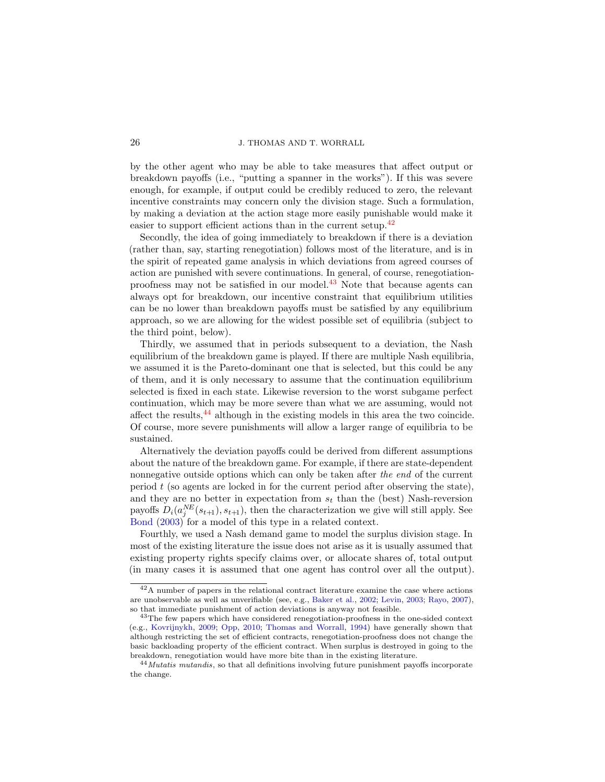by the other agent who may be able to take measures that affect output or breakdown payoffs (i.e., "putting a spanner in the works"). If this was severe enough, for example, if output could be credibly reduced to zero, the relevant incentive constraints may concern only the division stage. Such a formulation, by making a deviation at the action stage more easily punishable would make it easier to support efficient actions than in the current setup. $42$ 

Secondly, the idea of going immediately to breakdown if there is a deviation (rather than, say, starting renegotiation) follows most of the literature, and is in the spirit of repeated game analysis in which deviations from agreed courses of action are punished with severe continuations. In general, of course, renegotiationproofness may not be satisfied in our model. $^{43}$  $^{43}$  $^{43}$  Note that because agents can always opt for breakdown, our incentive constraint that equilibrium utilities can be no lower than breakdown payoffs must be satisfied by any equilibrium approach, so we are allowing for the widest possible set of equilibria (subject to the third point, below).

Thirdly, we assumed that in periods subsequent to a deviation, the Nash equilibrium of the breakdown game is played. If there are multiple Nash equilibria, we assumed it is the Pareto-dominant one that is selected, but this could be any of them, and it is only necessary to assume that the continuation equilibrium selected is fixed in each state. Likewise reversion to the worst subgame perfect continuation, which may be more severe than what we are assuming, would not affect the results,<sup>[44](#page-25-2)</sup> although in the existing models in this area the two coincide. Of course, more severe punishments will allow a larger range of equilibria to be sustained.

Alternatively the deviation payoffs could be derived from different assumptions about the nature of the breakdown game. For example, if there are state-dependent nonnegative outside options which can only be taken after the end of the current period  $t$  (so agents are locked in for the current period after observing the state), and they are no better in expectation from  $s_t$  than the (best) Nash-reversion payoffs  $D_i(a_j^{NE}(s_{t+1}), s_{t+1})$ , then the characterization we give will still apply. See [Bond](#page-43-25) [\(2003\)](#page-43-25) for a model of this type in a related context.

Fourthly, we used a Nash demand game to model the surplus division stage. In most of the existing literature the issue does not arise as it is usually assumed that existing property rights specify claims over, or allocate shares of, total output (in many cases it is assumed that one agent has control over all the output).

<span id="page-25-0"></span><sup>42</sup>A number of papers in the relational contract literature examine the case where actions are unobservable as well as unverifiable (see, e.g., [Baker et al.,](#page-42-5) [2002;](#page-42-5) [Levin,](#page-43-11) [2003;](#page-43-11) [Rayo,](#page-43-12) [2007\)](#page-43-12), so that immediate punishment of action deviations is anyway not feasible.

<span id="page-25-1"></span><sup>&</sup>lt;sup>43</sup>The few papers which have considered renegotiation-proofness in the one-sided context (e.g., [Kovrijnykh,](#page-43-0) [2009;](#page-43-0) [Opp,](#page-43-20) [2010;](#page-43-20) [Thomas and Worrall,](#page-43-2) [1994\)](#page-43-2) have generally shown that although restricting the set of efficient contracts, renegotiation-proofness does not change the basic backloading property of the efficient contract. When surplus is destroyed in going to the breakdown, renegotiation would have more bite than in the existing literature.

<span id="page-25-2"></span><sup>&</sup>lt;sup>44</sup> Mutatis mutandis, so that all definitions involving future punishment payoffs incorporate the change.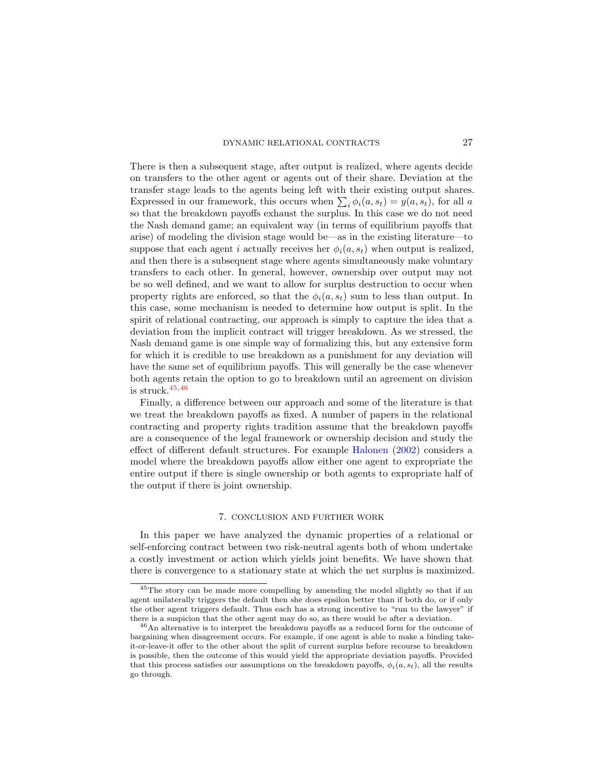There is then a subsequent stage, after output is realized, where agents decide on transfers to the other agent or agents out of their share. Deviation at the transfer stage leads to the agents being left with their existing output shares. Expressed in our framework, this occurs when  $\sum_i \phi_i(a, s_t) = y(a, s_t)$ , for all a so that the breakdown payoffs exhaust the surplus. In this case we do not need the Nash demand game; an equivalent way (in terms of equilibrium payoffs that arise) of modeling the division stage would be—as in the existing literature—to suppose that each agent i actually receives her  $\phi_i(a, s_t)$  when output is realized, and then there is a subsequent stage where agents simultaneously make voluntary transfers to each other. In general, however, ownership over output may not be so well defined, and we want to allow for surplus destruction to occur when property rights are enforced, so that the  $\phi_i(a, s_t)$  sum to less than output. In this case, some mechanism is needed to determine how output is split. In the spirit of relational contracting, our approach is simply to capture the idea that a deviation from the implicit contract will trigger breakdown. As we stressed, the Nash demand game is one simple way of formalizing this, but any extensive form for which it is credible to use breakdown as a punishment for any deviation will have the same set of equilibrium payoffs. This will generally be the case whenever both agents retain the option to go to breakdown until an agreement on division is struck. $^{45,46}\,$  $^{45,46}\,$  $^{45,46}\,$  $^{45,46}\,$ 

Finally, a difference between our approach and some of the literature is that we treat the breakdown payoffs as fixed. A number of papers in the relational contracting and property rights tradition assume that the breakdown payoffs are a consequence of the legal framework or ownership decision and study the effect of different default structures. For example [Halonen](#page-43-22) [\(2002\)](#page-43-22) considers a model where the breakdown payoffs allow either one agent to expropriate the entire output if there is single ownership or both agents to expropriate half of the output if there is joint ownership.

# 7. CONCLUSION AND FURTHER WORK

<span id="page-26-0"></span>In this paper we have analyzed the dynamic properties of a relational or self-enforcing contract between two risk-neutral agents both of whom undertake a costly investment or action which yields joint benefits. We have shown that there is convergence to a stationary state at which the net surplus is maximized.

<span id="page-26-1"></span><sup>45</sup>The story can be made more compelling by amending the model slightly so that if an agent unilaterally triggers the default then she does epsilon better than if both do, or if only the other agent triggers default. Thus each has a strong incentive to "run to the lawyer" if there is a suspicion that the other agent may do so, as there would be after a deviation.

<span id="page-26-2"></span><sup>46</sup>An alternative is to interpret the breakdown payoffs as a reduced form for the outcome of bargaining when disagreement occurs. For example, if one agent is able to make a binding takeit-or-leave-it offer to the other about the split of current surplus before recourse to breakdown is possible, then the outcome of this would yield the appropriate deviation payoffs. Provided that this process satisfies our assumptions on the breakdown payoffs,  $\phi_i(a, s_t)$ , all the results go through.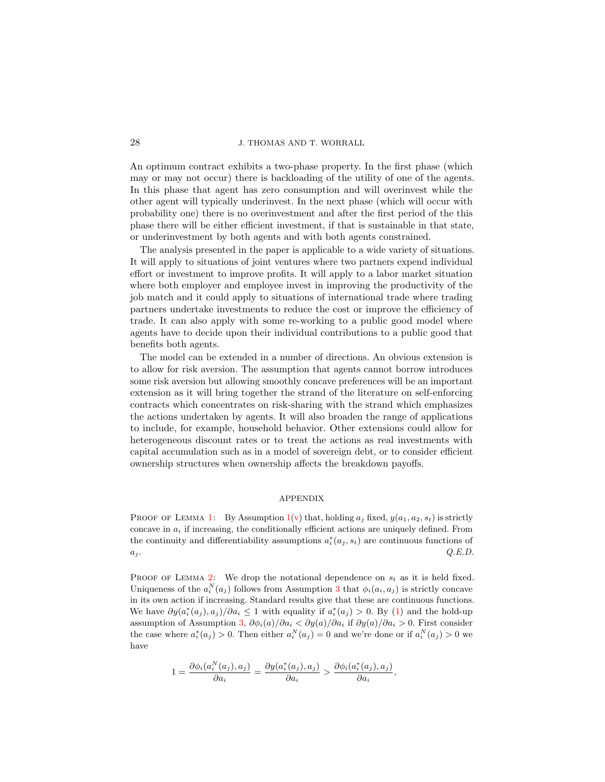An optimum contract exhibits a two-phase property. In the first phase (which may or may not occur) there is backloading of the utility of one of the agents. In this phase that agent has zero consumption and will overinvest while the other agent will typically underinvest. In the next phase (which will occur with probability one) there is no overinvestment and after the first period of the this phase there will be either efficient investment, if that is sustainable in that state, or underinvestment by both agents and with both agents constrained.

The analysis presented in the paper is applicable to a wide variety of situations. It will apply to situations of joint ventures where two partners expend individual effort or investment to improve profits. It will apply to a labor market situation where both employer and employee invest in improving the productivity of the job match and it could apply to situations of international trade where trading partners undertake investments to reduce the cost or improve the efficiency of trade. It can also apply with some re-working to a public good model where agents have to decide upon their individual contributions to a public good that benefits both agents.

The model can be extended in a number of directions. An obvious extension is to allow for risk aversion. The assumption that agents cannot borrow introduces some risk aversion but allowing smoothly concave preferences will be an important extension as it will bring together the strand of the literature on self-enforcing contracts which concentrates on risk-sharing with the strand which emphasizes the actions undertaken by agents. It will also broaden the range of applications to include, for example, household behavior. Other extensions could allow for heterogeneous discount rates or to treat the actions as real investments with capital accumulation such as in a model of sovereign debt, or to consider efficient ownership structures when ownership affects the breakdown payoffs.

# APPENDIX

PROOF OF LEMMA [1:](#page-7-3) By Assumption  $1(v)$  $1(v)$  that, holding  $a_i$  fixed,  $y(a_1, a_2, s_t)$  is strictly concave in  $a_i$  if increasing, the conditionally efficient actions are uniquely defined. From the continuity and differentiability assumptions  $a_i^*(a_j, s_t)$  are continuous functions of  $a_j$ .  $Q.E.D.$ 

PROOF OF LEMMA [2:](#page-9-3) We drop the notational dependence on  $s_t$  as it is held fixed. Uniqueness of the  $a_i^N(a_j)$  follows from Assumption [3](#page-8-1) that  $\phi_i(a_i, a_j)$  is strictly concave in its own action if increasing. Standard results give that these are continuous functions. We have  $\partial y(a_i^*(a_j), a_j)/\partial a_i \leq 1$  with equality if  $a_i^*(a_j) > 0$ . By [\(1\)](#page-8-0) and the hold-up assumption of Assumption [3,](#page-8-1)  $\partial \phi_i(a)/\partial a_i < \partial y(a)/\partial a_i$  if  $\partial y(a)/\partial a_i > 0$ . First consider the case where  $a_i^*(a_j) > 0$ . Then either  $a_i^N(a_j) = 0$  and we're done or if  $a_i^N(a_j) > 0$  we have

$$
1 = \frac{\partial \phi_i(a_i^N(a_j), a_j)}{\partial a_i} = \frac{\partial y(a_i^*(a_j), a_j)}{\partial a_i} > \frac{\partial \phi_i(a_i^*(a_j), a_j)}{\partial a_i},
$$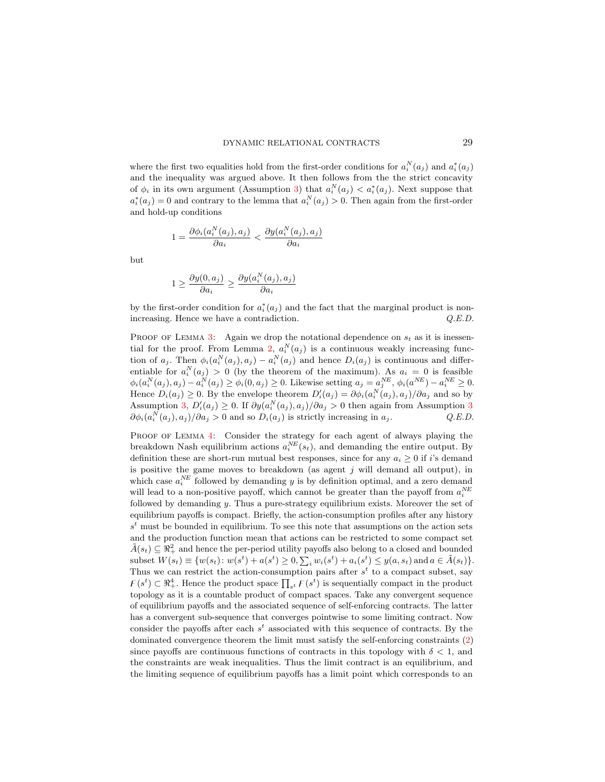where the first two equalities hold from the first-order conditions for  $a_i^N(a_j)$  and  $a_i^*(a_j)$ and the inequality was argued above. It then follows from the the strict concavity of  $\phi_i$  in its own argument (Assumption [3\)](#page-8-1) that  $a_i^N(a_j) < a_i^*(a_j)$ . Next suppose that  $a_i^*(a_j) = 0$  and contrary to the lemma that  $a_i^N(a_j) > 0$ . Then again from the first-order and hold-up conditions

$$
1 = \frac{\partial \phi_i(a_i^N(a_j), a_j)}{\partial a_i} < \frac{\partial y(a_i^N(a_j), a_j)}{\partial a_i}
$$

but

$$
1 \ge \frac{\partial y(0, a_j)}{\partial a_i} \ge \frac{\partial y(a_i^N(a_j), a_j)}{\partial a_i}
$$

by the first-order condition for  $a_i^*(a_j)$  and the fact that the marginal product is nonincreasing. Hence we have a contradiction.  $Q.E.D.$ 

PROOF OF LEMMA [3:](#page-11-1) Again we drop the notational dependence on  $s_t$  as it is inessen-tial for the proof. From Lemma [2,](#page-9-3)  $a_i^N(a_j)$  is a continuous weakly increasing function of  $a_j$ . Then  $\phi_i(a_i^N(a_j), a_j) - a_i^N(a_j)$  and hence  $D_i(a_j)$  is continuous and differentiable for  $a_i^N(a_j) > 0$  (by the theorem of the maximum). As  $a_i = 0$  is feasible  $\phi_i(a_i^N(a_j), a_j) - a_i^N(a_j) \ge \phi_i(0, a_j) \ge 0$ . Likewise setting  $a_j = a_j^{NE}, \phi_i(a^{NE}) - a_i^{NE} \ge 0$ . Hence  $D_i(a_j) \geq 0$ . By the envelope theorem  $D'_i(a_j) = \partial \phi_i(a_i^N(a_j), a_j)/\partial a_j$  and so by Assumption [3,](#page-8-1)  $D_i'(a_j) \geq 0$ . If  $\partial y(a_i^N(a_j), a_j)/\partial a_j > 0$  then again from Assumption [3](#page-8-1)  $\partial \phi_i(a_i^N(a_j), a_j)/\partial a_j > 0$  and so  $D_i(a_j)$  is strictly increasing in  $a_j$ .  $Q.E.D.$ 

PROOF OF LEMMA [4:](#page-12-1) Consider the strategy for each agent of always playing the breakdown Nash equilibrium actions  $a_i^{NE}(s_t)$ , and demanding the entire output. By definition these are short-run mutual best responses, since for any  $a_i > 0$  if is demand is positive the game moves to breakdown (as agent  $j$  will demand all output), in which case  $a_i^{NE}$  followed by demanding y is by definition optimal, and a zero demand will lead to a non-positive payoff, which cannot be greater than the payoff from  $a_i^{NE}$ followed by demanding y. Thus a pure-strategy equilibrium exists. Moreover the set of equilibrium payoffs is compact. Briefly, the action-consumption profiles after any history  $s<sup>t</sup>$  must be bounded in equilibrium. To see this note that assumptions on the action sets and the production function mean that actions can be restricted to some compact set  $\tilde{A}(s_t) \subseteq \Re^2_+$  and hence the per-period utility payoffs also belong to a closed and bounded subset  $W(s_t) \equiv \{w(s_t) : w(s^t) + a(s^t) \ge 0, \sum_i w_i(s^t) + a_i(s^t) \le y(a, s_t) \text{ and } a \in \tilde{A}(s_t)\}.$ Thus we can restrict the action-consumption pairs after  $s<sup>t</sup>$  to a compact subset, say  $\mathcal{F}(s^t) \subset \mathbb{R}^4_+$ . Hence the product space  $\prod_{s^t} \mathcal{F}(s^t)$  is sequentially compact in the product topology as it is a countable product of compact spaces. Take any convergent sequence of equilibrium payoffs and the associated sequence of self-enforcing contracts. The latter has a convergent sub-sequence that converges pointwise to some limiting contract. Now consider the payoffs after each  $s<sup>t</sup>$  associated with this sequence of contracts. By the dominated convergence theorem the limit must satisfy the self-enforcing constraints [\(2\)](#page-11-0) since payoffs are continuous functions of contracts in this topology with  $\delta < 1$ , and the constraints are weak inequalities. Thus the limit contract is an equilibrium, and the limiting sequence of equilibrium payoffs has a limit point which corresponds to an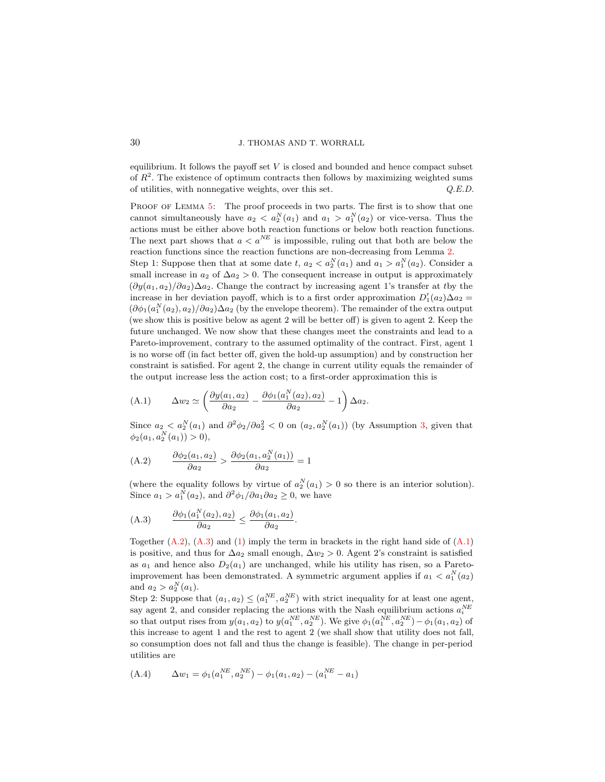equilibrium. It follows the payoff set  $V$  is closed and bounded and hence compact subset of  $R^2$ . The existence of optimum contracts then follows by maximizing weighted sums of utilities, with nonnegative weights, over this set. Q.E.D.

PROOF OF LEMMA [5:](#page-13-2) The proof proceeds in two parts. The first is to show that one cannot simultaneously have  $a_2 < a_2^N(a_1)$  and  $a_1 > a_1^N(a_2)$  or vice-versa. Thus the actions must be either above both reaction functions or below both reaction functions. The next part shows that  $a < a^{NE}$  is impossible, ruling out that both are below the reaction functions since the reaction functions are non-decreasing from Lemma [2.](#page-9-3)

Step 1: Suppose then that at some date  $t, a_2 < a_2^N(a_1)$  and  $a_1 > a_1^N(a_2)$ . Consider a small increase in  $a_2$  of  $\Delta a_2 > 0$ . The consequent increase in output is approximately  $(\partial y(a_1, a_2)/\partial a_2)\Delta a_2$ . Change the contract by increasing agent 1's transfer at tby the increase in her deviation payoff, which is to a first order approximation  $D'_1(a_2)\Delta a_2 =$  $(\partial \phi_1(a_1^N(a_2), a_2)/\partial a_2) \Delta a_2$  (by the envelope theorem). The remainder of the extra output (we show this is positive below as agent 2 will be better off) is given to agent 2. Keep the future unchanged. We now show that these changes meet the constraints and lead to a Pareto-improvement, contrary to the assumed optimality of the contract. First, agent 1 is no worse off (in fact better off, given the hold-up assumption) and by construction her constraint is satisfied. For agent 2, the change in current utility equals the remainder of the output increase less the action cost; to a first-order approximation this is

<span id="page-29-2"></span>(A.1) 
$$
\Delta w_2 \simeq \left(\frac{\partial y(a_1, a_2)}{\partial a_2} - \frac{\partial \phi_1(a_1^N(a_2), a_2)}{\partial a_2} - 1\right) \Delta a_2.
$$

<span id="page-29-0"></span>Since  $a_2 < a_2^N(a_1)$  and  $\partial^2 \phi_2 / \partial a_2^2 < 0$  on  $(a_2, a_2^N(a_1))$  (by Assumption [3,](#page-8-1) given that  $\phi_2(a_1, a_2^N(a_1)) > 0$ 

(A.2) 
$$
\frac{\partial \phi_2(a_1, a_2)}{\partial a_2} > \frac{\partial \phi_2(a_1, a_2^N(a_1))}{\partial a_2} = 1
$$

<span id="page-29-1"></span>(where the equality follows by virtue of  $a_2^N(a_1) > 0$  so there is an interior solution). Since  $a_1 > a_1^N(a_2)$ , and  $\partial^2 \phi_1 / \partial a_1 \partial a_2 \geq 0$ , we have

(A.3) 
$$
\frac{\partial \phi_1(a_1^N(a_2), a_2)}{\partial a_2} \leq \frac{\partial \phi_1(a_1, a_2)}{\partial a_2}.
$$

Together  $(A.2)$ ,  $(A.3)$  and  $(1)$  imply the term in brackets in the right hand side of  $(A.1)$ is positive, and thus for  $\Delta a_2$  small enough,  $\Delta w_2 > 0$ . Agent 2's constraint is satisfied as  $a_1$  and hence also  $D_2(a_1)$  are unchanged, while his utility has risen, so a Paretoimprovement has been demonstrated. A symmetric argument applies if  $a_1 < a_1^N(a_2)$ and  $a_2 > a_2^N(a_1)$ .

Step 2: Suppose that  $(a_1, a_2) \leq (a_1^{NE}, a_2^{NE})$  with strict inequality for at least one agent, say agent 2, and consider replacing the actions with the Nash equilibrium actions  $a_i^{NE}$ so that output rises from  $y(a_1, a_2)$  to  $y(a_1^{NE}, a_2^{NE})$ . We give  $\phi_1(a_1^{NE}, a_2^{NE}) - \phi_1(a_1, a_2)$  of this increase to agent 1 and the rest to agent 2 (we shall show that utility does not fall, so consumption does not fall and thus the change is feasible). The change in per-period utilities are

<span id="page-29-3"></span>(A.4) 
$$
\Delta w_1 = \phi_1(a_1^{NE}, a_2^{NE}) - \phi_1(a_1, a_2) - (a_1^{NE} - a_1)
$$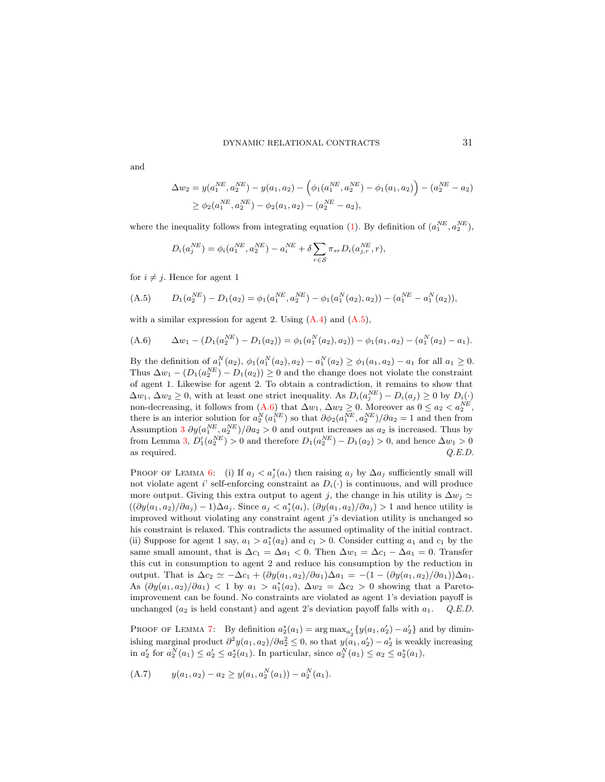$$
\begin{array}{ccccc}\n & & & \\
 & & & \\
 & & & & \\
\end{array}
$$

and

$$
\Delta w_2 = y(a_1^{NE}, a_2^{NE}) - y(a_1, a_2) - (\phi_1(a_1^{NE}, a_2^{NE}) - \phi_1(a_1, a_2)) - (a_2^{NE} - a_2)
$$
  
\n
$$
\geq \phi_2(a_1^{NE}, a_2^{NE}) - \phi_2(a_1, a_2) - (a_2^{NE} - a_2),
$$

where the inequality follows from integrating equation [\(1\)](#page-8-0). By definition of  $(a_1^{NE}, a_2^{NE})$ ,

<span id="page-30-1"></span><span id="page-30-0"></span>
$$
D_i(a_j^{NE}) = \phi_i(a_1^{NE}, a_2^{NE}) - a_i^{NE} + \delta \sum_{r \in S} \pi_{sr} D_i(a_{j,r}^{NE}, r),
$$

for  $i \neq j$ . Hence for agent 1

(A.5) 
$$
D_1(a_2^{NE}) - D_1(a_2) = \phi_1(a_1^{NE}, a_2^{NE}) - \phi_1(a_1^{N}(a_2), a_2) - (a_1^{NE} - a_1^{N}(a_2)),
$$

with a similar expression for agent 2. Using  $(A.4)$  and  $(A.5)$ ,

$$
(A.6) \qquad \Delta w_1 - (D_1(a_2^{\mathcal{NE}}) - D_1(a_2)) = \phi_1(a_1^{\mathcal{N}}(a_2), a_2)) - \phi_1(a_1, a_2) - (a_1^{\mathcal{N}}(a_2) - a_1).
$$

By the definition of  $a_1^N(a_2), \phi_1(a_1^N(a_2), a_2) - a_1^N(a_2) \ge \phi_1(a_1, a_2) - a_1$  for all  $a_1 \ge 0$ . Thus  $\Delta w_1 - (D_1(a_2^{\text{NE}}) - D_1(a_2)) \geq 0$  and the change does not violate the constraint of agent 1. Likewise for agent 2. To obtain a contradiction, it remains to show that  $\Delta w_1, \Delta w_2 \geq 0$ , with at least one strict inequality. As  $D_i(a_j^{NE}) - D_i(a_j) \geq 0$  by  $D_i(\cdot)$ non-decreasing, it follows from  $(A.6)$  that  $\Delta w_1, \Delta w_2 \ge 0$ . Moreover as  $0 \le a_2 < a_2^{NE}$ , there is an interior solution for  $a_2^N(a_1^{NE})$  so that  $\partial \phi_2(a_1^{NE}, a_2^{NE})/\partial a_2 = 1$  and then from Assumption [3](#page-8-1)  $\partial y(a_1^{NE}, a_2^{NE})/\partial a_2 > 0$  and output increases as  $a_2$  is increased. Thus by from Lemma [3,](#page-11-1)  $D_1'(a_2^{NE}) > 0$  and therefore  $D_1(a_2^{NE}) - D_1(a_2) > 0$ , and hence  $\Delta w_1 > 0$ as required.  $Q.E.D.$ 

PROOF OF LEMMA [6:](#page-13-1) (i) If  $a_j < a_j^*(a_i)$  then raising  $a_j$  by  $\Delta a_j$  sufficiently small will not violate agent i' self-enforcing constraint as  $D_i(\cdot)$  is continuous, and will produce more output. Giving this extra output to agent j, the change in his utility is  $\Delta w_i \simeq$  $((\partial y(a_1, a_2)/\partial a_j) - 1)\Delta a_j$ . Since  $a_j < a_j^*(a_i)$ ,  $(\partial y(a_1, a_2)/\partial a_j) > 1$  and hence utility is improved without violating any constraint agent  $j$ 's deviation utility is unchanged so his constraint is relaxed. This contradicts the assumed optimality of the initial contract. (ii) Suppose for agent 1 say,  $a_1 > a_1^*(a_2)$  and  $c_1 > 0$ . Consider cutting  $a_1$  and  $c_1$  by the same small amount, that is  $\Delta c_1 = \Delta a_1 < 0$ . Then  $\Delta w_1 = \Delta c_1 - \Delta a_1 = 0$ . Transfer this cut in consumption to agent 2 and reduce his consumption by the reduction in output. That is  $\Delta c_2 \simeq -\Delta c_1 + (\partial y(a_1, a_2)/\partial a_1) \Delta a_1 = -(1 - (\partial y(a_1, a_2)/\partial a_1)) \Delta a_1$ . As  $(\partial y(a_1, a_2)/\partial a_1)$  < 1 by  $a_1 > a_1^*(a_2)$ ,  $\Delta w_2 = \Delta c_2 > 0$  showing that a Paretoimprovement can be found. No constraints are violated as agent 1's deviation payoff is unchanged  $(a_2$  is held constant) and agent 2's deviation payoff falls with  $a_1$ . Q.E.D.

PROOF OF LEMMA [7:](#page-15-3) By definition  $a_2^*(a_1) = \arg \max_{a_2'} \{y(a_1, a_2') - a_2'\}$  and by diminishing marginal product  $\partial^2 y(a_1, a_2) / \partial a_2^2 \leq 0$ , so that  $y(a_1, a_2') - a_2'$  is weakly increasing in  $a'_2$  for  $a_2^N(a_1) \le a'_2 \le a_2^*(a_1)$ . In particular, since  $a_2^N(a_1) \le a_2 \le a_2^*(a_1)$ ,

<span id="page-30-2"></span>
$$
(A.7) \t y(a1, a2) - a2 \ge y(a1, a2N(a1)) - a2N(a1).
$$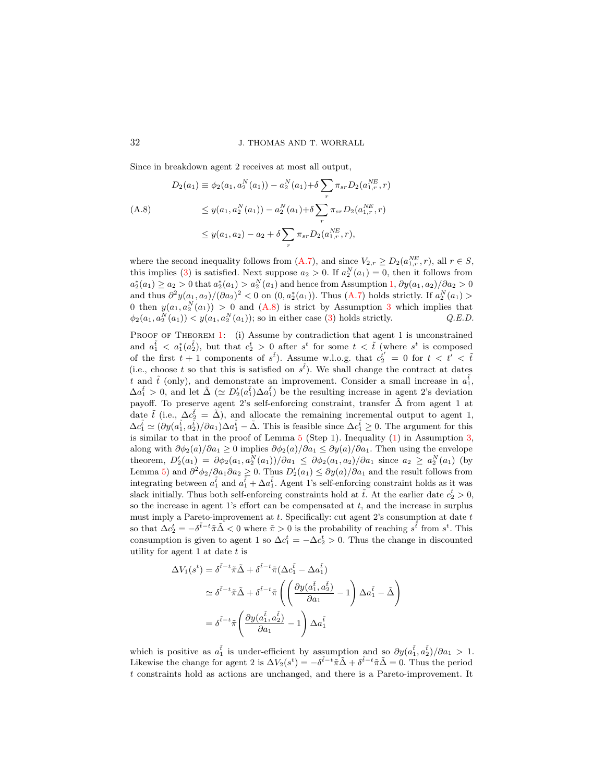Since in breakdown agent 2 receives at most all output,

<span id="page-31-0"></span>
$$
D_2(a_1) \equiv \phi_2(a_1, a_2^N(a_1)) - a_2^N(a_1) + \delta \sum_r \pi_{sr} D_2(a_{1,r}^{NE}, r)
$$
  
(A.8)  

$$
\leq y(a_1, a_2^N(a_1)) - a_2^N(a_1) + \delta \sum_r \pi_{sr} D_2(a_{1,r}^{NE}, r)
$$
  

$$
\leq y(a_1, a_2) - a_2 + \delta \sum_r \pi_{sr} D_2(a_{1,r}^{NE}, r),
$$

where the second inequality follows from [\(A.7\)](#page-30-2), and since  $V_{2,r} \geq D_2(a_{1,r}^{NE}, r)$ , all  $r \in S$ , this implies [\(3\)](#page-15-4) is satisfied. Next suppose  $a_2 > 0$ . If  $a_2^N(a_1) = 0$ , then it follows from  $a_2^*(a_1) \ge a_2 > 0$  that  $a_2^*(a_1) > a_2^N(a_1)$  and hence from Assumption [1,](#page-6-1)  $\partial y(a_1, a_2) / \partial a_2 > 0$ and thus  $\partial^2 y(a_1, a_2) / (\partial a_2)^2 < 0$  on  $(0, a_2^*(a_1))$ . Thus  $(A.7)$  holds strictly. If  $a_2^N(a_1) >$ 0 then  $y(a_1, a_2^N(a_1)) > 0$  and  $(A.8)$  is strict by Assumption [3](#page-8-1) which implies that  $\phi_2(a_1, a_2^N(a_1)) < y(a_1, a_2^N(a_1))$ ; so in either case [\(3\)](#page-15-4) holds strictly.  $Q.E.D.$ 

PROOF OF THEOREM [1:](#page-0-1) (i) Assume by contradiction that agent 1 is unconstrained and  $a_1^{\tilde{t}} < a_1^*(a_2^{\tilde{t}})$ , but that  $c_2^t > 0$  after  $s^t$  for some  $t < \tilde{t}$  (where  $s^t$  is composed of the first  $t + 1$  components of  $s^{\tilde{t}}$ ). Assume w.l.o.g. that  $c_2^{t'} = 0$  for  $t < t' < \tilde{t}$ (i.e., choose t so that this is satisfied on  $s^{\tilde{t}}$ ). We shall change the contract at dates t and  $\tilde{t}$  (only), and demonstrate an improvement. Consider a small increase in  $a_1^{\tilde{t}}$ ,  $\Delta a_1^{\tilde{t}} > 0$ , and let  $\tilde{\Delta} \ (\simeq D_2'(a_1^{\tilde{t}}) \Delta a_1^{\tilde{t}})$  be the resulting increase in agent 2's deviation payoff. To preserve agent 2's self-enforcing constraint, transfer  $\tilde{\Delta}$  from agent 1 at date  $\tilde{t}$  (i.e.,  $\Delta c_2^{\tilde{t}} = \tilde{\Delta}$ ), and allocate the remaining incremental output to agent 1,  $\Delta c_1^{\tilde{t}} \simeq (\partial y(a_1^{\tilde{t}}, a_2^{\tilde{t}})/\partial a_1)\Delta a_1^{\tilde{t}} - \tilde{\Delta}$ . This is feasible since  $\Delta c_1^{\tilde{t}} \geq 0$ . The argument for this is similar to that in the proof of Lemma  $5$  (Step 1). Inequality [\(1\)](#page-8-0) in Assumption [3,](#page-8-1) along with  $\partial \phi_2(a)/\partial a_1 \geq 0$  implies  $\partial \phi_2(a)/\partial a_1 \leq \partial y(a)/\partial a_1$ . Then using the envelope theorem,  $D'_2(a_1) = \partial \phi_2(a_1, a_2^N(a_1)) / \partial a_1 \leq \partial \phi_2(a_1, a_2) / \partial a_1$  since  $a_2 \geq a_2^N(a_1)$  (by Lemma [5\)](#page-13-2) and  $\partial^2 \phi_2 / \partial a_1 \partial a_2 \geq 0$ . Thus  $D'_2(a_1) \leq \partial y(a)/\partial a_1$  and the result follows from integrating between  $a_1^{\tilde{t}}$  and  $a_1^{\tilde{t}} + \Delta a_1^{\tilde{t}}$ . Agent 1's self-enforcing constraint holds as it was slack initially. Thus both self-enforcing constraints hold at  $\tilde{t}$ . At the earlier date  $c_2^t > 0$ , so the increase in agent 1's effort can be compensated at  $t$ , and the increase in surplus must imply a Pareto-improvement at  $t$ . Specifically: cut agent 2's consumption at date  $t$ so that  $\Delta c_2^t = -\delta^{\tilde{t}-t}\tilde{\pi}\tilde{\Delta} < 0$  where  $\tilde{\pi} > 0$  is the probability of reaching  $s^{\tilde{t}}$  from  $s^t$ . This consumption is given to agent 1 so  $\Delta c_1^t = -\Delta c_2^t > 0$ . Thus the change in discounted utility for agent 1 at date  $t$  is

$$
\Delta V_1(s^t) = \delta^{\tilde{t}-t} \tilde{\pi} \tilde{\Delta} + \delta^{\tilde{t}-t} \tilde{\pi} (\Delta c_1^{\tilde{t}} - \Delta a_1^{\tilde{t}})
$$
  
\n
$$
\simeq \delta^{\tilde{t}-t} \tilde{\pi} \tilde{\Delta} + \delta^{\tilde{t}-t} \tilde{\pi} \left( \left( \frac{\partial y(a_1^{\tilde{t}}, a_2^{\tilde{t}})}{\partial a_1} - 1 \right) \Delta a_1^{\tilde{t}} - \tilde{\Delta} \right)
$$
  
\n
$$
= \delta^{\tilde{t}-t} \tilde{\pi} \left( \frac{\partial y(a_1^{\tilde{t}}, a_2^{\tilde{t}})}{\partial a_1} - 1 \right) \Delta a_1^{\tilde{t}}
$$

which is positive as  $a_1^{\tilde{t}}$  is under-efficient by assumption and so  $\partial y(a_1^{\tilde{t}}, a_2^{\tilde{t}})/\partial a_1 > 1$ . Likewise the change for agent 2 is  $\Delta V_2(s^t) = -\delta^{\tilde{t}-t}\tilde{\pi}\tilde{\Delta} + \delta^{\tilde{t}-t}\tilde{\pi}\tilde{\Delta} = 0$ . Thus the period t constraints hold as actions are unchanged, and there is a Pareto-improvement. It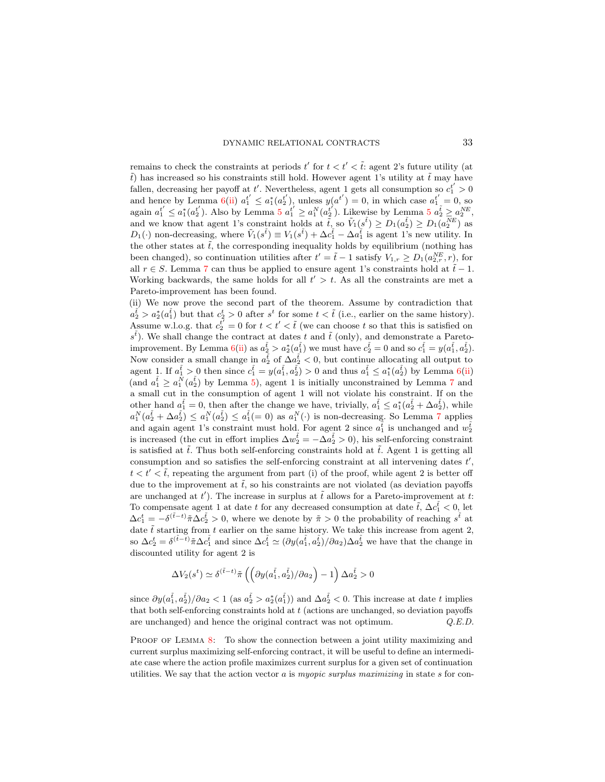remains to check the constraints at periods  $t'$  for  $t < t' < \tilde{t}$ : agent 2's future utility (at  $\tilde{t}$ ) has increased so his constraints still hold. However agent 1's utility at  $\tilde{t}$  may have fallen, decreasing her payoff at t'. Nevertheless, agent 1 gets all consumption so  $c_1^{t'} > 0$ and hence by Lemma  $6(ii) a_1^{t'} \leq a_1^*(a_2^{t'})$  $6(ii) a_1^{t'} \leq a_1^*(a_2^{t'})$  $6(ii) a_1^{t'} \leq a_1^*(a_2^{t'})$ , unless  $y(a^{t'}) = 0$ , in which case  $a_1^{t'} = 0$ , so again  $a_1^{t'} \le a_1^*(a_2^{t'})$ . Also by Lemma  $5 a_1^{t'} \ge a_1^N(a_2^{t'})$  $5 a_1^{t'} \ge a_1^N(a_2^{t'})$ . Likewise by Lemma  $5 a_2^{t} \ge a_2^{NE}$ , and we know that agent 1's constraint holds at  $\tilde{t}$ , so  $\tilde{V}_1(s^{\tilde{t}}) \ge D_1(a_2^{\tilde{t}}) \ge D_1(a_2^{NE})$  as  $D_1(\cdot)$  non-decreasing, where  $\tilde{V}_1(s^{\tilde{t}}) \equiv V_1(s^{\tilde{t}}) + \Delta c_1^{\tilde{t}} - \Delta a_1^{\tilde{t}}$  is agent 1's new utility. In the other states at  $\tilde{t}$ , the corresponding inequality holds by equilibrium (nothing has been changed), so continuation utilities after  $t' = \tilde{t} - 1$  satisfy  $V_{1,r} \geq D_1(a_{2,r}^{NE}, r)$ , for all  $r \in S$ . Lemma [7](#page-15-3) can thus be applied to ensure agent 1's constraints hold at  $\tilde{t} - 1$ . Working backwards, the same holds for all  $t' > t$ . As all the constraints are met a Pareto-improvement has been found.

(ii) We now prove the second part of the theorem. Assume by contradiction that  $a_2(\tilde{t}) > a_2^*(a_1(\tilde{t}))$  but that  $c_2^t > 0$  after  $s^t$  for some  $t < \tilde{t}$  (i.e., earlier on the same history). Assume w.l.o.g. that  $c_2^{t'} = 0$  for  $t < t' < \tilde{t}$  (we can choose t so that this is satisfied on  $s^{\tilde{t}}$ ). We shall change the contract at dates t and  $\tilde{t}$  (only), and demonstrate a Pareto-improvement. By Lemma [6\(](#page-13-1)[ii\)](#page-13-3) as  $a_2^{\tilde{t}} > a_2^*(a_1^{\tilde{t}})$  we must have  $c_2^{\tilde{t}} = 0$  and so  $c_1^{\tilde{t}} = y(a_1^{\tilde{t}}, a_2^{\tilde{t}})$ . Now consider a small change in  $a_2^{\tilde{t}}$  of  $\Delta a_2^{\tilde{t}} < 0$ , but continue allocating all output to agent 1. If  $a_1^{\tilde{t}} > 0$  then since  $c_1^{\tilde{t}} = y(a_1^{\tilde{t}}, a_2^{\tilde{t}}) > 0$  and thus  $a_1^{\tilde{t}} \le a_1^*(a_2^{\tilde{t}})$  by Lemma [6\(](#page-13-1)[ii\)](#page-13-3) (and  $a_1^{\tilde{t}} \ge a_1^N(a_2^{\tilde{t}})$  by Lemma [5\)](#page-13-2), agent 1 is initially unconstrained by Lemma [7](#page-15-3) and a small cut in the consumption of agent 1 will not violate his constraint. If on the other hand  $a_1^{\tilde{t}} = 0$ , then after the change we have, trivially,  $a_1^{\tilde{t}} \le a_1^*(a_2^{\tilde{t}} + \Delta a_2^{\tilde{t}})$ , while  $a_1^N(a_2^{\tilde{t}} + \Delta a_2^{\tilde{t}}) \le a_1^N(a_2^{\tilde{t}}) \le a_1^{\tilde{t}} (= 0)$  as  $a_1^N(\cdot)$  is non-decreasing. So Lemma [7](#page-15-3) applies and again agent 1's constraint must hold. For agent 2 since  $a_1^{\tilde{t}}$  is unchanged and  $w_2^{\tilde{t}}$ is increased (the cut in effort implies  $\Delta w_2^{\tilde{t}} = -\Delta a_2^{\tilde{t}} > 0$ ), his self-enforcing constraint is satisfied at  $\tilde{t}$ . Thus both self-enforcing constraints hold at  $\tilde{t}$ . Agent 1 is getting all consumption and so satisfies the self-enforcing constraint at all intervening dates  $t'$ ,  $t < t' < \tilde{t}$ , repeating the argument from part (i) of the proof, while agent 2 is better off due to the improvement at  $\tilde{t}$ , so his constraints are not violated (as deviation payoffs are unchanged at t'). The increase in surplus at  $\tilde{t}$  allows for a Pareto-improvement at t: To compensate agent 1 at date t for any decreased consumption at date  $\tilde{t}$ ,  $\Delta c_1^{\tilde{t}} < 0$ , let  $\Delta c_1^t = -\delta^{(\tilde{t}-t)}\tilde{\pi}\Delta c_2^{\tilde{t}} > 0$ , where we denote by  $\tilde{\pi} > 0$  the probability of reaching  $s^{\tilde{t}}$  at date  $\tilde{t}$  starting from t earlier on the same history. We take this increase from agent 2, so  $\Delta c_2^t = \delta^{(\tilde{t}-\tilde{t})} \tilde{\pi} \Delta c_1^{\tilde{t}}$  and since  $\Delta c_1^{\tilde{t}} \simeq (\partial y(a_1^{\tilde{t}}, a_2^{\tilde{t}})/\partial a_2) \Delta a_2^{\tilde{t}}$  we have that the change in discounted utility for agent 2 is

$$
\Delta V_2(s^t) \simeq \delta^{(\tilde{t}-t)} \tilde{\pi} \left( \left( \partial y(a_1^{\tilde{t}}, a_2^{\tilde{t}})/\partial a_2 \right) - 1 \right) \Delta a_2^{\tilde{t}} > 0
$$

since  $\partial y(a_1^{\tilde{t}}, a_2^{\tilde{t}})/\partial a_2 < 1$  (as  $a_2^{\tilde{t}} > a_2^*(a_1^{\tilde{t}})$ ) and  $\Delta a_2^{\tilde{t}} < 0$ . This increase at date t implies that both self-enforcing constraints hold at t (actions are unchanged, so deviation payoffs are unchanged) and hence the original contract was not optimum.  $Q.E.D.$ 

PROOF OF LEMMA [8:](#page-16-1) To show the connection between a joint utility maximizing and current surplus maximizing self-enforcing contract, it will be useful to define an intermediate case where the action profile maximizes current surplus for a given set of continuation utilities. We say that the action vector  $a$  is myopic surplus maximizing in state  $s$  for con-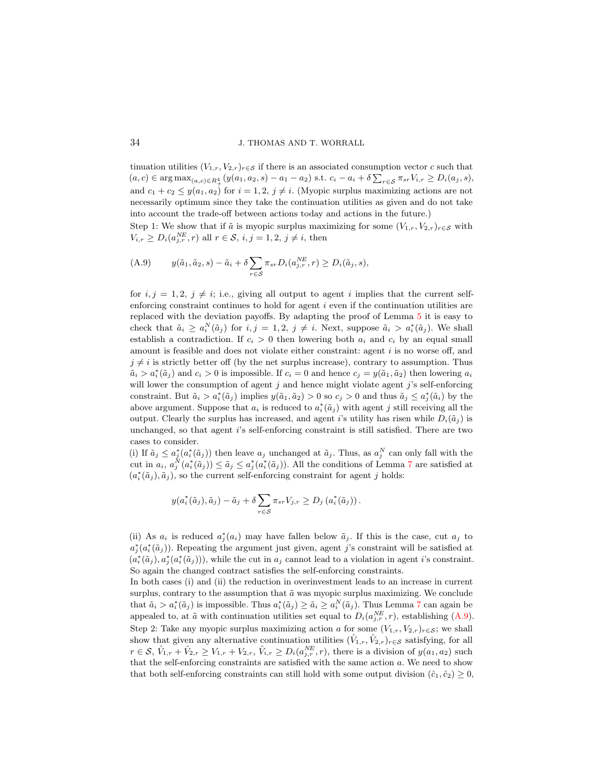# 34 J. THOMAS AND T. WORRALL

tinuation utilities  $(V_{1,r}, V_{2,r})_{r \in \mathcal{S}}$  if there is an associated consumption vector c such that  $(a, c) \in \arg \max_{(a, c) \in R_+^4} (y(a_1, a_2, s) - a_1 - a_2) \text{ s.t. } c_i - a_i + \delta \sum_{r \in S} \pi_{sr} V_{i,r} \ge D_i(a_j, s),$ and  $c_1 + c_2 \leq y(a_1, a_2)$  for  $i = 1, 2, j \neq i$ . (Myopic surplus maximizing actions are not necessarily optimum since they take the continuation utilities as given and do not take into account the trade-off between actions today and actions in the future.)

<span id="page-33-0"></span>Step 1: We show that if  $\tilde{a}$  is myopic surplus maximizing for some  $(V_{1,r}, V_{2,r})_{r \in S}$  with  $V_{i,r} \geq D_i(a_{j,r}^{NE}, r)$  all  $r \in \mathcal{S}, i, j = 1, 2, j \neq i$ , then

(A.9) 
$$
y(\tilde{a}_1, \tilde{a}_2, s) - \tilde{a}_i + \delta \sum_{r \in S} \pi_{sr} D_i(a_{j,r}^{NE}, r) \ge D_i(\tilde{a}_j, s),
$$

for  $i, j = 1, 2, j \neq i$ ; i.e., giving all output to agent i implies that the current selfenforcing constraint continues to hold for agent i even if the continuation utilities are replaced with the deviation payoffs. By adapting the proof of Lemma [5](#page-13-2) it is easy to check that  $\tilde{a}_i \ge a_i^N(\tilde{a}_j)$  for  $i, j = 1, 2, j \ne i$ . Next, suppose  $\tilde{a}_i > a_i^*(\tilde{a}_j)$ . We shall establish a contradiction. If  $c_i > 0$  then lowering both  $a_i$  and  $c_i$  by an equal small amount is feasible and does not violate either constraint: agent  $i$  is no worse off, and  $j \neq i$  is strictly better off (by the net surplus increase), contrary to assumption. Thus  $\tilde{a}_i > a_i^*(\tilde{a}_j)$  and  $c_i > 0$  is impossible. If  $c_i = 0$  and hence  $c_j = y(\tilde{a}_1, \tilde{a}_2)$  then lowering  $a_i$ will lower the consumption of agent  $j$  and hence might violate agent  $j$ 's self-enforcing constraint. But  $\tilde{a}_i > a_i^*(\tilde{a}_j)$  implies  $y(\tilde{a}_1, \tilde{a}_2) > 0$  so  $c_j > 0$  and thus  $\tilde{a}_j \leq a_j^*(\tilde{a}_i)$  by the above argument. Suppose that  $a_i$  is reduced to  $a_i^*(\tilde{a}_j)$  with agent j still receiving all the output. Clearly the surplus has increased, and agent i's utility has risen while  $D_i(\tilde{a}_i)$  is unchanged, so that agent i's self-enforcing constraint is still satisfied. There are two cases to consider.

(i) If  $\tilde{a}_j \leq a_j^*(a_i^*(\tilde{a}_j))$  then leave  $a_j$  unchanged at  $\tilde{a}_j$ . Thus, as  $a_j^N$  can only fall with the cut in  $a_i$ ,  $a_j^N(a_i^*(\tilde{a}_j)) \leq \tilde{a}_j \leq a_j^*(a_i^*(\tilde{a}_j))$ . All the conditions of Lemma [7](#page-15-3) are satisfied at  $(a_i^*(\tilde{a}_j), \tilde{a}_j)$ , so the current self-enforcing constraint for agent j holds:

$$
y(a_i^*(\tilde{a}_j),\tilde{a}_j)-\tilde{a}_j+\delta\sum_{r\in\mathcal{S}}\pi_{sr}V_{j,r}\geq D_j(a_i^*(\tilde{a}_j)).
$$

(ii) As  $a_i$  is reduced  $a_j^*(a_i)$  may have fallen below  $\tilde{a}_j$ . If this is the case, cut  $a_j$  to  $a_j^*(a_i^*(\tilde{a}_j))$ . Repeating the argument just given, agent j's constraint will be satisfied at  $(a_i^*(\tilde{a}_j), a_j^*(a_i^*(\tilde{a}_j)))$ , while the cut in  $a_j$  cannot lead to a violation in agent *i*'s constraint. So again the changed contract satisfies the self-enforcing constraints.

In both cases (i) and (ii) the reduction in overinvestment leads to an increase in current surplus, contrary to the assumption that  $\tilde{a}$  was myopic surplus maximizing. We conclude that  $\tilde{a}_i > a_i^*(\tilde{a}_j)$  is impossible. Thus  $a_i^*(\tilde{a}_j) \ge \tilde{a}_i \ge a_i^N(\tilde{a}_j)$ . Thus Lemma [7](#page-15-3) can again be appealed to, at  $\tilde{a}$  with continuation utilities set equal to  $D_i(a_{j,r}^{NE}, r)$ , establishing [\(A.9\)](#page-33-0). Step 2: Take any myopic surplus maximizing action a for some  $(V_{1,r}, V_{2,r})_{r \in \mathcal{S}}$ ; we shall show that given any alternative continuation utilities  $(\hat{V}_{1,r}, \hat{V}_{2,r})_{r \in \mathcal{S}}$  satisfying, for all  $r \in S, \hat{V}_{1,r} + \hat{V}_{2,r} \ge V_{1,r} + V_{2,r}, \hat{V}_{i,r} \ge D_i(a_{j,r}^{NE}, r)$ , there is a division of  $y(a_1, a_2)$  such that the self-enforcing constraints are satisfied with the same action  $a$ . We need to show that both self-enforcing constraints can still hold with some output division  $(\hat{c}_1, \hat{c}_2) \geq 0$ ,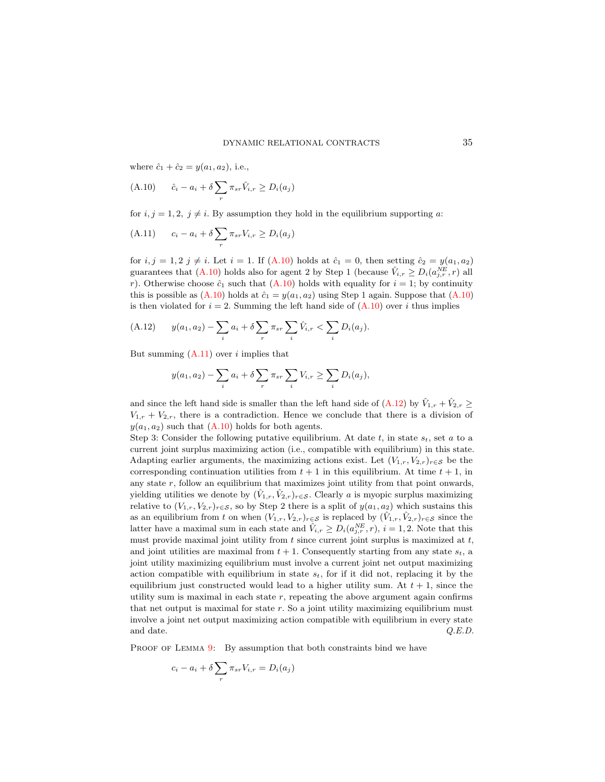<span id="page-34-0"></span>where  $\hat{c}_1 + \hat{c}_2 = y(a_1, a_2)$ , i.e.,

(A.10) 
$$
\hat{c}_i - a_i + \delta \sum_r \pi_{sr} \hat{V}_{i,r} \ge D_i(a_j)
$$

for  $i, j = 1, 2, j \neq i$ . By assumption they hold in the equilibrium supporting a:

<span id="page-34-1"></span>
$$
(A.11) \qquad c_i - a_i + \delta \sum_r \pi_{sr} V_{i,r} \ge D_i(a_j)
$$

for  $i, j = 1, 2, j \neq i$ . Let  $i = 1$ . If  $(A.10)$  holds at  $\hat{c}_1 = 0$ , then setting  $\hat{c}_2 = y(a_1, a_2)$ guarantees that [\(A.10\)](#page-34-0) holds also for agent 2 by Step 1 (because  $\hat{V}_{i,r} \geq D_i(a_{j,r}^{NE}, r)$  all r). Otherwise choose  $\hat{c}_1$  such that  $(A.10)$  holds with equality for  $i = 1$ ; by continuity this is possible as [\(A.10\)](#page-34-0) holds at  $\hat{c}_1 = y(a_1, a_2)$  using Step 1 again. Suppose that (A.10) is then violated for  $i = 2$ . Summing the left hand side of  $(A.10)$  over i thus implies

(A.12) 
$$
y(a_1, a_2) - \sum_i a_i + \delta \sum_r \pi_{sr} \sum_i \hat{V}_{i,r} < \sum_i D_i(a_j).
$$

But summing  $(A.11)$  over i implies that

<span id="page-34-2"></span>
$$
y(a_1, a_2) - \sum_i a_i + \delta \sum_r \pi_{sr} \sum_i V_{i,r} \geq \sum_i D_i(a_j),
$$

and since the left hand side is smaller than the left hand side of  $(A.12)$  by  $\hat{V}_{1,r} + \hat{V}_{2,r} \ge$  $V_{1,r} + V_{2,r}$ , there is a contradiction. Hence we conclude that there is a division of  $y(a_1, a_2)$  such that  $(A.10)$  holds for both agents.

Step 3: Consider the following putative equilibrium. At date t, in state  $s_t$ , set a to a current joint surplus maximizing action (i.e., compatible with equilibrium) in this state. Adapting earlier arguments, the maximizing actions exist. Let  $(V_{1,r}, V_{2,r})_{r \in S}$  be the corresponding continuation utilities from  $t + 1$  in this equilibrium. At time  $t + 1$ , in any state  $r$ , follow an equilibrium that maximizes joint utility from that point onwards, yielding utilities we denote by  $(\hat{V}_{1,r}, \hat{V}_{2,r})_{r \in \mathcal{S}}$ . Clearly a is myopic surplus maximizing relative to  $(V_{1,r}, V_{2,r})_{r \in \mathcal{S}}$ , so by Step 2 there is a split of  $y(a_1, a_2)$  which sustains this as an equilibrium from t on when  $(V_{1,r}, V_{2,r})_{r \in \mathcal{S}}$  is replaced by  $(\hat{V}_{1,r}, \hat{V}_{2,r})_{r \in \mathcal{S}}$  since the latter have a maximal sum in each state and  $\hat{V}_{i,r} \ge D_i(a_{j,r}^{NE}, r)$ ,  $i = 1, 2$ . Note that this must provide maximal joint utility from  $t$  since current joint surplus is maximized at  $t$ , and joint utilities are maximal from  $t + 1$ . Consequently starting from any state  $s_t$ , a joint utility maximizing equilibrium must involve a current joint net output maximizing action compatible with equilibrium in state  $s_t$ , for if it did not, replacing it by the equilibrium just constructed would lead to a higher utility sum. At  $t + 1$ , since the utility sum is maximal in each state  $r$ , repeating the above argument again confirms that net output is maximal for state  $r$ . So a joint utility maximizing equilibrium must involve a joint net output maximizing action compatible with equilibrium in every state and date.  $Q.E.D.$ 

PROOF OF LEMMA [9:](#page-17-1) By assumption that both constraints bind we have

$$
c_i - a_i + \delta \sum_r \pi_{sr} V_{i,r} = D_i(a_j)
$$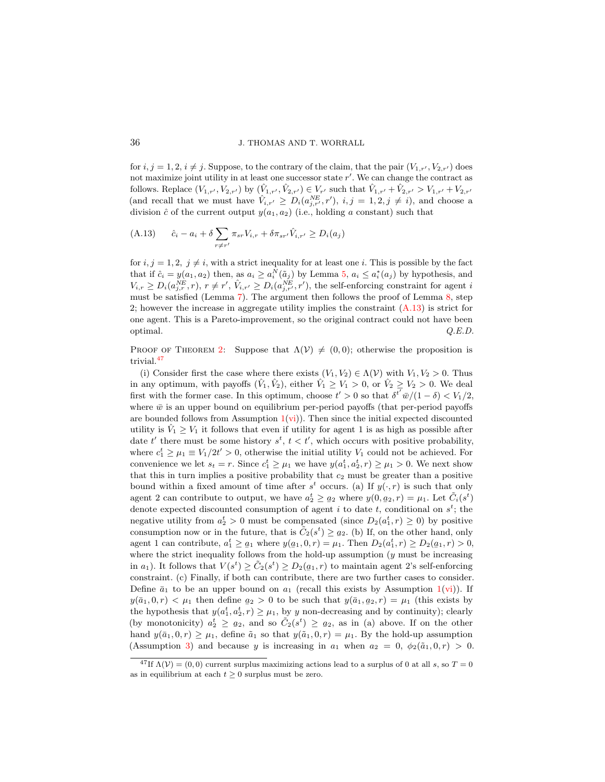for  $i, j = 1, 2, i \neq j$ . Suppose, to the contrary of the claim, that the pair  $(V_{1,r'}, V_{2,r'})$  does not maximize joint utility in at least one successor state  $r'$ . We can change the contract as follows. Replace  $(V_{1,r'}, V_{2,r'})$  by  $(\hat{V}_{1,r'}, \hat{V}_{2,r'}) \in V_{r'}$  such that  $\hat{V}_{1,r'} + \hat{V}_{2,r'} > V_{1,r'} + V_{2,r'}$ (and recall that we must have  $\hat{V}_{i,r'} \geq D_i(a_{j,r'}^{NE}, r')$ ,  $i, j = 1, 2, j \neq i$ ), and choose a division  $\hat{c}$  of the current output  $y(a_1, a_2)$  (i.e., holding a constant) such that

<span id="page-35-0"></span>(A.13) 
$$
\hat{c}_i - a_i + \delta \sum_{r \neq r'} \pi_{sr} V_{i,r} + \delta \pi_{sr'} \hat{V}_{i,r'} \ge D_i(a_j)
$$

for  $i, j = 1, 2, j \neq i$ , with a strict inequality for at least one i. This is possible by the fact that if  $\hat{c}_i = y(a_1, a_2)$  then, as  $a_i \ge a_i^N(\tilde{a}_j)$  by Lemma [5,](#page-13-2)  $a_i \le a_i^*(a_j)$  by hypothesis, and  $V_{i,r} \geq D_i(a_{j,r}^{NE}, r)$ ,  $r \neq r'$ ,  $\hat{V}_{i,r'} \geq D_i(a_{j,r'}^{NE}, r')$ , the self-enforcing constraint for agent i must be satisfied (Lemma [7\)](#page-15-3). The argument then follows the proof of Lemma [8,](#page-16-1) step 2; however the increase in aggregate utility implies the constraint  $(A.13)$  is strict for one agent. This is a Pareto-improvement, so the original contract could not have been optimal.  $Q.E.D.$ 

PROOF OF THEOREM [2:](#page-18-0) Suppose that  $\Lambda(V) \neq (0, 0)$ ; otherwise the proposition is trivial.<sup>[47](#page-35-1)</sup>

(i) Consider first the case where there exists  $(V_1, V_2) \in \Lambda(V)$  with  $V_1, V_2 > 0$ . Thus in any optimum, with payoffs  $(\hat{V}_1, \hat{V}_2)$ , either  $\hat{V}_1 \geq V_1 > 0$ , or  $\hat{V}_2 \geq V_2 > 0$ . We deal first with the former case. In this optimum, choose  $t' > 0$  so that  $\delta^{t'}\overline{w}/(1-\delta) < V_1/2$ , where  $\bar{w}$  is an upper bound on equilibrium per-period payoffs (that per-period payoffs are bounded follows from Assumption  $1(vi)$  $1(vi)$ ). Then since the initial expected discounted utility is  $\hat{V}_1 \geq V_1$  it follows that even if utility for agent 1 is as high as possible after date t' there must be some history  $s^t$ ,  $t < t'$ , which occurs with positive probability, where  $c_1^t \geq \mu_1 \equiv V_1/2t' > 0$ , otherwise the initial utility  $V_1$  could not be achieved. For convenience we let  $s_t = r$ . Since  $c_1^t \geq \mu_1$  we have  $y(a_1^t, a_2^t, r) \geq \mu_1 > 0$ . We next show that this in turn implies a positive probability that  $c_2$  must be greater than a positive bound within a fixed amount of time after  $s^t$  occurs. (a) If  $y(\cdot, r)$  is such that only agent 2 can contribute to output, we have  $a_2^t \ge a_2$  where  $y(0, a_2, r) = \mu_1$ . Let  $\tilde{C}_i(s^t)$ denote expected discounted consumption of agent i to date t, conditional on  $s^t$ ; the negative utility from  $a_2^t > 0$  must be compensated (since  $D_2(a_1^t, r) \geq 0$ ) by positive consumption now or in the future, that is  $\tilde{C}_2(s^t) \geq \underline{a}_2$ . (b) If, on the other hand, only agent 1 can contribute,  $a_1^t \geq a_1$  where  $y(a_1, 0, r) = \mu_1$ . Then  $D_2(a_1^t, r) \geq D_2(a_1, r) > 0$ , where the strict inequality follows from the hold-up assumption (y must be increasing in  $a_1$ ). It follows that  $V(s^t) \geq \tilde{C}_2(s^t) \geq D_2(a_1, r)$  to maintain agent 2's self-enforcing constraint. (c) Finally, if both can contribute, there are two further cases to consider. Define  $\bar{a}_1$  to be an upper bound on  $a_1$  (recall this exists by Assumption [1\(](#page-6-1)[vi\)](#page-6-2)). If  $y(\bar{a}_1, 0, r) < \mu_1$  then define  $a_2 > 0$  to be such that  $y(\bar{a}_1, a_2, r) = \mu_1$  (this exists by the hypothesis that  $y(a_1^t, a_2^t, r) \ge \mu_1$ , by y non-decreasing and by continuity); clearly (by monotonicity)  $a_2^t \geq a_2$ , and so  $\tilde{C}_2(s^t) \geq a_2$ , as in (a) above. If on the other hand  $y(\bar{a}_1, 0, r) \ge \mu_1$ , define  $\tilde{a}_1$  so that  $y(\tilde{a}_1, 0, r) = \mu_1$ . By the hold-up assumption (Assumption [3\)](#page-8-1) and because y is increasing in  $a_1$  when  $a_2 = 0$ ,  $\phi_2(\tilde{a}_1, 0, r) > 0$ .

<span id="page-35-1"></span><sup>&</sup>lt;sup>47</sup>If  $\Lambda(\mathcal{V}) = (0, 0)$  current surplus maximizing actions lead to a surplus of 0 at all s, so  $T = 0$ as in equilibrium at each  $t \geq 0$  surplus must be zero.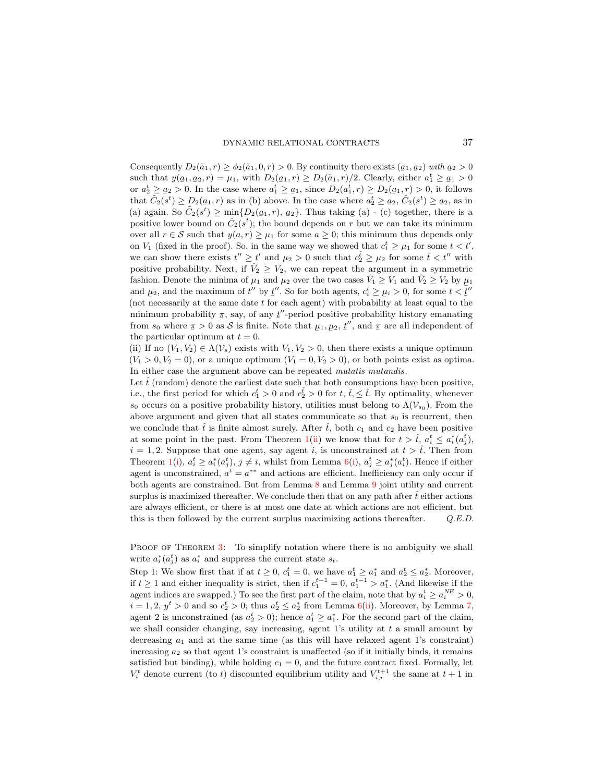Consequently  $D_2(\tilde{a}_1, r) \ge \phi_2(\tilde{a}_1, 0, r) > 0$ . By continuity there exists  $(a_1, a_2)$  with  $a_2 > 0$ such that  $y(a_1, a_2, r) = \mu_1$ , with  $D_2(a_1, r) \geq D_2(\tilde{a}_1, r)/2$ . Clearly, either  $a_1^t \geq a_1 > 0$  $\alpha_1 \geq \alpha_2 > 0$ . In the case where  $a_1^t \geq \alpha_1$ , since  $D_2(a_1^t, r) \geq D_2(a_1, r) > 0$ , it follows that  $\tilde{C}_2(s^t) \geq D_2(\underline{a}_1, r)$  as in (b) above. In the case where  $a_2^t \geq \underline{a}_2$ ,  $\tilde{C}_2(s^t) \geq \underline{a}_2$ , as in (a) again. So  $\tilde{C}_2(s^t) \ge \min\{D_2(a_1, r), a_2\}$ . Thus taking (a) - (c) together, there is a positive lower bound on  $\tilde{C}_2(s^t)$ ; the bound depends on r but we can take its minimum positive lower bound on  $\tilde{C}_2(s^t)$ ; the bound depends on r but we can take its minimum over all  $r \in S$  such that  $y(a, r) \geq \mu_1$  for some  $a \geq 0$ ; this minimum thus depends only on  $V_1$  (fixed in the proof). So, in the same way we showed that  $c_1^t \geq \mu_1$  for some  $t < t'$ , we can show there exists  $t'' \geq t'$  and  $\mu_2 > 0$  such that  $c_2^{\tilde{t}} \geq \mu_2$  for some  $\tilde{t} < t''$  with positive probability. Next, if  $\hat{V}_2 \geq V_2$ , we can repeat the argument in a symmetric fashion. Denote the minima of  $\mu_1$  and  $\mu_2$  over the two cases  $\hat{V}_1 \ge V_1$  and  $\hat{V}_2 \ge V_2$  by  $\mu_1$ and  $\mu_2$ , and the maximum of t'' by t''. So for both agents,  $c_i^t \geq \mu_i > 0$ , for some  $t < t'$ '  $\frac{d}{dz}$ , and the maximum of  $\frac{d}{dz}$  is so for soon agents,  $c_i \leq \frac{d}{dz}$  of the same  $i \leq \frac{d}{z}$  (not necessarily at the same date t for each agent) with probability at least equal to the minimum probability  $\pi$ , say, of any  $\underline{t}''$ -period positive probability history emanating From s<sub>0</sub> where  $\pi > 0$  as S is finite. Note that  $\mu_1, \mu_2, \underline{t}''$ , and  $\pi$  are all independent of<br>the particular optimum at  $t = 0$ the particular optimum at  $t = 0$ .

(ii) If no  $(V_1, V_2) \in \Lambda(V_s)$  exists with  $V_1, V_2 > 0$ , then there exists a unique optimum  $(V_1 > 0, V_2 = 0)$ , or a unique optimum  $(V_1 = 0, V_2 > 0)$ , or both points exist as optima. In either case the argument above can be repeated *mutatis mutandis*.

Let  $\bar{t}$  (random) denote the earliest date such that both consumptions have been positive, i.e., the first period for which  $c_1^t > 0$  and  $c_2^{\tilde{t}} > 0$  for  $t, \tilde{t}, \leq \hat{t}$ . By optimality, whenever  $s_0$  occurs on a positive probability history, utilities must belong to  $\Lambda(\mathcal{V}_{s_0})$ . From the above argument and given that all states communicate so that  $s_0$  is recurrent, then we conclude that  $\hat{t}$  is finite almost surely. After  $\hat{t}$ , both  $c_1$  and  $c_2$  have been positive at some point in the past. From Theorem [1\(](#page-0-1)[ii\)](#page-15-2) we know that for  $t > \hat{t}$ ,  $a_i^t \leq a_i^*(a_j^t)$ ,  $i = 1, 2$ . Suppose that one agent, say agent i, is unconstrained at  $t > \hat{t}$ . Then from Theorem [1](#page-0-1)[\(i\)](#page-15-1),  $a_i^t \ge a_i^*(a_j^t)$ ,  $j \ne i$ , whilst from Lemma [6\(](#page-13-1)[i\)](#page-13-4),  $a_j^t \ge a_j^*(a_i^t)$ . Hence if either agent is unconstrained,  $a^t = a^{**}$  and actions are efficient. Inefficiency can only occur if both agents are constrained. But from Lemma [8](#page-16-1) and Lemma [9](#page-17-1) joint utility and current surplus is maximized thereafter. We conclude then that on any path after  $\hat{t}$  either actions are always efficient, or there is at most one date at which actions are not efficient, but this is then followed by the current surplus maximizing actions thereafter.  $Q.E.D.$ 

PROOF OF THEOREM [3:](#page-18-1) To simplify notation where there is no ambiguity we shall write  $a_i^*(a_j^t)$  as  $a_i^*$  and suppress the current state  $s_t$ .

Step 1: We show first that if at  $t \geq 0$ ,  $c_1^t = 0$ , we have  $a_1^t \geq a_1^*$  and  $a_2^t \leq a_2^*$ . Moreover, if  $t \geq 1$  and either inequality is strict, then if  $c_1^{t-1} = 0$ ,  $a_1^{t-1} > a_1^*$ . (And likewise if the agent indices are swapped.) To see the first part of the claim, note that by  $a_i^t \ge a_i^{NE} > 0$ ,  $i = 1, 2, y<sup>t</sup> > 0$  and so  $c_2<sup>t</sup> > 0$ ; thus  $a_2<sup>t</sup> \le a_2<sup>*</sup>$  from Lemma [6\(](#page-13-1)[ii\)](#page-13-3). Moreover, by Lemma [7,](#page-15-3) agent 2 is unconstrained (as  $a_2^t > 0$ ); hence  $a_1^t \ge a_1^*$ . For the second part of the claim, we shall consider changing, say increasing, agent 1's utility at  $t$  a small amount by decreasing  $a_1$  and at the same time (as this will have relaxed agent 1's constraint) increasing  $a_2$  so that agent 1's constraint is unaffected (so if it initially binds, it remains satisfied but binding), while holding  $c_1 = 0$ , and the future contract fixed. Formally, let  $V_i^t$  denote current (to t) discounted equilibrium utility and  $V_{i,r}^{t+1}$  the same at  $t+1$  in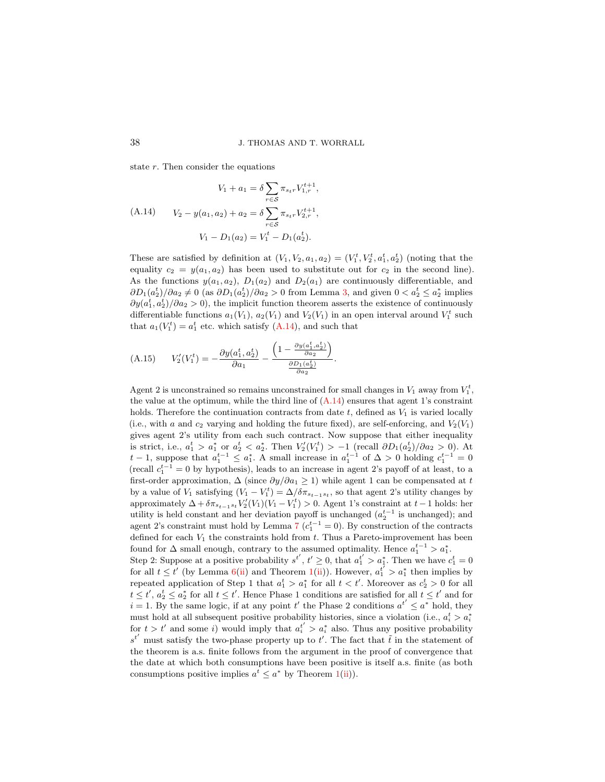<span id="page-37-0"></span>state  $r$ . Then consider the equations

$$
V_1 + a_1 = \delta \sum_{r \in S} \pi_{s_t r} V_{1,r}^{t+1},
$$
  
(A.14) 
$$
V_2 - y(a_1, a_2) + a_2 = \delta \sum_{r \in S} \pi_{s_t r} V_{2,r}^{t+1},
$$

$$
V_1 - D_1(a_2) = V_1^t - D_1(a_2^t).
$$

These are satisfied by definition at  $(V_1, V_2, a_1, a_2) = (V_1^t, V_2^t, a_1^t, a_2^t)$  (noting that the equality  $c_2 = y(a_1, a_2)$  has been used to substitute out for  $c_2$  in the second line). As the functions  $y(a_1, a_2)$ ,  $D_1(a_2)$  and  $D_2(a_1)$  are continuously differentiable, and  $\partial D_1(a_2^t)/\partial a_2 \neq 0$  (as  $\partial D_1(a_2^t)/\partial a_2 > 0$  from Lemma [3,](#page-11-1) and given  $0 < a_2^t \le a_2^*$  implies  $\partial y(a_1^t, a_2^t)/\partial a_2 > 0$ , the implicit function theorem asserts the existence of continuously differentiable functions  $a_1(V_1)$ ,  $a_2(V_1)$  and  $V_2(V_1)$  in an open interval around  $V_1^t$  such that  $a_1(V_1^t) = a_1^t$  etc. which satisfy [\(A.14\)](#page-37-0), and such that

<span id="page-37-1"></span>(A.15) 
$$
V_2'(V_1^t) = -\frac{\partial y(a_1^t, a_2^t)}{\partial a_1} - \frac{\left(1 - \frac{\partial y(a_1^t, a_2^t)}{\partial a_2}\right)}{\frac{\partial D_1(a_2^t)}{\partial a_2}}.
$$

Agent 2 is unconstrained so remains unconstrained for small changes in  $V_1$  away from  $V_1^t$ , the value at the optimum, while the third line of  $(A.14)$  ensures that agent 1's constraint holds. Therefore the continuation contracts from date  $t$ , defined as  $V_1$  is varied locally (i.e., with a and  $c_2$  varying and holding the future fixed), are self-enforcing, and  $V_2(V_1)$ gives agent 2's utility from each such contract. Now suppose that either inequality is strict, i.e.,  $a_1^t > a_1^*$  or  $a_2^t < a_2^*$ . Then  $V_2'(V_1^t) > -1$  (recall  $\partial D_1(a_2^t)/\partial a_2 > 0$ ). At t − 1, suppose that  $a_1^{t-1} \le a_1^*$ . A small increase in  $a_1^{t-1}$  of  $\Delta > 0$  holding  $c_1^{t-1} = 0$ (recall  $c_1^{t-1} = 0$  by hypothesis), leads to an increase in agent 2's payoff of at least, to a first-order approximation,  $\Delta$  (since  $\partial y/\partial a_1 \geq 1$ ) while agent 1 can be compensated at t by a value of  $V_1$  satisfying  $(V_1 - V_1^t) = \Delta/\delta \pi_{s_{t-1}s_t}$ , so that agent 2's utility changes by approximately  $\Delta + \delta \pi_{s_{t-1}s_t} V_2'(V_1)(V_1 - V_1^t) > 0$ . Agent 1's constraint at  $t-1$  holds: her utility is held constant and her deviation payoff is unchanged  $(a_2^{t-1}$  is unchanged); and agent 2's constraint must hold by Lemma  $7 (c_1^{t-1} = 0)$  $7 (c_1^{t-1} = 0)$ . By construction of the contracts defined for each  $V_1$  the constraints hold from  $t$ . Thus a Pareto-improvement has been found for  $\Delta$  small enough, contrary to the assumed optimality. Hence  $a_1^{t-1} > a_1^*$ . Step 2: Suppose at a positive probability  $s^{t'}$ ,  $t' \geq 0$ , that  $a_1^{t'} > a_1^*$ . Then we have  $c_1^t = 0$ for all  $t \leq t'$  (by Lemma [6\(](#page-13-1)[ii\)](#page-13-3) and Theorem [1](#page-0-1)[\(ii\)](#page-15-2)). However,  $a_1^{t'} > a_1^*$  then implies by repeated application of Step 1 that  $a_1^t > a_1^*$  for all  $t < t'$ . Moreover as  $c_2^t > 0$  for all  $t \leq t'$ ,  $a_2^t \leq a_2^*$  for all  $t \leq t'$ . Hence Phase 1 conditions are satisfied for all  $t \leq t'$  and for  $i = 1$ . By the same logic, if at any point t' the Phase 2 conditions  $a^{t'} \leq a^{*}$  hold, they must hold at all subsequent positive probability histories, since a violation (i.e.,  $a_i^t > a_i^*$ for  $t > t'$  and some i) would imply that  $a_i^{t'} > a_i^*$  also. Thus any positive probability  $s^{t'}$  must satisfy the two-phase property up to t'. The fact that  $\tilde{t}$  in the statement of the theorem is a.s. finite follows from the argument in the proof of convergence that the date at which both consumptions have been positive is itself a.s. finite (as both consumptions positive implies  $a^t \leq a^*$  by Theorem [1](#page-0-1)[\(ii\)](#page-15-2)).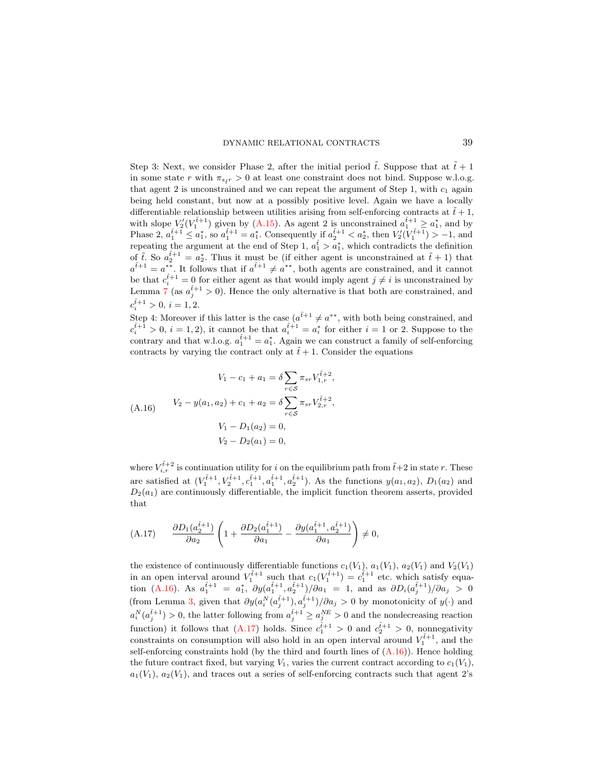Step 3: Next, we consider Phase 2, after the initial period  $\tilde{t}$ . Suppose that at  $\tilde{t}+1$ in some state r with  $\pi_{s_{\tilde{i}}r} > 0$  at least one constraint does not bind. Suppose w.l.o.g. that agent 2 is unconstrained and we can repeat the argument of Step 1, with  $c_1$  again being held constant, but now at a possibly positive level. Again we have a locally differentiable relationship between utilities arising from self-enforcing contracts at  $\tilde{t} + 1$ , with slope  $V_2'(V_1^{\tilde{t}+1})$  given by [\(A.15\)](#page-37-1). As agent 2 is unconstrained  $a_1^{\tilde{t}+1} \ge a_1^*$ , and by Phase 2,  $a_1^{\tilde{t}+1} \leq a_1^*$ , so  $a_1^{\tilde{t}+1} = a_1^*$ . Consequently if  $a_2^{\tilde{t}+1} < a_2^*$ , then  $V_2'(V_1^{\tilde{t}+1}) > -1$ , and repeating the argument at the end of Step 1,  $a_1^{\tilde{t}} > a_1^*$ , which contradicts the definition of  $\tilde{t}$ . So  $a_2^{\tilde{t}+1} = a_2^*$ . Thus it must be (if either agent is unconstrained at  $\tilde{t} + 1$ ) that  $a^{\tilde{t}+1} = a^{**}$ . It follows that if  $a^{\tilde{t}+1} \neq a^{**}$ , both agents are constrained, and it cannot be that  $c_i^{\tilde{t}+1} = 0$  for either agent as that would imply agent  $j \neq i$  is unconstrained by Lemma [7](#page-15-3) (as  $a_j^{\tilde{t}+1} > 0$ ). Hence the only alternative is that both are constrained, and  $c_i^{\tilde{t}+1} > 0, i = 1, 2.$ 

Step 4: Moreover if this latter is the case  $(a^{t+1} \neq a^{**},$  with both being constrained, and  $c_i^{\tilde{t}+1} > 0, i = 1, 2$ , it cannot be that  $a_i^{\tilde{t}+1} = a_i^*$  for either  $i = 1$  or 2. Suppose to the contrary and that w.l.o.g.  $a_1^{\tilde{t}+1} = a_1^*$ . Again we can construct a family of self-enforcing contracts by varying the contract only at  $\tilde{t} + 1$ . Consider the equations

<span id="page-38-0"></span>
$$
V_1 - c_1 + a_1 = \delta \sum_{r \in S} \pi_{sr} V_{1,r}^{\tilde{t}+2},
$$
  
(A.16) 
$$
V_2 - y(a_1, a_2) + c_1 + a_2 = \delta \sum_{r \in S} \pi_{sr} V_{2,r}^{\tilde{t}+2},
$$

$$
V_1 - D_1(a_2) = 0,
$$

$$
V_2 - D_2(a_1) = 0,
$$

where  $V_{i,r}^{\tilde{t}+2}$  is continuation utility for i on the equilibrium path from  $\tilde{t}+2$  in state r. These are satisfied at  $(V_1^{\tilde{t}+1}, V_2^{\tilde{t}+1}, c_1^{\tilde{t}+1}, a_1^{\tilde{t}+1}, a_2^{\tilde{t}+1})$ . As the functions  $y(a_1, a_2), D_1(a_2)$  and  $D_2(a_1)$  are continuously differentiable, the implicit function theorem asserts, provided that

<span id="page-38-1"></span>(A.17) 
$$
\frac{\partial D_1(a_2^{\tilde{t}+1})}{\partial a_2} \left(1 + \frac{\partial D_2(a_1^{\tilde{t}+1})}{\partial a_1} - \frac{\partial y(a_1^{\tilde{t}+1}, a_2^{\tilde{t}+1})}{\partial a_1}\right) \neq 0,
$$

the existence of continuously differentiable functions  $c_1(V_1)$ ,  $a_1(V_1)$ ,  $a_2(V_1)$  and  $V_2(V_1)$ in an open interval around  $V_1^{\tilde{t}+1}$  such that  $c_1(V_1^{\tilde{t}+1}) = c_1^{\tilde{t}+1}$  etc. which satisfy equa-tion [\(A.16\)](#page-38-0). As  $a_1^{\tilde{t}+1} = a_1^*$ ,  $\partial y (a_1^{\tilde{t}+1}, a_2^{\tilde{t}+1})/\partial a_1 = 1$ , and as  $\partial D_i (a_j^{\tilde{t}+1})/\partial a_j > 0$ (from Lemma [3,](#page-11-1) given that  $\partial y(a_i^N(a_j^{\tilde{t}+1}), a_j^{\tilde{t}+1})/\partial a_j > 0$  by monotonicity of  $y(\cdot)$  and  $a_i^N(a_j^{\tilde{t}+1}) > 0$ , the latter following from  $a_j^{\tilde{t}+1} \ge a_j^{NE} > 0$  and the nondecreasing reaction function) it follows that [\(A.17\)](#page-38-1) holds. Since  $c_1^{\tilde{t}+1} > 0$  and  $c_2^{\tilde{t}+1} > 0$ , nonnegativity constraints on consumption will also hold in an open interval around  $V_1^{\tilde{t}+1}$ , and the self-enforcing constraints hold (by the third and fourth lines of  $(A.16)$ ). Hence holding the future contract fixed, but varying  $V_1$ , varies the current contract according to  $c_1(V_1)$ ,  $a_1(V_1), a_2(V_1)$ , and traces out a series of self-enforcing contracts such that agent 2's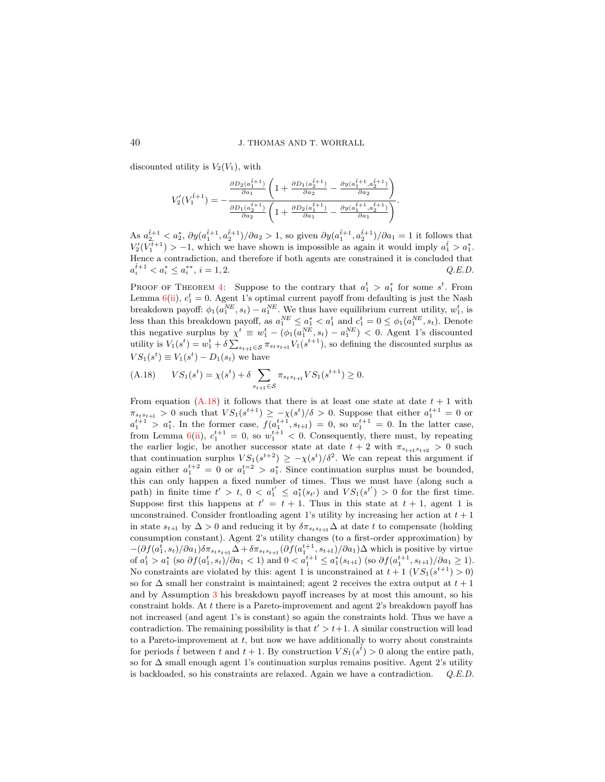discounted utility is  $V_2(V_1)$ , with

$$
V_2'(V_1^{\tilde{t}+1}) = -\frac{\frac{\partial D_2(a_1^{\tilde{t}+1})}{\partial a_1} \left(1 + \frac{\partial D_1(a_2^{\tilde{t}+1})}{\partial a_2} - \frac{\partial y(a_1^{\tilde{t}+1}, a_2^{\tilde{t}+1})}{\partial a_2}\right)}{\frac{\partial D_1(a_2^{\tilde{t}+1})}{\partial a_2} \left(1 + \frac{\partial D_2(a_1^{\tilde{t}+1})}{\partial a_1} - \frac{\partial y(a_1^{\tilde{t}+1}, a_2^{\tilde{t}+1})}{\partial a_1}\right)}.
$$

As  $a_2^{\tilde{t}+1} < a_2^*$ ,  $\partial y(a_1^{\tilde{t}+1}, a_2^{\tilde{t}+1})/\partial a_2 > 1$ , so given  $\partial y(a_1^{\tilde{t}+1}, a_2^{\tilde{t}+1})/\partial a_1 = 1$  it follows that  $V_2'(V_1^{\tilde{t}+1}) > -1$ , which we have shown is impossible as again it would imply  $a_1^{\tilde{t}} > a_1^*$ . Hence a contradiction, and therefore if both agents are constrained it is concluded that  $a_i^{\tilde{t}+1} < a_i^* \le a_i^{**}, i = 1, 2.$  Q.E.D.

PROOF OF THEOREM [4:](#page-21-0) Suppose to the contrary that  $a_1^t > a_1^*$  for some  $s^t$ . From Lemma  $6(ii)$  $6(ii)$ ,  $c_1^t = 0$ . Agent 1's optimal current payoff from defaulting is just the Nash breakdown payoff:  $\phi_1(a_1^{NE}, s_t) - a_1^{NE}$ . We thus have equilibrium current utility,  $w_1^t$ , is less than this breakdown payoff, as  $a_1^{NE} \le a_1^* < a_1^t$  and  $c_1^t = 0 \le \phi_1(a_1^{NE}, s_t)$ . Denote this negative surplus by  $\chi^t \equiv w_1^t - (\phi_1(a_1^{NE}, s_t) - a_1^{NE}) < 0$ . Agent 1's discounted utility is  $V_1(s^t) = w_1^t + \delta \sum_{s_{t+1} \in S} \pi_{s_ts_{t+1}} V_1(s^{t+1}),$  so defining the discounted surplus as  $VS_1(s^t) \equiv V_1(s^t) - D_1(s_t)$  we have

<span id="page-39-0"></span>(A.18) 
$$
VS_1(s^t) = \chi(s^t) + \delta \sum_{s_{t+1} \in S} \pi_{s_ts_{t+1}} VS_1(s^{t+1}) \ge 0.
$$

From equation  $(A.18)$  it follows that there is at least one state at date  $t + 1$  with  $\pi_{s_ts_{t+1}} > 0$  such that  $VS_1(s^{t+1}) \geq -\chi(s^t)/\delta > 0$ . Suppose that either  $a_1^{t+1} = 0$  or  $a_1^{t+1} > a_1^*$ . In the former case,  $f(a_1^{t+1}, s_{t+1}) = 0$ , so  $w_1^{t+1} = 0$ . In the latter case, from Lemma  $6(ii)$  $6(ii)$ ,  $c_1^{t+1} = 0$ , so  $w_1^{t+1} < 0$ . Consequently, there must, by repeating the earlier logic, be another successor state at date  $t + 2$  with  $\pi_{s_{t+1}, s_{t+2}} > 0$  such that continuation surplus  $VS_1(s^{t+2}) \geq -\chi(s^t)/\delta^2$ . We can repeat this argument if again either  $a_1^{t+2} = 0$  or  $a_1^{t+2} > a_1^*$ . Since continuation surplus must be bounded, this can only happen a fixed number of times. Thus we must have (along such a path) in finite time  $t' > t$ ,  $0 < a_1^{t'} \le a_1^*(s_{t'})$  and  $VS_1(s^{t'}) > 0$  for the first time. Suppose first this happens at  $t' = t + 1$ . Thus in this state at  $t + 1$ , agent 1 is unconstrained. Consider frontloading agent 1's utility by increasing her action at  $t + 1$ in state  $s_{t+1}$  by  $\Delta > 0$  and reducing it by  $\delta \pi_{s_ts_{t+1}}\Delta$  at date t to compensate (holding consumption constant). Agent 2's utility changes (to a first-order approximation) by  $-(\partial f(a_1^t, s_t)/\partial a_1)\delta\pi_{s_ts_{t+1}}\Delta + \delta\pi_{s_ts_{t+1}}(\partial f(a_1^{t+1}, s_{t+1})/\partial a_1)\Delta$  which is positive by virtue of  $a_1^t > a_1^*$  (so  $\partial f(a_1^t, s_t)/\partial a_1 < 1$ ) and  $0 < a_1^{t+1} \le a_1^*(s_{t+1})$  (so  $\partial f(a_1^{t+1}, s_{t+1})/\partial a_1 \ge 1$ ). No constraints are violated by this: agent 1 is unconstrained at  $t + 1$   $(VS_1(s^{t+1}) > 0)$ so for  $\Delta$  small her constraint is maintained; agent 2 receives the extra output at  $t + 1$ and by Assumption [3](#page-8-1) his breakdown payoff increases by at most this amount, so his constraint holds. At t there is a Pareto-improvement and agent 2's breakdown payoff has not increased (and agent 1's is constant) so again the constraints hold. Thus we have a contradiction. The remaining possibility is that  $t' > t+1$ . A similar construction will lead to a Pareto-improvement at  $t$ , but now we have additionally to worry about constraints for periods  $\hat{t}$  between t and  $t + 1$ . By construction  $VS_1(s^{\hat{t}}) > 0$  along the entire path, so for ∆ small enough agent 1's continuation surplus remains positive. Agent 2's utility is backloaded, so his constraints are relaxed. Again we have a contradiction. Q.E.D.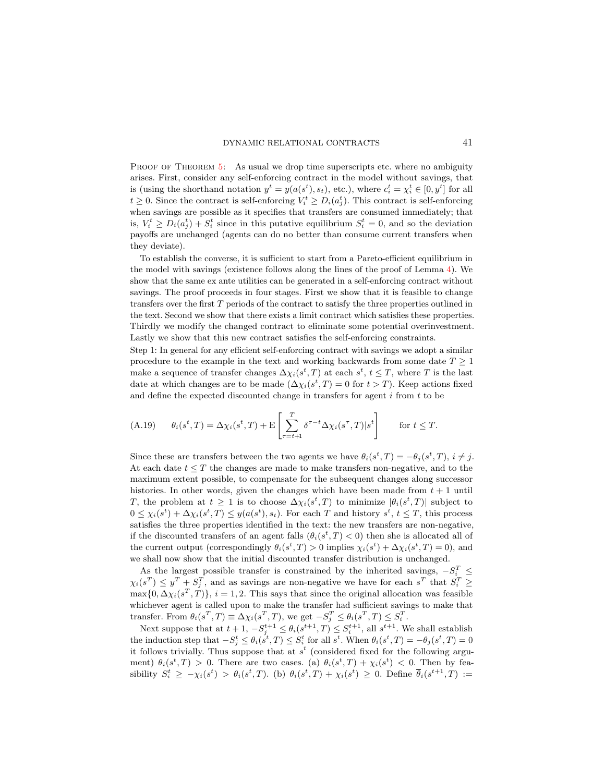PROOF OF THEOREM [5:](#page-24-1) As usual we drop time superscripts etc. where no ambiguity arises. First, consider any self-enforcing contract in the model without savings, that is (using the shorthand notation  $y^t = y(a(s^t), s_t)$ , etc.), where  $c_i^t = \chi_i^t \in [0, y^t]$  for all  $t \geq 0$ . Since the contract is self-enforcing  $V_i^t \geq D_i(a_j^t)$ . This contract is self-enforcing when savings are possible as it specifies that transfers are consumed immediately; that is,  $V_i^t \ge D_i(a_j^t) + S_i^t$  since in this putative equilibrium  $S_i^t = 0$ , and so the deviation payoffs are unchanged (agents can do no better than consume current transfers when they deviate).

To establish the converse, it is sufficient to start from a Pareto-efficient equilibrium in the model with savings (existence follows along the lines of the proof of Lemma [4\)](#page-12-1). We show that the same ex ante utilities can be generated in a self-enforcing contract without savings. The proof proceeds in four stages. First we show that it is feasible to change transfers over the first T periods of the contract to satisfy the three properties outlined in the text. Second we show that there exists a limit contract which satisfies these properties. Thirdly we modify the changed contract to eliminate some potential overinvestment. Lastly we show that this new contract satisfies the self-enforcing constraints.

Step 1: In general for any efficient self-enforcing contract with savings we adopt a similar procedure to the example in the text and working backwards from some date  $T \geq 1$ make a sequence of transfer changes  $\Delta \chi_i(s^t, T)$  at each  $s^t, t \leq T$ , where T is the last date at which changes are to be made  $(\Delta \chi_i(s^t, T) = 0$  for  $t > T)$ . Keep actions fixed and define the expected discounted change in transfers for agent  $i$  from  $t$  to be

<span id="page-40-0"></span>(A.19) 
$$
\theta_i(s^t, T) = \Delta \chi_i(s^t, T) + \mathcal{E}\left[\sum_{\tau=t+1}^T \delta^{\tau-t} \Delta \chi_i(s^{\tau}, T)|s^t\right] \quad \text{for } t \leq T.
$$

Since these are transfers between the two agents we have  $\theta_i(s^t, T) = -\theta_j(s^t, T), i \neq j$ . At each date  $t \leq T$  the changes are made to make transfers non-negative, and to the maximum extent possible, to compensate for the subsequent changes along successor histories. In other words, given the changes which have been made from  $t + 1$  until T, the problem at  $t \geq 1$  is to choose  $\Delta \chi_i(s^t,T)$  to minimize  $|\theta_i(s^t,T)|$  subject to  $0 \leq \chi_i(s^t) + \Delta \chi_i(s^t, T) \leq y(a(s^t), s_t)$ . For each T and history  $s^t, t \leq T$ , this process satisfies the three properties identified in the text: the new transfers are non-negative, if the discounted transfers of an agent falls  $(\theta_i(s^t, T) < 0)$  then she is allocated all of the current output (correspondingly  $\theta_i(s^t, T) > 0$  implies  $\chi_i(s^t) + \Delta \chi_i(s^t, T) = 0$ ), and we shall now show that the initial discounted transfer distribution is unchanged.

As the largest possible transfer is constrained by the inherited savings,  $-S_i^T \leq$  $\chi_i(s^T) \leq y^T + S_j^T$ , and as savings are non-negative we have for each  $s^T$  that  $S_i^T \geq$  $\max\{0, \Delta \chi_i(s^T, T)\}, i = 1, 2$ . This says that since the original allocation was feasible whichever agent is called upon to make the transfer had sufficient savings to make that transfer. From  $\theta_i(s^T, T) \equiv \Delta \chi_i(s^T, T)$ , we get  $-S_j^T \leq \theta_i(s^T, T) \leq S_i^T$ .

Next suppose that at  $t + 1$ ,  $-S_j^{t+1} \leq \theta_i(s^{t+1}, T) \leq S_i^{t+1}$ , all  $s^{t+1}$ . We shall establish the induction step that  $-S_j^t \leq \theta_i(s^t, T) \leq S_i^t$  for all  $s^t$ . When  $\theta_i(s^t, T) = -\theta_j(s^t, T) = 0$ it follows trivially. Thus suppose that at  $s^t$  (considered fixed for the following argument)  $\theta_i(s^t, T) > 0$ . There are two cases. (a)  $\theta_i(s^t, T) + \chi_i(s^t) < 0$ . Then by feasibility  $S_i^t \geq -\chi_i(s^t) > \theta_i(s^t,T)$ . (b)  $\theta_i(s^t,T) + \chi_i(s^t) \geq 0$ . Define  $\overline{\theta}_i(s^{t+1},T) :=$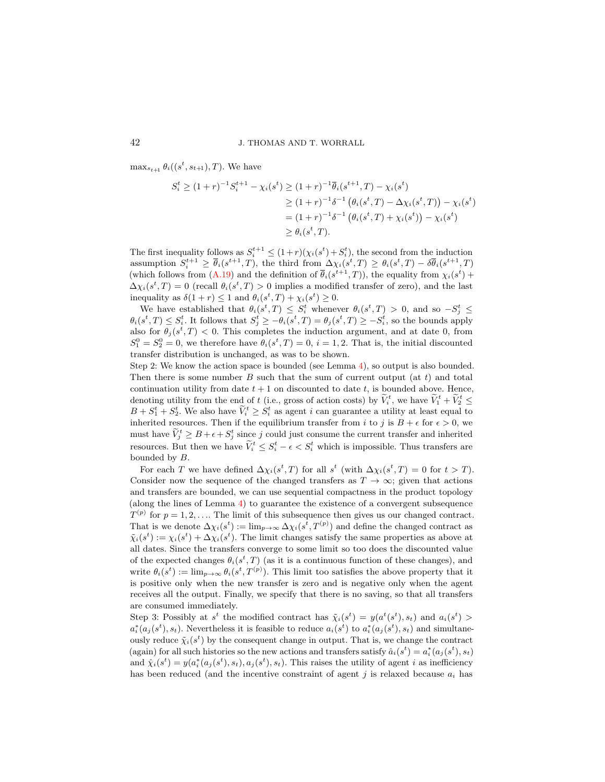$\max_{s_{t+1}} \theta_i((s^t, s_{t+1}), T)$ . We have

$$
S_i^t \ge (1+r)^{-1} S_i^{t+1} - \chi_i(s^t) \ge (1+r)^{-1} \overline{\theta}_i(s^{t+1}, T) - \chi_i(s^t)
$$
  
\n
$$
\ge (1+r)^{-1} \delta^{-1} (\theta_i(s^t, T) - \Delta \chi_i(s^t, T)) - \chi_i(s^t)
$$
  
\n
$$
= (1+r)^{-1} \delta^{-1} (\theta_i(s^t, T) + \chi_i(s^t)) - \chi_i(s^t)
$$
  
\n
$$
\ge \theta_i(s^t, T).
$$

The first inequality follows as  $S_i^{t+1} \leq (1+r)(\chi_i(s^t) + S_i^t)$ , the second from the induction assumption  $S_i^{t+1} \geq \overline{\theta}_i(s^{t+1},T)$ , the third from  $\Delta \chi_i(s^t,T) \geq \theta_i(s^t,T) - \delta \overline{\theta}_i(s^{t+1},T)$ (which follows from [\(A.19\)](#page-40-0) and the definition of  $\bar{\theta}_i(s^{t+1},T)$ ), the equality from  $\chi_i(s^t)$  +  $\Delta \chi_i(s^t,T) = 0$  (recall  $\theta_i(s^t,T) > 0$  implies a modified transfer of zero), and the last inequality as  $\delta(1+r) \leq 1$  and  $\theta_i(s^t, T) + \chi_i(s^t) \geq 0$ .

We have established that  $\theta_i(s^t,T) \leq S_i^t$  whenever  $\theta_i(s^t,T) > 0$ , and so  $-S_j^t \leq$  $\theta_i(s^t,T) \leq S_i^t$ . It follows that  $S_j^t \geq -\theta_i(s^t,T) = \theta_j(s^t,T) \geq -S_i^t$ , so the bounds apply also for  $\theta_i(s^t, T) < 0$ . This completes the induction argument, and at date 0, from  $S_1^0 = S_2^0 = 0$ , we therefore have  $\theta_i(s^t, T) = 0$ ,  $i = 1, 2$ . That is, the initial discounted transfer distribution is unchanged, as was to be shown.

Step 2: We know the action space is bounded (see Lemma [4\)](#page-12-1), so output is also bounded. Then there is some number  $B$  such that the sum of current output (at t) and total continuation utility from date  $t + 1$  on discounted to date t, is bounded above. Hence, denoting utility from the end of t (i.e., gross of action costs) by  $\tilde{V}_i^t$ , we have  $\tilde{V}_1^t + \tilde{V}_2^t \leq$  $B + S_1^t + S_2^t$ . We also have  $\widetilde{V}_i^t \geq S_i^t$  as agent i can guarantee a utility at least equal to inherited resources. Then if the equilibrium transfer from i to j is  $B + \epsilon$  for  $\epsilon > 0$ , we must have  $\widetilde{V}_j^t \geq B + \epsilon + S_j^t$  since j could just consume the current transfer and inherited resources. But then we have  $\tilde{V}_i^t \leq S_i^t - \epsilon < S_i^t$  which is impossible. Thus transfers are bounded by B.

For each T we have defined  $\Delta \chi_i(s^t,T)$  for all  $s^t$  (with  $\Delta \chi_i(s^t,T) = 0$  for  $t > T$ ). Consider now the sequence of the changed transfers as  $T \to \infty$ ; given that actions and transfers are bounded, we can use sequential compactness in the product topology (along the lines of Lemma [4\)](#page-12-1) to guarantee the existence of a convergent subsequence  $T^{(p)}$  for  $p = 1, 2, \ldots$  The limit of this subsequence then gives us our changed contract. That is we denote  $\Delta \chi_i(s^t) := \lim_{p \to \infty} \Delta \chi_i(s^t, T^{(p)})$  and define the changed contract as  $\tilde{\chi}_i(s^t) := \chi_i(s^t) + \Delta \chi_i(s^t)$ . The limit changes satisfy the same properties as above at all dates. Since the transfers converge to some limit so too does the discounted value of the expected changes  $\theta_i(s^t, T)$  (as it is a continuous function of these changes), and write  $\theta_i(s^t) := \lim_{p \to \infty} \theta_i(s^t, T^{(p)})$ . This limit too satisfies the above property that it is positive only when the new transfer is zero and is negative only when the agent receives all the output. Finally, we specify that there is no saving, so that all transfers are consumed immediately.

Step 3: Possibly at  $s^t$  the modified contract has  $\tilde{\chi}_i(s^t) = y(a^t(s^t), s_t)$  and  $a_i(s^t) >$  $a_i^*(a_j(s^t), s_t)$ . Nevertheless it is feasible to reduce  $a_i(s^t)$  to  $a_i^*(a_j(s^t), s_t)$  and simultaneously reduce  $\tilde{\chi}_i(s^t)$  by the consequent change in output. That is, we change the contract (again) for all such histories so the new actions and transfers satisfy  $\hat{a}_i(s^t) = a_i^*(a_j(s^t), s_t)$ and  $\hat{\chi}_i(s^t) = y(a_i^*(a_j(s^t), s_t), a_j(s^t), s_t)$ . This raises the utility of agent i as inefficiency has been reduced (and the incentive constraint of agent j is relaxed because  $a_i$  has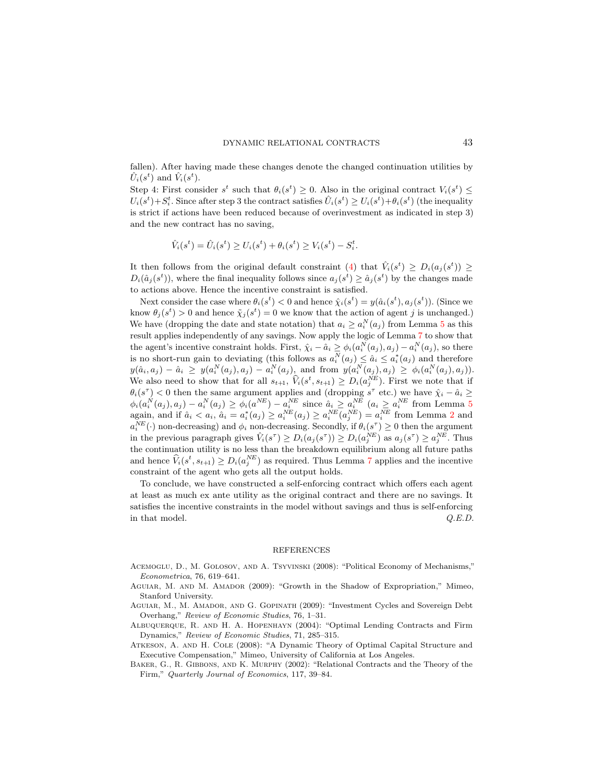fallen). After having made these changes denote the changed continuation utilities by  $\hat{U}_i(s^t)$  and  $\hat{V}_i(s^t)$ .

Step 4: First consider  $s^t$  such that  $\theta_i(s^t) \geq 0$ . Also in the original contract  $V_i(s^t) \leq$  $U_i(s^t) + S_i^t$ . Since after step 3 the contract satisfies  $\hat{U}_i(s^t) \ge U_i(s^t) + \theta_i(s^t)$  (the inequality is strict if actions have been reduced because of overinvestment as indicated in step 3) and the new contract has no saving,

$$
\hat{V}_i(s^t) = \hat{U}_i(s^t) \ge U_i(s^t) + \theta_i(s^t) \ge V_i(s^t) - S_i^t.
$$

It then follows from the original default constraint [\(4\)](#page-23-2) that  $\hat{V}_i(s^t) \geq D_i(a_j(s^t)) \geq$  $D_i(\hat{a}_j(s^t))$ , where the final inequality follows since  $a_j(s^t) \geq \hat{a}_j(s^t)$  by the changes made to actions above. Hence the incentive constraint is satisfied.

Next consider the case where  $\theta_i(s^t) < 0$  and hence  $\hat{\chi}_i(s^t) = y(\hat{a}_i(s^t), a_j(s^t))$ . (Since we know  $\theta_j(s^t) > 0$  and hence  $\tilde{\chi}_j(s^t) = 0$  we know that the action of agent j is unchanged.) We have (dropping the date and state notation) that  $a_i \ge a_i^N(a_j)$  from Lemma [5](#page-13-2) as this result applies independently of any savings. Now apply the logic of Lemma [7](#page-15-3) to show that the agent's incentive constraint holds. First,  $\hat{\chi}_i - \hat{a}_i \ge \phi_i(a_i^N(a_j), a_j) - a_i^N(a_j)$ , so there is no short-run gain to deviating (this follows as  $a_i^N(a_j) \leq \hat{a}_i \leq a_i^*(a_j)$  and therefore  $y(\hat{a}_i, a_j) - \hat{a}_i \geq y(a_i^N(a_j), a_j) - a_i^N(a_j),$  and from  $y(a_i^N(a_j), a_j) \geq \phi_i(a_i^N(a_j), a_j)).$ We also need to show that for all  $s_{t+1}$ ,  $\widehat{V}_i(s^t, s_{t+1}) \geq D_i(a_j^{NE})$ . First we note that if  $\theta_i(s^{\tau})$  < 0 then the same argument applies and (dropping  $s^{\tau}$  etc.) we have  $\hat{\chi}_i - \hat{a}_i \geq$  $\phi_i(a_i^N(a_j), a_j) - a_i^N(a_j) \ge \phi_i(a^{NE}) - a_i^{NE}$  since  $\hat{a}_i \ge a_i^{NE}$   $(a_i \ge a_i^{NE}$  from Lemma [5](#page-13-2) again, and if  $\hat{a}_i < a_i$ ,  $\hat{a}_i = a_i^*(a_j) \ge a_i^{NE}(a_j) \ge a_i^{NE}(a_j^{NE}) = a_i^{NE}$  from Lemma [2](#page-9-3) and  $a_i^{NE}(\cdot)$  non-decreasing) and  $\phi_i$  non-decreasing. Secondly, if  $\theta_i(s^{\tau}) \geq 0$  then the argument in the previous paragraph gives  $\hat{V}_i(s^{\tau}) \ge D_i(a_j(s^{\tau})) \ge D_i(a_j^{NE})$  as  $a_j(s^{\tau}) \ge a_j^{NE}$ . Thus the continuation utility is no less than the breakdown equilibrium along all future paths and hence  $\widehat{V}_i(s^t, s_{t+1}) \ge D_i(a_j^{NE})$  as required. Thus Lemma [7](#page-15-3) applies and the incentive constraint of the agent who gets all the output holds.

To conclude, we have constructed a self-enforcing contract which offers each agent at least as much ex ante utility as the original contract and there are no savings. It satisfies the incentive constraints in the model without savings and thus is self-enforcing in that model.  $Q.E.D.$ 

#### REFERENCES

- <span id="page-42-4"></span>Acemoglu, D., M. Golosov, and A. Tsyvinski (2008): "Political Economy of Mechanisms," Econometrica, 76, 619–641.
- <span id="page-42-2"></span>Aguiar, M. and M. Amador (2009): "Growth in the Shadow of Expropriation," Mimeo, Stanford University.
- <span id="page-42-3"></span>Aguiar, M., M. Amador, and G. Gopinath (2009): "Investment Cycles and Sovereign Debt Overhang," Review of Economic Studies, 76, 1–31.
- <span id="page-42-0"></span>Albuquerque, R. and H. A. Hopenhayn (2004): "Optimal Lending Contracts and Firm Dynamics," Review of Economic Studies, 71, 285–315.
- <span id="page-42-1"></span>Atkeson, A. and H. Cole (2008): "A Dynamic Theory of Optimal Capital Structure and Executive Compensation," Mimeo, University of California at Los Angeles.
- <span id="page-42-5"></span>BAKER, G., R. GIBBONS, AND K. MURPHY (2002): "Relational Contracts and the Theory of the Firm," Quarterly Journal of Economics, 117, 39–84.